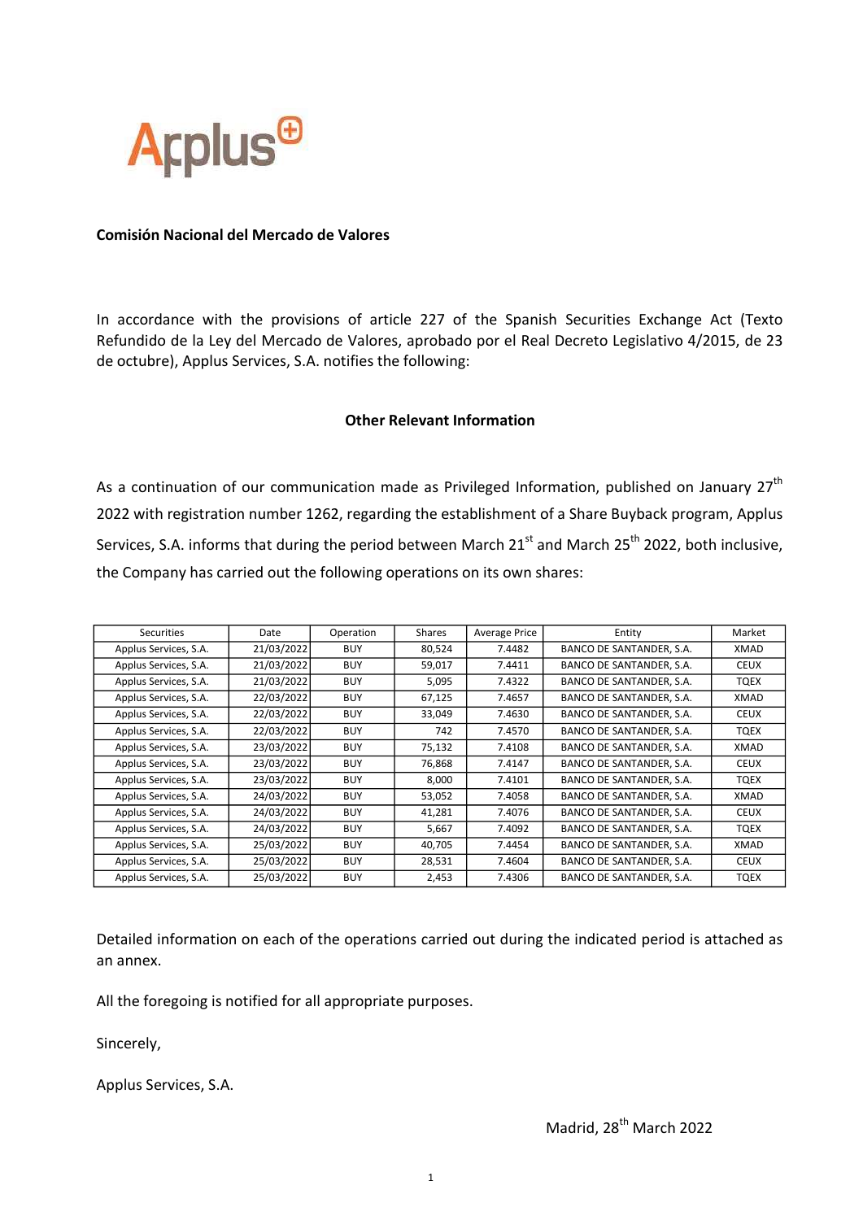

## Comisión Nacional del Mercado de Valores

In accordance with the provisions of article 227 of the Spanish Securities Exchange Act (Texto Refundido de la Ley del Mercado de Valores, aprobado por el Real Decreto Legislativo 4/2015, de 23 de octubre), Applus Services, S.A. notifies the following:

## Other Relevant Information

As a continuation of our communication made as Privileged Information, published on January  $27<sup>th</sup>$ 2022 with registration number 1262, regarding the establishment of a Share Buyback program, Applus Services, S.A. informs that during the period between March  $21<sup>st</sup>$  and March  $25<sup>th</sup>$  2022, both inclusive, the Company has carried out the following operations on its own shares:

| Securities            | Date       | Operation  | Shares | <b>Average Price</b> | Entity                   | Market      |
|-----------------------|------------|------------|--------|----------------------|--------------------------|-------------|
| Applus Services, S.A. | 21/03/2022 | <b>BUY</b> | 80,524 | 7.4482               | BANCO DE SANTANDER, S.A. | XMAD        |
| Applus Services, S.A. | 21/03/2022 | <b>BUY</b> | 59,017 | 7.4411               | BANCO DE SANTANDER, S.A. | <b>CEUX</b> |
| Applus Services, S.A. | 21/03/2022 | <b>BUY</b> | 5,095  | 7.4322               | BANCO DE SANTANDER, S.A. | TQEX        |
| Applus Services, S.A. | 22/03/2022 | <b>BUY</b> | 67,125 | 7.4657               | BANCO DE SANTANDER, S.A. | XMAD        |
| Applus Services, S.A. | 22/03/2022 | <b>BUY</b> | 33,049 | 7.4630               | BANCO DE SANTANDER, S.A. | <b>CEUX</b> |
| Applus Services, S.A. | 22/03/2022 | <b>BUY</b> | 742    | 7.4570               | BANCO DE SANTANDER, S.A. | TQEX        |
| Applus Services, S.A. | 23/03/2022 | <b>BUY</b> | 75,132 | 7.4108               | BANCO DE SANTANDER, S.A. | XMAD        |
| Applus Services, S.A. | 23/03/2022 | <b>BUY</b> | 76,868 | 7.4147               | BANCO DE SANTANDER, S.A. | <b>CEUX</b> |
| Applus Services, S.A. | 23/03/2022 | <b>BUY</b> | 8,000  | 7.4101               | BANCO DE SANTANDER, S.A. | TQEX        |
| Applus Services, S.A. | 24/03/2022 | <b>BUY</b> | 53,052 | 7.4058               | BANCO DE SANTANDER, S.A. | XMAD        |
| Applus Services, S.A. | 24/03/2022 | <b>BUY</b> | 41,281 | 7.4076               | BANCO DE SANTANDER, S.A. | <b>CEUX</b> |
| Applus Services, S.A. | 24/03/2022 | <b>BUY</b> | 5,667  | 7.4092               | BANCO DE SANTANDER, S.A. | TQEX        |
| Applus Services, S.A. | 25/03/2022 | <b>BUY</b> | 40,705 | 7.4454               | BANCO DE SANTANDER, S.A. | XMAD        |
| Applus Services, S.A. | 25/03/2022 | <b>BUY</b> | 28,531 | 7.4604               | BANCO DE SANTANDER, S.A. | <b>CEUX</b> |
| Applus Services, S.A. | 25/03/2022 | <b>BUY</b> | 2,453  | 7.4306               | BANCO DE SANTANDER, S.A. | <b>TQEX</b> |

Detailed information on each of the operations carried out during the indicated period is attached as an annex.

All the foregoing is notified for all appropriate purposes.

Sincerely,

Applus Services, S.A.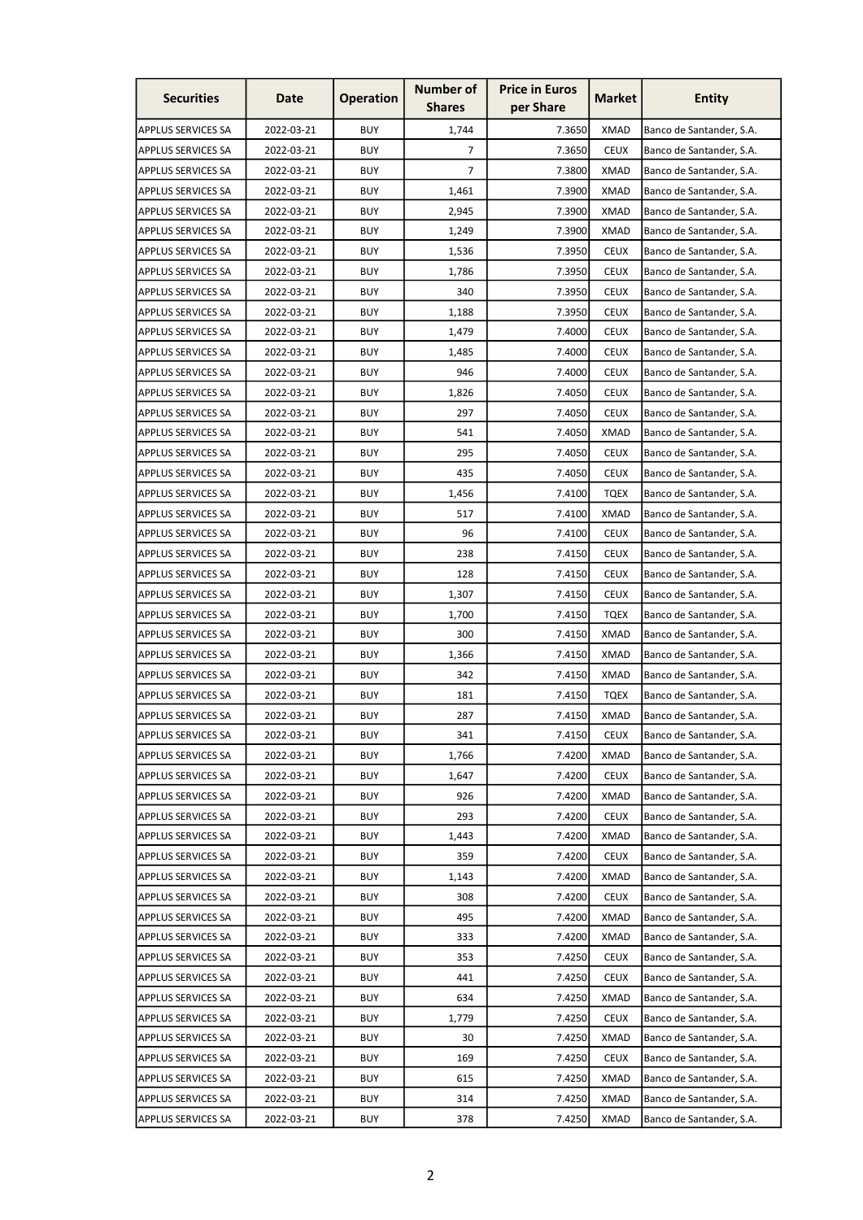| <b>Securities</b>         | Date       | <b>Operation</b> | <b>Number of</b><br><b>Shares</b> | <b>Price in Euros</b><br>per Share | <b>Market</b> | Entity                   |
|---------------------------|------------|------------------|-----------------------------------|------------------------------------|---------------|--------------------------|
| <b>APPLUS SERVICES SA</b> | 2022-03-21 | <b>BUY</b>       | 1,744                             | 7.3650                             | <b>XMAD</b>   | Banco de Santander, S.A. |
| <b>APPLUS SERVICES SA</b> | 2022-03-21 | <b>BUY</b>       | 7                                 | 7.3650                             | <b>CEUX</b>   | Banco de Santander, S.A. |
| <b>APPLUS SERVICES SA</b> | 2022-03-21 | <b>BUY</b>       | $\overline{7}$                    | 7.3800                             | <b>XMAD</b>   | Banco de Santander, S.A. |
| <b>APPLUS SERVICES SA</b> | 2022-03-21 | <b>BUY</b>       | 1,461                             | 7.3900                             | <b>XMAD</b>   | Banco de Santander, S.A. |
| <b>APPLUS SERVICES SA</b> | 2022-03-21 | <b>BUY</b>       | 2,945                             | 7.3900                             | <b>XMAD</b>   | Banco de Santander, S.A. |
| <b>APPLUS SERVICES SA</b> | 2022-03-21 | <b>BUY</b>       | 1,249                             | 7.3900                             | <b>XMAD</b>   | Banco de Santander, S.A. |
| <b>APPLUS SERVICES SA</b> | 2022-03-21 | <b>BUY</b>       | 1,536                             | 7.3950                             | <b>CEUX</b>   | Banco de Santander, S.A. |
| <b>APPLUS SERVICES SA</b> | 2022-03-21 | <b>BUY</b>       | 1,786                             | 7.3950                             | <b>CEUX</b>   | Banco de Santander, S.A. |
| <b>APPLUS SERVICES SA</b> | 2022-03-21 | <b>BUY</b>       | 340                               | 7.3950                             | <b>CEUX</b>   | Banco de Santander, S.A. |
| <b>APPLUS SERVICES SA</b> | 2022-03-21 | <b>BUY</b>       | 1,188                             | 7.3950                             | <b>CEUX</b>   | Banco de Santander, S.A. |
| <b>APPLUS SERVICES SA</b> | 2022-03-21 | <b>BUY</b>       | 1,479                             | 7.4000                             | <b>CEUX</b>   | Banco de Santander, S.A. |
| <b>APPLUS SERVICES SA</b> | 2022-03-21 | <b>BUY</b>       | 1,485                             | 7.4000                             | <b>CEUX</b>   | Banco de Santander, S.A. |
| <b>APPLUS SERVICES SA</b> | 2022-03-21 | <b>BUY</b>       | 946                               | 7.4000                             | <b>CEUX</b>   | Banco de Santander, S.A. |
| <b>APPLUS SERVICES SA</b> | 2022-03-21 | <b>BUY</b>       | 1,826                             | 7.4050                             | <b>CEUX</b>   | Banco de Santander, S.A. |
| <b>APPLUS SERVICES SA</b> | 2022-03-21 | <b>BUY</b>       | 297                               | 7.4050                             | <b>CEUX</b>   | Banco de Santander, S.A. |
| <b>APPLUS SERVICES SA</b> | 2022-03-21 | <b>BUY</b>       | 541                               | 7.4050                             | <b>XMAD</b>   | Banco de Santander, S.A. |
| <b>APPLUS SERVICES SA</b> | 2022-03-21 | <b>BUY</b>       | 295                               | 7.4050                             | <b>CEUX</b>   | Banco de Santander, S.A. |
| <b>APPLUS SERVICES SA</b> | 2022-03-21 | <b>BUY</b>       | 435                               | 7.4050                             | <b>CEUX</b>   | Banco de Santander, S.A. |
| <b>APPLUS SERVICES SA</b> | 2022-03-21 | <b>BUY</b>       | 1,456                             | 7.4100                             | <b>TQEX</b>   | Banco de Santander, S.A. |
| <b>APPLUS SERVICES SA</b> | 2022-03-21 | <b>BUY</b>       | 517                               | 7.4100                             | <b>XMAD</b>   | Banco de Santander, S.A. |
| <b>APPLUS SERVICES SA</b> | 2022-03-21 | <b>BUY</b>       | 96                                | 7.4100                             | <b>CEUX</b>   | Banco de Santander, S.A. |
| <b>APPLUS SERVICES SA</b> | 2022-03-21 | <b>BUY</b>       | 238                               | 7.4150                             | <b>CEUX</b>   | Banco de Santander, S.A. |
| <b>APPLUS SERVICES SA</b> | 2022-03-21 | <b>BUY</b>       | 128                               | 7.4150                             | <b>CEUX</b>   | Banco de Santander, S.A. |
| <b>APPLUS SERVICES SA</b> | 2022-03-21 | <b>BUY</b>       | 1,307                             | 7.4150                             | <b>CEUX</b>   | Banco de Santander, S.A. |
| <b>APPLUS SERVICES SA</b> | 2022-03-21 | <b>BUY</b>       | 1,700                             | 7.4150                             | <b>TQEX</b>   | Banco de Santander, S.A. |
| <b>APPLUS SERVICES SA</b> | 2022-03-21 | <b>BUY</b>       | 300                               | 7.4150                             | XMAD          | Banco de Santander, S.A. |
| <b>APPLUS SERVICES SA</b> | 2022-03-21 | <b>BUY</b>       | 1,366                             | 7.4150                             | <b>XMAD</b>   | Banco de Santander, S.A. |
| <b>APPLUS SERVICES SA</b> | 2022-03-21 | <b>BUY</b>       | 342                               | 7.4150                             | <b>XMAD</b>   | Banco de Santander, S.A. |
| <b>APPLUS SERVICES SA</b> | 2022-03-21 | <b>BUY</b>       | 181                               | 7.4150                             | <b>TQEX</b>   | Banco de Santander, S.A. |
| <b>APPLUS SERVICES SA</b> | 2022-03-21 | <b>BUY</b>       | 287                               | 7.4150                             | <b>XMAD</b>   | Banco de Santander, S.A. |
| <b>APPLUS SERVICES SA</b> | 2022-03-21 | <b>BUY</b>       | 341                               | 7.4150                             | <b>CEUX</b>   | Banco de Santander, S.A. |
| <b>APPLUS SERVICES SA</b> | 2022-03-21 | <b>BUY</b>       | 1,766                             | 7.4200                             | XMAD          | Banco de Santander, S.A. |
| <b>APPLUS SERVICES SA</b> | 2022-03-21 | <b>BUY</b>       | 1,647                             | 7.4200                             | <b>CEUX</b>   | Banco de Santander, S.A. |
| <b>APPLUS SERVICES SA</b> | 2022-03-21 | <b>BUY</b>       | 926                               | 7.4200                             | <b>XMAD</b>   | Banco de Santander, S.A. |
| <b>APPLUS SERVICES SA</b> | 2022-03-21 | <b>BUY</b>       | 293                               | 7.4200                             | <b>CEUX</b>   | Banco de Santander, S.A. |
| <b>APPLUS SERVICES SA</b> | 2022-03-21 | <b>BUY</b>       | 1,443                             | 7.4200                             | <b>XMAD</b>   | Banco de Santander, S.A. |
| <b>APPLUS SERVICES SA</b> | 2022-03-21 | <b>BUY</b>       | 359                               | 7.4200                             | <b>CEUX</b>   | Banco de Santander, S.A. |
| <b>APPLUS SERVICES SA</b> | 2022-03-21 | <b>BUY</b>       | 1,143                             | 7.4200                             | <b>XMAD</b>   | Banco de Santander, S.A. |
| <b>APPLUS SERVICES SA</b> | 2022-03-21 | <b>BUY</b>       | 308                               | 7.4200                             | <b>CEUX</b>   | Banco de Santander, S.A. |
| <b>APPLUS SERVICES SA</b> | 2022-03-21 | <b>BUY</b>       | 495                               | 7.4200                             | <b>XMAD</b>   | Banco de Santander, S.A. |
| <b>APPLUS SERVICES SA</b> | 2022-03-21 | <b>BUY</b>       | 333                               | 7.4200                             | <b>XMAD</b>   | Banco de Santander, S.A. |
| <b>APPLUS SERVICES SA</b> | 2022-03-21 | <b>BUY</b>       | 353                               | 7.4250                             | <b>CEUX</b>   | Banco de Santander, S.A. |
| <b>APPLUS SERVICES SA</b> | 2022-03-21 | <b>BUY</b>       | 441                               | 7.4250                             | <b>CEUX</b>   | Banco de Santander, S.A. |
| <b>APPLUS SERVICES SA</b> | 2022-03-21 | <b>BUY</b>       | 634                               | 7.4250                             | <b>XMAD</b>   | Banco de Santander, S.A. |
| <b>APPLUS SERVICES SA</b> | 2022-03-21 | <b>BUY</b>       | 1,779                             | 7.4250                             | <b>CEUX</b>   | Banco de Santander, S.A. |
| <b>APPLUS SERVICES SA</b> | 2022-03-21 | <b>BUY</b>       | 30                                | 7.4250                             | <b>XMAD</b>   | Banco de Santander, S.A. |
| <b>APPLUS SERVICES SA</b> | 2022-03-21 | <b>BUY</b>       | 169                               | 7.4250                             | <b>CEUX</b>   | Banco de Santander, S.A. |
| <b>APPLUS SERVICES SA</b> | 2022-03-21 | <b>BUY</b>       | 615                               | 7.4250                             | <b>XMAD</b>   | Banco de Santander, S.A. |
| <b>APPLUS SERVICES SA</b> | 2022-03-21 | <b>BUY</b>       | 314                               | 7.4250                             | <b>XMAD</b>   | Banco de Santander, S.A. |
| <b>APPLUS SERVICES SA</b> | 2022-03-21 | <b>BUY</b>       | 378                               | 7.4250                             | <b>XMAD</b>   | Banco de Santander, S.A. |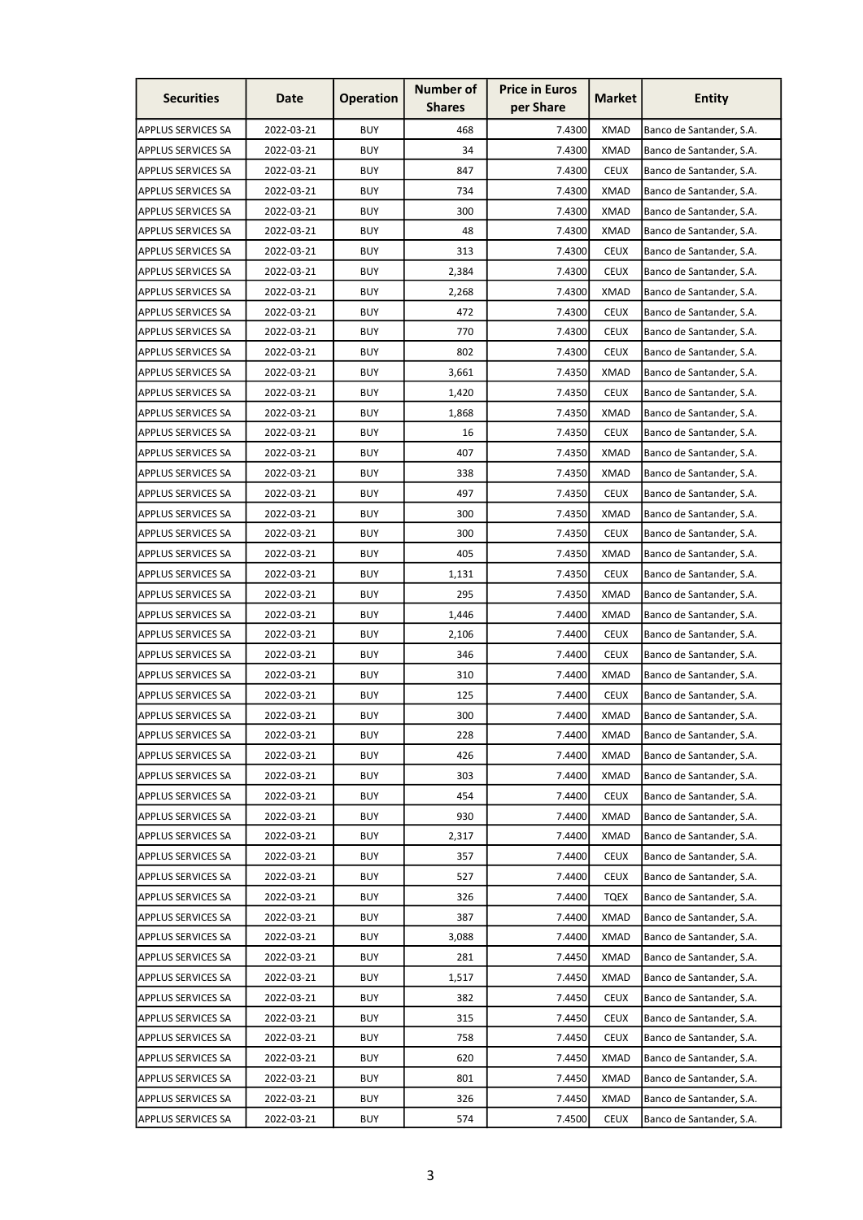| <b>Securities</b>         | Date       | <b>Operation</b> | <b>Number of</b><br><b>Shares</b> | <b>Price in Euros</b><br>per Share | <b>Market</b> | <b>Entity</b>            |
|---------------------------|------------|------------------|-----------------------------------|------------------------------------|---------------|--------------------------|
| <b>APPLUS SERVICES SA</b> | 2022-03-21 | <b>BUY</b>       | 468                               | 7.4300                             | <b>XMAD</b>   | Banco de Santander, S.A. |
| <b>APPLUS SERVICES SA</b> | 2022-03-21 | <b>BUY</b>       | 34                                | 7.4300                             | <b>XMAD</b>   | Banco de Santander, S.A. |
| <b>APPLUS SERVICES SA</b> | 2022-03-21 | <b>BUY</b>       | 847                               | 7.4300                             | <b>CEUX</b>   | Banco de Santander, S.A. |
| <b>APPLUS SERVICES SA</b> | 2022-03-21 | <b>BUY</b>       | 734                               | 7.4300                             | <b>XMAD</b>   | Banco de Santander, S.A. |
| <b>APPLUS SERVICES SA</b> | 2022-03-21 | <b>BUY</b>       | 300                               | 7.4300                             | <b>XMAD</b>   | Banco de Santander, S.A. |
| <b>APPLUS SERVICES SA</b> | 2022-03-21 | <b>BUY</b>       | 48                                | 7.4300                             | <b>XMAD</b>   | Banco de Santander, S.A. |
| <b>APPLUS SERVICES SA</b> | 2022-03-21 | <b>BUY</b>       | 313                               | 7.4300                             | <b>CEUX</b>   | Banco de Santander, S.A. |
| <b>APPLUS SERVICES SA</b> | 2022-03-21 | <b>BUY</b>       | 2,384                             | 7.4300                             | <b>CEUX</b>   | Banco de Santander, S.A. |
| <b>APPLUS SERVICES SA</b> | 2022-03-21 | <b>BUY</b>       | 2,268                             | 7.4300                             | <b>XMAD</b>   | Banco de Santander, S.A. |
| <b>APPLUS SERVICES SA</b> | 2022-03-21 | <b>BUY</b>       | 472                               | 7.4300                             | <b>CEUX</b>   | Banco de Santander, S.A. |
| <b>APPLUS SERVICES SA</b> | 2022-03-21 | <b>BUY</b>       | 770                               | 7.4300                             | <b>CEUX</b>   | Banco de Santander, S.A. |
| <b>APPLUS SERVICES SA</b> | 2022-03-21 | <b>BUY</b>       | 802                               | 7.4300                             | <b>CEUX</b>   | Banco de Santander, S.A. |
| <b>APPLUS SERVICES SA</b> | 2022-03-21 | <b>BUY</b>       | 3,661                             | 7.4350                             | <b>XMAD</b>   | Banco de Santander, S.A. |
| <b>APPLUS SERVICES SA</b> | 2022-03-21 | <b>BUY</b>       | 1,420                             | 7.4350                             | <b>CEUX</b>   | Banco de Santander, S.A. |
| <b>APPLUS SERVICES SA</b> | 2022-03-21 | <b>BUY</b>       | 1,868                             | 7.4350                             | <b>XMAD</b>   | Banco de Santander, S.A. |
| <b>APPLUS SERVICES SA</b> | 2022-03-21 | <b>BUY</b>       | 16                                | 7.4350                             | <b>CEUX</b>   | Banco de Santander, S.A. |
| <b>APPLUS SERVICES SA</b> | 2022-03-21 | <b>BUY</b>       | 407                               | 7.4350                             | <b>XMAD</b>   | Banco de Santander, S.A. |
| <b>APPLUS SERVICES SA</b> | 2022-03-21 | <b>BUY</b>       | 338                               | 7.4350                             | <b>XMAD</b>   | Banco de Santander, S.A. |
| <b>APPLUS SERVICES SA</b> | 2022-03-21 | <b>BUY</b>       | 497                               | 7.4350                             | <b>CEUX</b>   | Banco de Santander, S.A. |
| <b>APPLUS SERVICES SA</b> | 2022-03-21 | <b>BUY</b>       | 300                               | 7.4350                             | XMAD          | Banco de Santander, S.A. |
| <b>APPLUS SERVICES SA</b> | 2022-03-21 | <b>BUY</b>       | 300                               | 7.4350                             | <b>CEUX</b>   | Banco de Santander, S.A. |
| <b>APPLUS SERVICES SA</b> | 2022-03-21 | <b>BUY</b>       | 405                               | 7.4350                             | <b>XMAD</b>   | Banco de Santander, S.A. |
| <b>APPLUS SERVICES SA</b> | 2022-03-21 | <b>BUY</b>       | 1,131                             | 7.4350                             | <b>CEUX</b>   | Banco de Santander, S.A. |
| <b>APPLUS SERVICES SA</b> | 2022-03-21 | <b>BUY</b>       | 295                               | 7.4350                             | <b>XMAD</b>   | Banco de Santander, S.A. |
| <b>APPLUS SERVICES SA</b> | 2022-03-21 | <b>BUY</b>       | 1,446                             | 7.4400                             | <b>XMAD</b>   | Banco de Santander, S.A. |
| <b>APPLUS SERVICES SA</b> | 2022-03-21 | <b>BUY</b>       | 2,106                             | 7.4400                             | <b>CEUX</b>   | Banco de Santander, S.A. |
| <b>APPLUS SERVICES SA</b> | 2022-03-21 | <b>BUY</b>       | 346                               | 7.4400                             | <b>CEUX</b>   | Banco de Santander, S.A. |
| <b>APPLUS SERVICES SA</b> | 2022-03-21 | <b>BUY</b>       | 310                               | 7.4400                             | <b>XMAD</b>   | Banco de Santander, S.A. |
| APPLUS SERVICES SA        | 2022-03-21 | <b>BUY</b>       | 125                               | 7.4400                             | <b>CEUX</b>   | Banco de Santander, S.A. |
| <b>APPLUS SERVICES SA</b> | 2022-03-21 | <b>BUY</b>       | 300                               | 7.4400                             | <b>XMAD</b>   | Banco de Santander, S.A. |
| <b>APPLUS SERVICES SA</b> | 2022-03-21 | <b>BUY</b>       | 228                               | 7.4400                             | <b>XMAD</b>   | Banco de Santander, S.A. |
| <b>APPLUS SERVICES SA</b> | 2022-03-21 | <b>BUY</b>       | 426                               | 7.4400                             | <b>XMAD</b>   | Banco de Santander, S.A. |
| <b>APPLUS SERVICES SA</b> | 2022-03-21 | <b>BUY</b>       | 303                               | 7.4400                             | <b>XMAD</b>   | Banco de Santander, S.A. |
| <b>APPLUS SERVICES SA</b> | 2022-03-21 | <b>BUY</b>       | 454                               | 7.4400                             | <b>CEUX</b>   | Banco de Santander, S.A. |
| <b>APPLUS SERVICES SA</b> | 2022-03-21 | <b>BUY</b>       | 930                               | 7.4400                             | <b>XMAD</b>   | Banco de Santander, S.A. |
| <b>APPLUS SERVICES SA</b> | 2022-03-21 | <b>BUY</b>       | 2,317                             | 7.4400                             | <b>XMAD</b>   | Banco de Santander, S.A. |
| <b>APPLUS SERVICES SA</b> | 2022-03-21 | <b>BUY</b>       | 357                               | 7.4400                             | <b>CEUX</b>   | Banco de Santander, S.A. |
| <b>APPLUS SERVICES SA</b> | 2022-03-21 | <b>BUY</b>       | 527                               | 7.4400                             | <b>CEUX</b>   | Banco de Santander, S.A. |
| <b>APPLUS SERVICES SA</b> | 2022-03-21 | <b>BUY</b>       | 326                               | 7.4400                             | <b>TQEX</b>   | Banco de Santander, S.A. |
| <b>APPLUS SERVICES SA</b> | 2022-03-21 | <b>BUY</b>       | 387                               | 7.4400                             | <b>XMAD</b>   | Banco de Santander, S.A. |
| <b>APPLUS SERVICES SA</b> | 2022-03-21 | <b>BUY</b>       | 3,088                             | 7.4400                             | <b>XMAD</b>   | Banco de Santander, S.A. |
| <b>APPLUS SERVICES SA</b> | 2022-03-21 | <b>BUY</b>       | 281                               | 7.4450                             | <b>XMAD</b>   | Banco de Santander, S.A. |
| <b>APPLUS SERVICES SA</b> | 2022-03-21 | <b>BUY</b>       | 1,517                             | 7.4450                             | <b>XMAD</b>   | Banco de Santander, S.A. |
| <b>APPLUS SERVICES SA</b> | 2022-03-21 | <b>BUY</b>       | 382                               | 7.4450                             | <b>CEUX</b>   | Banco de Santander, S.A. |
| <b>APPLUS SERVICES SA</b> | 2022-03-21 | <b>BUY</b>       | 315                               | 7.4450                             | <b>CEUX</b>   | Banco de Santander, S.A. |
| <b>APPLUS SERVICES SA</b> | 2022-03-21 | <b>BUY</b>       | 758                               | 7.4450                             | <b>CEUX</b>   | Banco de Santander, S.A. |
| <b>APPLUS SERVICES SA</b> | 2022-03-21 | <b>BUY</b>       | 620                               | 7.4450                             | <b>XMAD</b>   | Banco de Santander, S.A. |
| APPLUS SERVICES SA        | 2022-03-21 | <b>BUY</b>       | 801                               | 7.4450                             | <b>XMAD</b>   | Banco de Santander, S.A. |
| APPLUS SERVICES SA        | 2022-03-21 | <b>BUY</b>       | 326                               | 7.4450                             | <b>XMAD</b>   | Banco de Santander, S.A. |
| <b>APPLUS SERVICES SA</b> | 2022-03-21 | <b>BUY</b>       | 574                               | 7.4500                             | <b>CEUX</b>   | Banco de Santander, S.A. |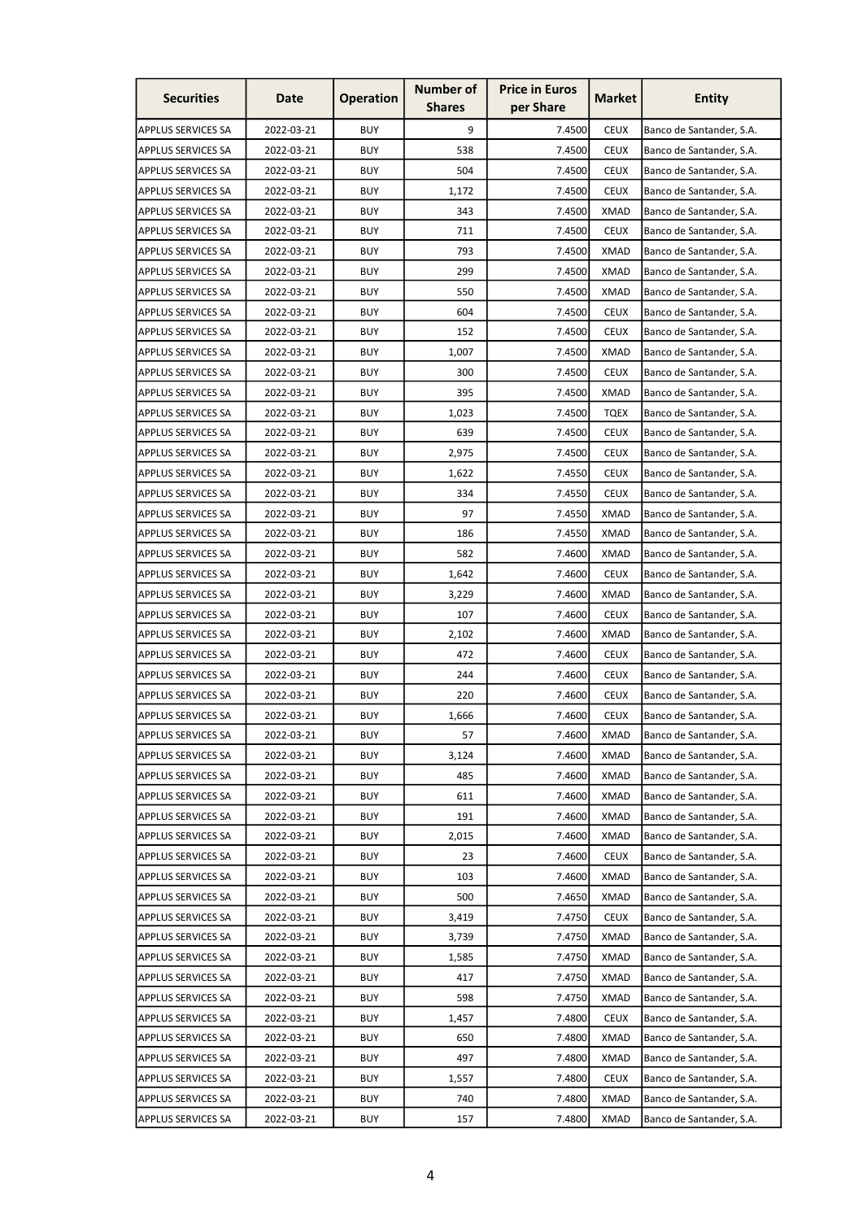| <b>Securities</b>         | Date       | <b>Operation</b> | <b>Number of</b><br><b>Shares</b> | <b>Price in Euros</b><br>per Share | <b>Market</b> | Entity                   |
|---------------------------|------------|------------------|-----------------------------------|------------------------------------|---------------|--------------------------|
| <b>APPLUS SERVICES SA</b> | 2022-03-21 | <b>BUY</b>       | 9                                 | 7.4500                             | <b>CEUX</b>   | Banco de Santander, S.A. |
| <b>APPLUS SERVICES SA</b> | 2022-03-21 | <b>BUY</b>       | 538                               | 7.4500                             | <b>CEUX</b>   | Banco de Santander, S.A. |
| <b>APPLUS SERVICES SA</b> | 2022-03-21 | <b>BUY</b>       | 504                               | 7.4500                             | <b>CEUX</b>   | Banco de Santander, S.A. |
| <b>APPLUS SERVICES SA</b> | 2022-03-21 | <b>BUY</b>       | 1,172                             | 7.4500                             | <b>CEUX</b>   | Banco de Santander, S.A. |
| <b>APPLUS SERVICES SA</b> | 2022-03-21 | <b>BUY</b>       | 343                               | 7.4500                             | <b>XMAD</b>   | Banco de Santander, S.A. |
| <b>APPLUS SERVICES SA</b> | 2022-03-21 | <b>BUY</b>       | 711                               | 7.4500                             | <b>CEUX</b>   | Banco de Santander, S.A. |
| <b>APPLUS SERVICES SA</b> | 2022-03-21 | <b>BUY</b>       | 793                               | 7.4500                             | XMAD          | Banco de Santander, S.A. |
| <b>APPLUS SERVICES SA</b> | 2022-03-21 | <b>BUY</b>       | 299                               | 7.4500                             | <b>XMAD</b>   | Banco de Santander, S.A. |
| <b>APPLUS SERVICES SA</b> | 2022-03-21 | <b>BUY</b>       | 550                               | 7.4500                             | <b>XMAD</b>   | Banco de Santander, S.A. |
| <b>APPLUS SERVICES SA</b> | 2022-03-21 | <b>BUY</b>       | 604                               | 7.4500                             | <b>CEUX</b>   | Banco de Santander, S.A. |
| <b>APPLUS SERVICES SA</b> | 2022-03-21 | <b>BUY</b>       | 152                               | 7.4500                             | <b>CEUX</b>   | Banco de Santander, S.A. |
| <b>APPLUS SERVICES SA</b> | 2022-03-21 | <b>BUY</b>       | 1,007                             | 7.4500                             | <b>XMAD</b>   | Banco de Santander, S.A. |
| <b>APPLUS SERVICES SA</b> | 2022-03-21 | <b>BUY</b>       | 300                               | 7.4500                             | <b>CEUX</b>   | Banco de Santander, S.A. |
| <b>APPLUS SERVICES SA</b> | 2022-03-21 | <b>BUY</b>       | 395                               | 7.4500                             | <b>XMAD</b>   | Banco de Santander, S.A. |
| <b>APPLUS SERVICES SA</b> | 2022-03-21 | <b>BUY</b>       | 1,023                             | 7.4500                             | <b>TQEX</b>   | Banco de Santander, S.A. |
| <b>APPLUS SERVICES SA</b> | 2022-03-21 | <b>BUY</b>       | 639                               | 7.4500                             | <b>CEUX</b>   | Banco de Santander, S.A. |
| <b>APPLUS SERVICES SA</b> | 2022-03-21 | <b>BUY</b>       | 2,975                             | 7.4500                             | <b>CEUX</b>   | Banco de Santander, S.A. |
| <b>APPLUS SERVICES SA</b> | 2022-03-21 | <b>BUY</b>       | 1,622                             | 7.4550                             | <b>CEUX</b>   | Banco de Santander, S.A. |
| <b>APPLUS SERVICES SA</b> | 2022-03-21 | <b>BUY</b>       | 334                               | 7.4550                             | <b>CEUX</b>   | Banco de Santander, S.A. |
| <b>APPLUS SERVICES SA</b> | 2022-03-21 | <b>BUY</b>       | 97                                | 7.4550                             | <b>XMAD</b>   | Banco de Santander, S.A. |
| <b>APPLUS SERVICES SA</b> | 2022-03-21 | <b>BUY</b>       | 186                               | 7.4550                             | <b>XMAD</b>   | Banco de Santander, S.A. |
| <b>APPLUS SERVICES SA</b> | 2022-03-21 | <b>BUY</b>       | 582                               | 7.4600                             | <b>XMAD</b>   | Banco de Santander, S.A. |
| <b>APPLUS SERVICES SA</b> | 2022-03-21 | <b>BUY</b>       | 1,642                             | 7.4600                             | <b>CEUX</b>   | Banco de Santander, S.A. |
| <b>APPLUS SERVICES SA</b> | 2022-03-21 | <b>BUY</b>       | 3,229                             | 7.4600                             | <b>XMAD</b>   | Banco de Santander, S.A. |
| <b>APPLUS SERVICES SA</b> | 2022-03-21 | <b>BUY</b>       | 107                               | 7.4600                             | <b>CEUX</b>   | Banco de Santander, S.A. |
| <b>APPLUS SERVICES SA</b> | 2022-03-21 | <b>BUY</b>       | 2,102                             | 7.4600                             | XMAD          | Banco de Santander, S.A. |
| <b>APPLUS SERVICES SA</b> | 2022-03-21 | <b>BUY</b>       | 472                               | 7.4600                             | <b>CEUX</b>   | Banco de Santander, S.A. |
| <b>APPLUS SERVICES SA</b> | 2022-03-21 | <b>BUY</b>       | 244                               | 7.4600                             | <b>CEUX</b>   | Banco de Santander, S.A. |
| <b>APPLUS SERVICES SA</b> | 2022-03-21 | <b>BUY</b>       | 220                               | 7.4600                             | <b>CEUX</b>   | Banco de Santander, S.A. |
| <b>APPLUS SERVICES SA</b> | 2022-03-21 | <b>BUY</b>       | 1,666                             | 7.4600                             | <b>CEUX</b>   | Banco de Santander, S.A. |
| <b>APPLUS SERVICES SA</b> | 2022-03-21 | <b>BUY</b>       | 57                                | 7.4600                             | <b>XMAD</b>   | Banco de Santander, S.A. |
| <b>APPLUS SERVICES SA</b> | 2022-03-21 | <b>BUY</b>       | 3,124                             | 7.4600                             | <b>XMAD</b>   | Banco de Santander, S.A. |
| <b>APPLUS SERVICES SA</b> | 2022-03-21 | <b>BUY</b>       | 485                               | 7.4600                             | <b>XMAD</b>   | Banco de Santander, S.A. |
| <b>APPLUS SERVICES SA</b> | 2022-03-21 | <b>BUY</b>       | 611                               | 7.4600                             | <b>XMAD</b>   | Banco de Santander, S.A. |
| <b>APPLUS SERVICES SA</b> | 2022-03-21 | <b>BUY</b>       | 191                               | 7.4600                             | <b>XMAD</b>   | Banco de Santander, S.A. |
| <b>APPLUS SERVICES SA</b> | 2022-03-21 | <b>BUY</b>       | 2,015                             | 7.4600                             | <b>XMAD</b>   | Banco de Santander, S.A. |
| <b>APPLUS SERVICES SA</b> | 2022-03-21 | <b>BUY</b>       | 23                                | 7.4600                             | <b>CEUX</b>   | Banco de Santander, S.A. |
| <b>APPLUS SERVICES SA</b> | 2022-03-21 | <b>BUY</b>       | 103                               | 7.4600                             | <b>XMAD</b>   | Banco de Santander, S.A. |
| <b>APPLUS SERVICES SA</b> | 2022-03-21 | <b>BUY</b>       | 500                               | 7.4650                             | <b>XMAD</b>   | Banco de Santander, S.A. |
| <b>APPLUS SERVICES SA</b> | 2022-03-21 | <b>BUY</b>       | 3,419                             | 7.4750                             | <b>CEUX</b>   | Banco de Santander, S.A. |
| <b>APPLUS SERVICES SA</b> | 2022-03-21 | <b>BUY</b>       | 3,739                             | 7.4750                             | <b>XMAD</b>   | Banco de Santander, S.A. |
| <b>APPLUS SERVICES SA</b> | 2022-03-21 | <b>BUY</b>       | 1,585                             | 7.4750                             | <b>XMAD</b>   | Banco de Santander, S.A. |
| <b>APPLUS SERVICES SA</b> | 2022-03-21 | <b>BUY</b>       | 417                               | 7.4750                             | <b>XMAD</b>   | Banco de Santander, S.A. |
| <b>APPLUS SERVICES SA</b> | 2022-03-21 | <b>BUY</b>       | 598                               | 7.4750                             | <b>XMAD</b>   | Banco de Santander, S.A. |
| <b>APPLUS SERVICES SA</b> | 2022-03-21 | <b>BUY</b>       | 1,457                             | 7.4800                             | <b>CEUX</b>   | Banco de Santander, S.A. |
| <b>APPLUS SERVICES SA</b> | 2022-03-21 | <b>BUY</b>       | 650                               | 7.4800                             | <b>XMAD</b>   | Banco de Santander, S.A. |
| <b>APPLUS SERVICES SA</b> | 2022-03-21 | <b>BUY</b>       | 497                               | 7.4800                             | <b>XMAD</b>   | Banco de Santander, S.A. |
| <b>APPLUS SERVICES SA</b> | 2022-03-21 | <b>BUY</b>       | 1,557                             | 7.4800                             | <b>CEUX</b>   | Banco de Santander, S.A. |
| <b>APPLUS SERVICES SA</b> | 2022-03-21 | <b>BUY</b>       | 740                               | 7.4800                             | <b>XMAD</b>   | Banco de Santander, S.A. |
| <b>APPLUS SERVICES SA</b> | 2022-03-21 | <b>BUY</b>       | 157                               | 7.4800                             | <b>XMAD</b>   | Banco de Santander, S.A. |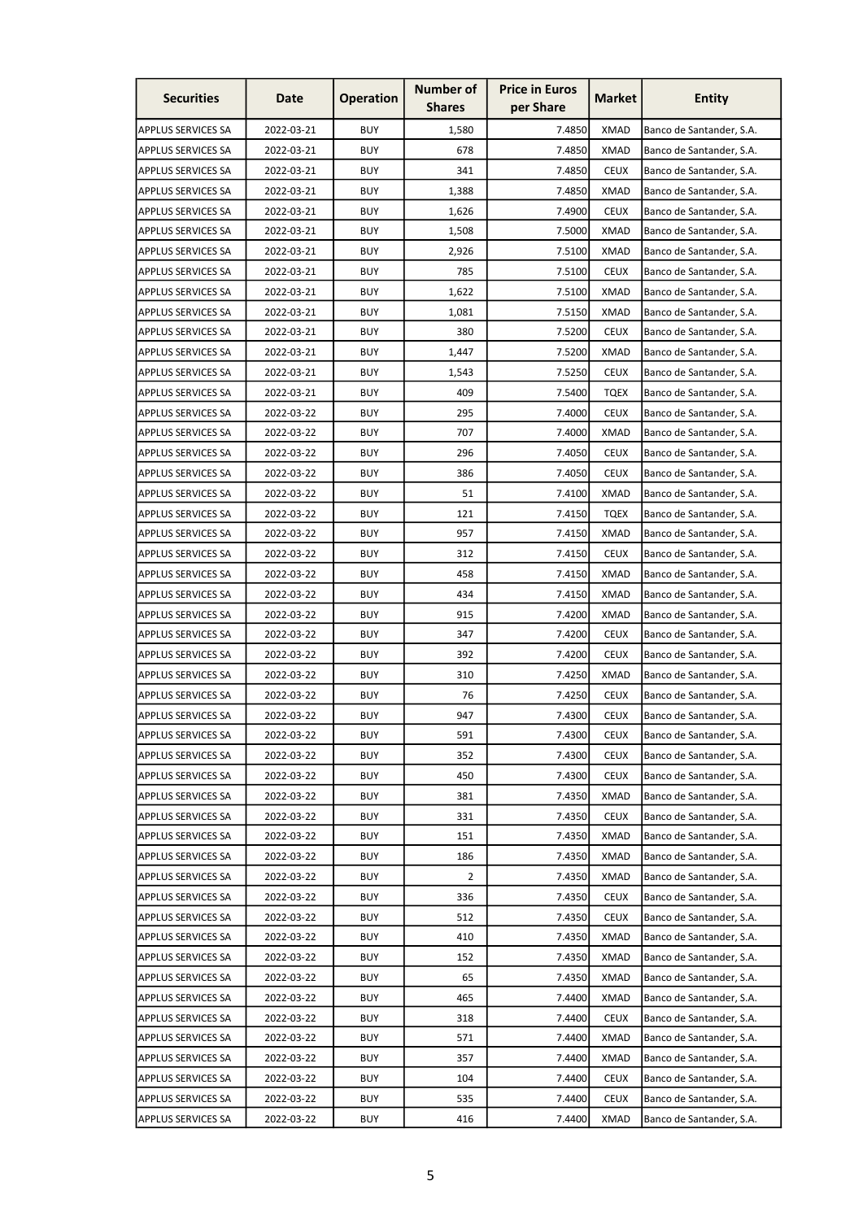| <b>Securities</b>         | Date       | <b>Operation</b> | <b>Number of</b><br><b>Shares</b> | <b>Price in Euros</b><br>per Share | <b>Market</b> | <b>Entity</b>            |
|---------------------------|------------|------------------|-----------------------------------|------------------------------------|---------------|--------------------------|
| <b>APPLUS SERVICES SA</b> | 2022-03-21 | <b>BUY</b>       | 1,580                             | 7.4850                             | <b>XMAD</b>   | Banco de Santander, S.A. |
| <b>APPLUS SERVICES SA</b> | 2022-03-21 | <b>BUY</b>       | 678                               | 7.4850                             | <b>XMAD</b>   | Banco de Santander, S.A. |
| <b>APPLUS SERVICES SA</b> | 2022-03-21 | <b>BUY</b>       | 341                               | 7.4850                             | <b>CEUX</b>   | Banco de Santander, S.A. |
| <b>APPLUS SERVICES SA</b> | 2022-03-21 | <b>BUY</b>       | 1,388                             | 7.4850                             | <b>XMAD</b>   | Banco de Santander, S.A. |
| <b>APPLUS SERVICES SA</b> | 2022-03-21 | <b>BUY</b>       | 1,626                             | 7.4900                             | <b>CEUX</b>   | Banco de Santander, S.A. |
| <b>APPLUS SERVICES SA</b> | 2022-03-21 | <b>BUY</b>       | 1,508                             | 7.5000                             | <b>XMAD</b>   | Banco de Santander, S.A. |
| <b>APPLUS SERVICES SA</b> | 2022-03-21 | <b>BUY</b>       | 2,926                             | 7.5100                             | <b>XMAD</b>   | Banco de Santander, S.A. |
| <b>APPLUS SERVICES SA</b> | 2022-03-21 | <b>BUY</b>       | 785                               | 7.5100                             | <b>CEUX</b>   | Banco de Santander, S.A. |
| <b>APPLUS SERVICES SA</b> | 2022-03-21 | <b>BUY</b>       | 1,622                             | 7.5100                             | <b>XMAD</b>   | Banco de Santander, S.A. |
| <b>APPLUS SERVICES SA</b> | 2022-03-21 | <b>BUY</b>       | 1,081                             | 7.5150                             | <b>XMAD</b>   | Banco de Santander, S.A. |
| <b>APPLUS SERVICES SA</b> | 2022-03-21 | <b>BUY</b>       | 380                               | 7.5200                             | <b>CEUX</b>   | Banco de Santander, S.A. |
| <b>APPLUS SERVICES SA</b> | 2022-03-21 | <b>BUY</b>       | 1,447                             | 7.5200                             | <b>XMAD</b>   | Banco de Santander, S.A. |
| <b>APPLUS SERVICES SA</b> | 2022-03-21 | <b>BUY</b>       | 1,543                             | 7.5250                             | <b>CEUX</b>   | Banco de Santander, S.A. |
| <b>APPLUS SERVICES SA</b> | 2022-03-21 | <b>BUY</b>       | 409                               | 7.5400                             | <b>TQEX</b>   | Banco de Santander, S.A. |
| <b>APPLUS SERVICES SA</b> | 2022-03-22 | <b>BUY</b>       | 295                               | 7.4000                             | <b>CEUX</b>   | Banco de Santander, S.A. |
| <b>APPLUS SERVICES SA</b> | 2022-03-22 | <b>BUY</b>       | 707                               | 7.4000                             | <b>XMAD</b>   | Banco de Santander, S.A. |
| <b>APPLUS SERVICES SA</b> | 2022-03-22 | <b>BUY</b>       | 296                               | 7.4050                             | <b>CEUX</b>   | Banco de Santander, S.A. |
| <b>APPLUS SERVICES SA</b> | 2022-03-22 | <b>BUY</b>       | 386                               | 7.4050                             | <b>CEUX</b>   | Banco de Santander, S.A. |
| <b>APPLUS SERVICES SA</b> | 2022-03-22 | <b>BUY</b>       | 51                                | 7.4100                             | <b>XMAD</b>   | Banco de Santander, S.A. |
| <b>APPLUS SERVICES SA</b> | 2022-03-22 | <b>BUY</b>       | 121                               | 7.4150                             | TQEX          | Banco de Santander, S.A. |
| <b>APPLUS SERVICES SA</b> | 2022-03-22 | <b>BUY</b>       | 957                               | 7.4150                             | <b>XMAD</b>   | Banco de Santander, S.A. |
| <b>APPLUS SERVICES SA</b> | 2022-03-22 | <b>BUY</b>       | 312                               | 7.4150                             | <b>CEUX</b>   | Banco de Santander, S.A. |
| <b>APPLUS SERVICES SA</b> | 2022-03-22 | <b>BUY</b>       | 458                               | 7.4150                             | <b>XMAD</b>   | Banco de Santander, S.A. |
| <b>APPLUS SERVICES SA</b> | 2022-03-22 | <b>BUY</b>       | 434                               | 7.4150                             | <b>XMAD</b>   | Banco de Santander, S.A. |
| <b>APPLUS SERVICES SA</b> | 2022-03-22 | <b>BUY</b>       | 915                               | 7.4200                             | <b>XMAD</b>   | Banco de Santander, S.A. |
| <b>APPLUS SERVICES SA</b> | 2022-03-22 | <b>BUY</b>       | 347                               | 7.4200                             | <b>CEUX</b>   | Banco de Santander, S.A. |
| <b>APPLUS SERVICES SA</b> | 2022-03-22 | <b>BUY</b>       | 392                               | 7.4200                             | <b>CEUX</b>   | Banco de Santander, S.A. |
| <b>APPLUS SERVICES SA</b> | 2022-03-22 | <b>BUY</b>       | 310                               | 7.4250                             | <b>XMAD</b>   | Banco de Santander, S.A. |
| <b>APPLUS SERVICES SA</b> | 2022-03-22 | <b>BUY</b>       | 76                                | 7.4250                             | <b>CEUX</b>   | Banco de Santander, S.A. |
| <b>APPLUS SERVICES SA</b> | 2022-03-22 | <b>BUY</b>       | 947                               | 7.4300                             | <b>CEUX</b>   | Banco de Santander, S.A. |
| <b>APPLUS SERVICES SA</b> | 2022-03-22 | <b>BUY</b>       | 591                               | 7.4300                             | <b>CEUX</b>   | Banco de Santander, S.A. |
| <b>APPLUS SERVICES SA</b> | 2022-03-22 | <b>BUY</b>       | 352                               | 7.4300                             | <b>CEUX</b>   | Banco de Santander, S.A. |
| <b>APPLUS SERVICES SA</b> | 2022-03-22 | <b>BUY</b>       | 450                               | 7.4300                             | <b>CEUX</b>   | Banco de Santander, S.A. |
| <b>APPLUS SERVICES SA</b> | 2022-03-22 | <b>BUY</b>       | 381                               | 7.4350                             | <b>XMAD</b>   | Banco de Santander, S.A. |
| <b>APPLUS SERVICES SA</b> | 2022-03-22 | <b>BUY</b>       | 331                               | 7.4350                             | <b>CEUX</b>   | Banco de Santander, S.A. |
| <b>APPLUS SERVICES SA</b> | 2022-03-22 | <b>BUY</b>       | 151                               | 7.4350                             | <b>XMAD</b>   | Banco de Santander, S.A. |
| <b>APPLUS SERVICES SA</b> | 2022-03-22 | <b>BUY</b>       | 186                               | 7.4350                             | <b>XMAD</b>   | Banco de Santander, S.A. |
| <b>APPLUS SERVICES SA</b> | 2022-03-22 | <b>BUY</b>       | 2                                 | 7.4350                             | <b>XMAD</b>   | Banco de Santander, S.A. |
| <b>APPLUS SERVICES SA</b> | 2022-03-22 | <b>BUY</b>       | 336                               | 7.4350                             | <b>CEUX</b>   | Banco de Santander, S.A. |
| <b>APPLUS SERVICES SA</b> | 2022-03-22 | <b>BUY</b>       | 512                               | 7.4350                             | <b>CEUX</b>   | Banco de Santander, S.A. |
| <b>APPLUS SERVICES SA</b> | 2022-03-22 | <b>BUY</b>       | 410                               | 7.4350                             | <b>XMAD</b>   | Banco de Santander, S.A. |
| <b>APPLUS SERVICES SA</b> | 2022-03-22 | <b>BUY</b>       | 152                               | 7.4350                             | <b>XMAD</b>   | Banco de Santander, S.A. |
| <b>APPLUS SERVICES SA</b> | 2022-03-22 | <b>BUY</b>       | 65                                | 7.4350                             | <b>XMAD</b>   | Banco de Santander, S.A. |
| <b>APPLUS SERVICES SA</b> | 2022-03-22 | <b>BUY</b>       | 465                               | 7.4400                             | <b>XMAD</b>   | Banco de Santander, S.A. |
| <b>APPLUS SERVICES SA</b> | 2022-03-22 | <b>BUY</b>       | 318                               | 7.4400                             | <b>CEUX</b>   | Banco de Santander, S.A. |
| <b>APPLUS SERVICES SA</b> | 2022-03-22 | <b>BUY</b>       | 571                               | 7.4400                             | <b>XMAD</b>   | Banco de Santander, S.A. |
| <b>APPLUS SERVICES SA</b> | 2022-03-22 | <b>BUY</b>       | 357                               | 7.4400                             | <b>XMAD</b>   | Banco de Santander, S.A. |
| <b>APPLUS SERVICES SA</b> | 2022-03-22 | <b>BUY</b>       | 104                               | 7.4400                             | <b>CEUX</b>   | Banco de Santander, S.A. |
| <b>APPLUS SERVICES SA</b> | 2022-03-22 | <b>BUY</b>       | 535                               | 7.4400                             | <b>CEUX</b>   | Banco de Santander, S.A. |
| <b>APPLUS SERVICES SA</b> | 2022-03-22 | <b>BUY</b>       | 416                               | 7.4400                             | <b>XMAD</b>   | Banco de Santander, S.A. |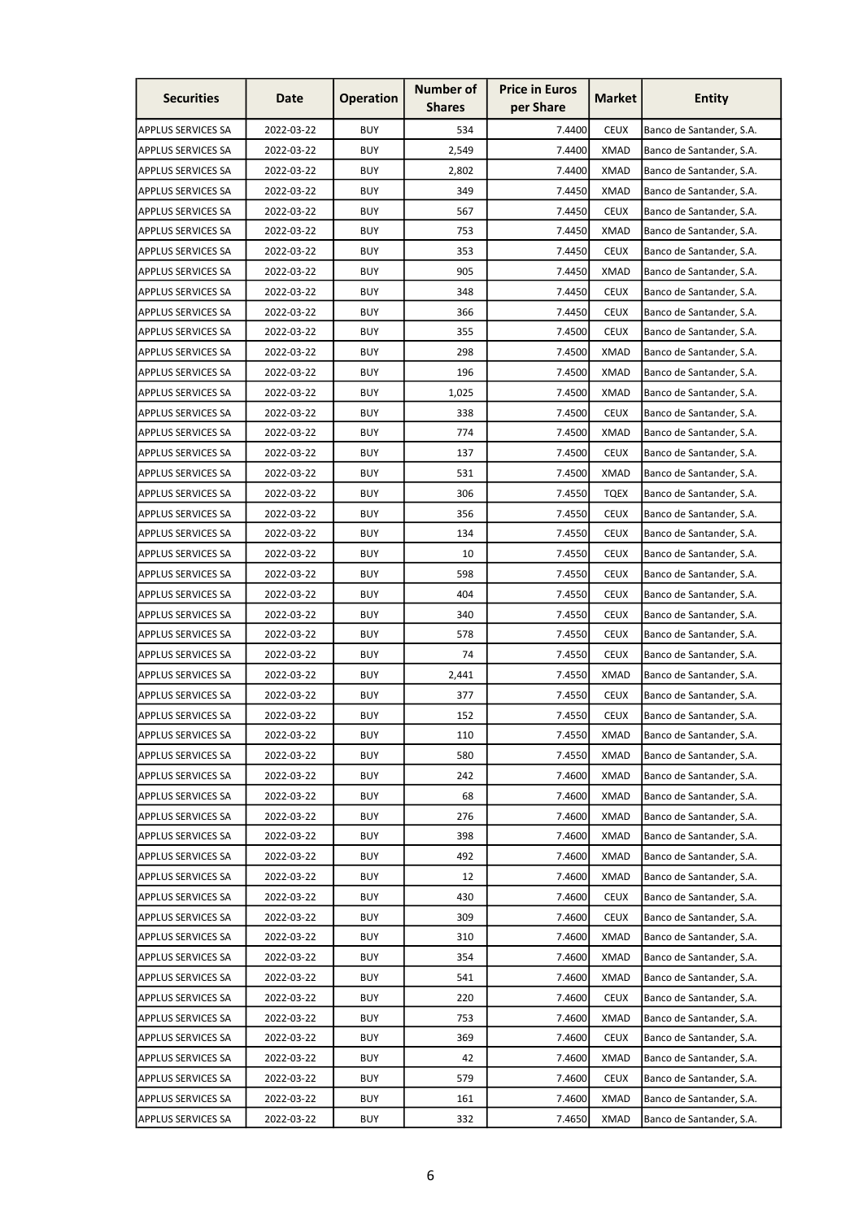| <b>Securities</b>         | Date       | <b>Operation</b> | <b>Number of</b><br><b>Shares</b> | <b>Price in Euros</b><br>per Share | <b>Market</b> | <b>Entity</b>            |
|---------------------------|------------|------------------|-----------------------------------|------------------------------------|---------------|--------------------------|
| <b>APPLUS SERVICES SA</b> | 2022-03-22 | <b>BUY</b>       | 534                               | 7.4400                             | <b>CEUX</b>   | Banco de Santander, S.A. |
| <b>APPLUS SERVICES SA</b> | 2022-03-22 | <b>BUY</b>       | 2,549                             | 7.4400                             | <b>XMAD</b>   | Banco de Santander, S.A. |
| <b>APPLUS SERVICES SA</b> | 2022-03-22 | <b>BUY</b>       | 2,802                             | 7.4400                             | <b>XMAD</b>   | Banco de Santander, S.A. |
| <b>APPLUS SERVICES SA</b> | 2022-03-22 | <b>BUY</b>       | 349                               | 7.4450                             | <b>XMAD</b>   | Banco de Santander, S.A. |
| <b>APPLUS SERVICES SA</b> | 2022-03-22 | <b>BUY</b>       | 567                               | 7.4450                             | <b>CEUX</b>   | Banco de Santander, S.A. |
| <b>APPLUS SERVICES SA</b> | 2022-03-22 | <b>BUY</b>       | 753                               | 7.4450                             | <b>XMAD</b>   | Banco de Santander, S.A. |
| <b>APPLUS SERVICES SA</b> | 2022-03-22 | <b>BUY</b>       | 353                               | 7.4450                             | <b>CEUX</b>   | Banco de Santander, S.A. |
| <b>APPLUS SERVICES SA</b> | 2022-03-22 | <b>BUY</b>       | 905                               | 7.4450                             | <b>XMAD</b>   | Banco de Santander, S.A. |
| <b>APPLUS SERVICES SA</b> | 2022-03-22 | <b>BUY</b>       | 348                               | 7.4450                             | <b>CEUX</b>   | Banco de Santander, S.A. |
| <b>APPLUS SERVICES SA</b> | 2022-03-22 | <b>BUY</b>       | 366                               | 7.4450                             | <b>CEUX</b>   | Banco de Santander, S.A. |
| <b>APPLUS SERVICES SA</b> | 2022-03-22 | <b>BUY</b>       | 355                               | 7.4500                             | <b>CEUX</b>   | Banco de Santander, S.A. |
| <b>APPLUS SERVICES SA</b> | 2022-03-22 | <b>BUY</b>       | 298                               | 7.4500                             | <b>XMAD</b>   | Banco de Santander, S.A. |
| <b>APPLUS SERVICES SA</b> | 2022-03-22 | <b>BUY</b>       | 196                               | 7.4500                             | <b>XMAD</b>   | Banco de Santander, S.A. |
| <b>APPLUS SERVICES SA</b> | 2022-03-22 | <b>BUY</b>       | 1,025                             | 7.4500                             | XMAD          | Banco de Santander, S.A. |
| <b>APPLUS SERVICES SA</b> | 2022-03-22 | <b>BUY</b>       | 338                               | 7.4500                             | <b>CEUX</b>   | Banco de Santander, S.A. |
| <b>APPLUS SERVICES SA</b> | 2022-03-22 | <b>BUY</b>       | 774                               | 7.4500                             | <b>XMAD</b>   | Banco de Santander, S.A. |
| <b>APPLUS SERVICES SA</b> | 2022-03-22 | <b>BUY</b>       | 137                               | 7.4500                             | <b>CEUX</b>   | Banco de Santander, S.A. |
| <b>APPLUS SERVICES SA</b> | 2022-03-22 | <b>BUY</b>       | 531                               | 7.4500                             | <b>XMAD</b>   | Banco de Santander, S.A. |
| <b>APPLUS SERVICES SA</b> | 2022-03-22 | <b>BUY</b>       | 306                               | 7.4550                             | TQEX          | Banco de Santander, S.A. |
| <b>APPLUS SERVICES SA</b> | 2022-03-22 | <b>BUY</b>       | 356                               | 7.4550                             | <b>CEUX</b>   | Banco de Santander, S.A. |
| <b>APPLUS SERVICES SA</b> | 2022-03-22 | <b>BUY</b>       | 134                               | 7.4550                             | <b>CEUX</b>   | Banco de Santander, S.A. |
| <b>APPLUS SERVICES SA</b> | 2022-03-22 | <b>BUY</b>       | 10                                | 7.4550                             | <b>CEUX</b>   | Banco de Santander, S.A. |
| <b>APPLUS SERVICES SA</b> | 2022-03-22 | <b>BUY</b>       | 598                               | 7.4550                             | <b>CEUX</b>   | Banco de Santander, S.A. |
| <b>APPLUS SERVICES SA</b> | 2022-03-22 | <b>BUY</b>       | 404                               | 7.4550                             | <b>CEUX</b>   | Banco de Santander, S.A. |
| <b>APPLUS SERVICES SA</b> | 2022-03-22 | <b>BUY</b>       | 340                               | 7.4550                             | <b>CEUX</b>   | Banco de Santander, S.A. |
| <b>APPLUS SERVICES SA</b> | 2022-03-22 | <b>BUY</b>       | 578                               | 7.4550                             | <b>CEUX</b>   | Banco de Santander, S.A. |
| <b>APPLUS SERVICES SA</b> | 2022-03-22 | <b>BUY</b>       | 74                                | 7.4550                             | <b>CEUX</b>   | Banco de Santander, S.A. |
| <b>APPLUS SERVICES SA</b> | 2022-03-22 | <b>BUY</b>       | 2,441                             | 7.4550                             | <b>XMAD</b>   | Banco de Santander, S.A. |
| APPLUS SERVICES SA        | 2022-03-22 | <b>BUY</b>       | 377                               | 7.4550                             | <b>CEUX</b>   | Banco de Santander, S.A. |
| <b>APPLUS SERVICES SA</b> | 2022-03-22 | <b>BUY</b>       | 152                               | 7.4550                             | <b>CEUX</b>   | Banco de Santander, S.A. |
| <b>APPLUS SERVICES SA</b> | 2022-03-22 | <b>BUY</b>       | 110                               | 7.4550                             | <b>XMAD</b>   | Banco de Santander, S.A. |
| <b>APPLUS SERVICES SA</b> | 2022-03-22 | <b>BUY</b>       | 580                               | 7.4550                             | <b>XMAD</b>   | Banco de Santander, S.A. |
| <b>APPLUS SERVICES SA</b> | 2022-03-22 | <b>BUY</b>       | 242                               | 7.4600                             | <b>XMAD</b>   | Banco de Santander, S.A. |
| <b>APPLUS SERVICES SA</b> | 2022-03-22 | <b>BUY</b>       | 68                                | 7.4600                             | <b>XMAD</b>   | Banco de Santander, S.A. |
| <b>APPLUS SERVICES SA</b> | 2022-03-22 | <b>BUY</b>       | 276                               | 7.4600                             | <b>XMAD</b>   | Banco de Santander, S.A. |
| <b>APPLUS SERVICES SA</b> | 2022-03-22 | <b>BUY</b>       | 398                               | 7.4600                             | <b>XMAD</b>   | Banco de Santander, S.A. |
| <b>APPLUS SERVICES SA</b> | 2022-03-22 | <b>BUY</b>       | 492                               | 7.4600                             | <b>XMAD</b>   | Banco de Santander, S.A. |
| <b>APPLUS SERVICES SA</b> | 2022-03-22 | <b>BUY</b>       | 12                                | 7.4600                             | XMAD          | Banco de Santander, S.A. |
| <b>APPLUS SERVICES SA</b> | 2022-03-22 | <b>BUY</b>       | 430                               | 7.4600                             | <b>CEUX</b>   | Banco de Santander, S.A. |
| <b>APPLUS SERVICES SA</b> | 2022-03-22 | <b>BUY</b>       | 309                               | 7.4600                             | <b>CEUX</b>   | Banco de Santander, S.A. |
| <b>APPLUS SERVICES SA</b> | 2022-03-22 | <b>BUY</b>       | 310                               | 7.4600                             | <b>XMAD</b>   | Banco de Santander, S.A. |
| <b>APPLUS SERVICES SA</b> | 2022-03-22 | <b>BUY</b>       | 354                               | 7.4600                             | <b>XMAD</b>   | Banco de Santander, S.A. |
| <b>APPLUS SERVICES SA</b> | 2022-03-22 | <b>BUY</b>       | 541                               | 7.4600                             | <b>XMAD</b>   | Banco de Santander, S.A. |
| <b>APPLUS SERVICES SA</b> | 2022-03-22 | <b>BUY</b>       | 220                               | 7.4600                             | <b>CEUX</b>   | Banco de Santander, S.A. |
| <b>APPLUS SERVICES SA</b> | 2022-03-22 | <b>BUY</b>       | 753                               | 7.4600                             | <b>XMAD</b>   | Banco de Santander, S.A. |
| <b>APPLUS SERVICES SA</b> | 2022-03-22 | <b>BUY</b>       | 369                               | 7.4600                             | <b>CEUX</b>   | Banco de Santander, S.A. |
| <b>APPLUS SERVICES SA</b> | 2022-03-22 | <b>BUY</b>       | 42                                | 7.4600                             | <b>XMAD</b>   | Banco de Santander, S.A. |
| <b>APPLUS SERVICES SA</b> | 2022-03-22 | <b>BUY</b>       | 579                               | 7.4600                             | <b>CEUX</b>   | Banco de Santander, S.A. |
| <b>APPLUS SERVICES SA</b> | 2022-03-22 | <b>BUY</b>       | 161                               | 7.4600                             | <b>XMAD</b>   | Banco de Santander, S.A. |
| <b>APPLUS SERVICES SA</b> | 2022-03-22 | <b>BUY</b>       | 332                               | 7.4650                             | <b>XMAD</b>   | Banco de Santander, S.A. |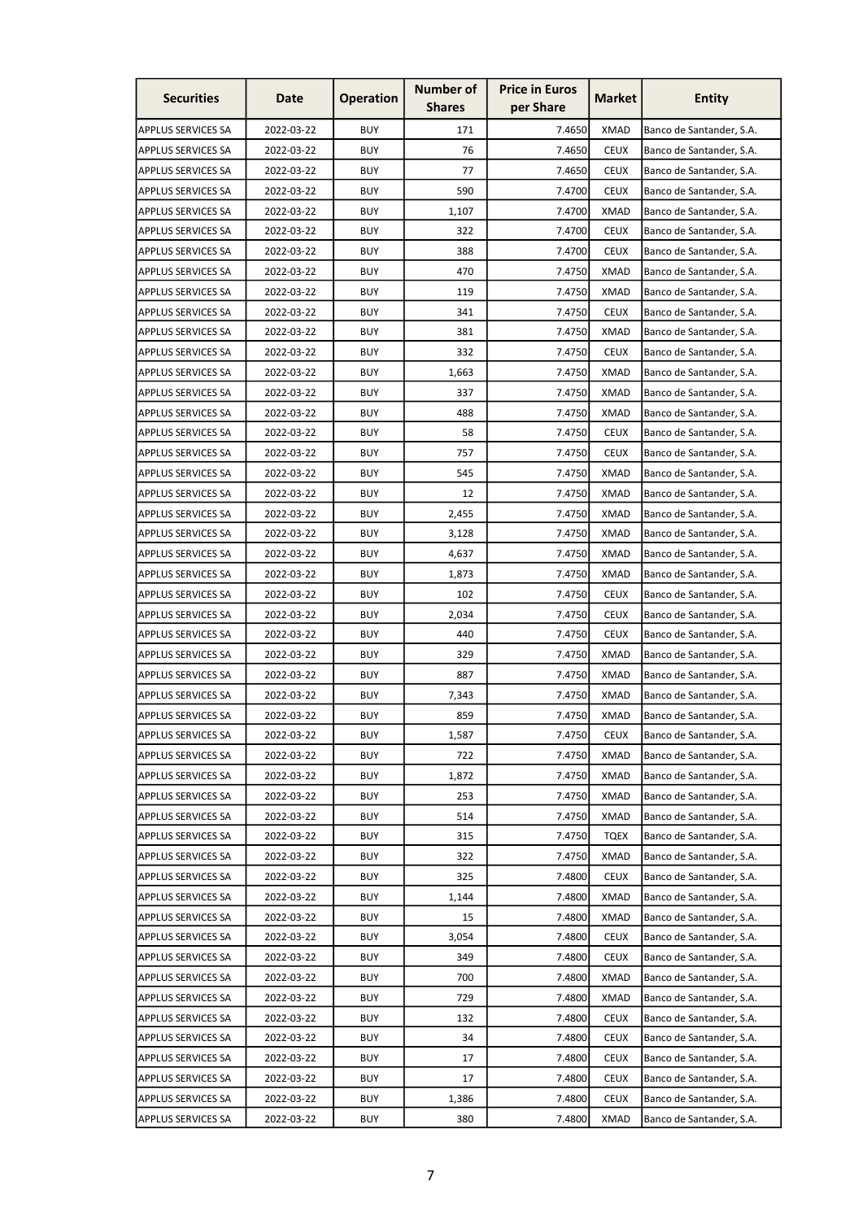| <b>Securities</b>         | Date       | <b>Operation</b> | <b>Number of</b><br><b>Shares</b> | <b>Price in Euros</b><br>per Share | <b>Market</b> | <b>Entity</b>            |
|---------------------------|------------|------------------|-----------------------------------|------------------------------------|---------------|--------------------------|
| APPLUS SERVICES SA        | 2022-03-22 | <b>BUY</b>       | 171                               | 7.4650                             | <b>XMAD</b>   | Banco de Santander, S.A. |
| <b>APPLUS SERVICES SA</b> | 2022-03-22 | <b>BUY</b>       | 76                                | 7.4650                             | <b>CEUX</b>   | Banco de Santander, S.A. |
| <b>APPLUS SERVICES SA</b> | 2022-03-22 | <b>BUY</b>       | 77                                | 7.4650                             | <b>CEUX</b>   | Banco de Santander, S.A. |
| APPLUS SERVICES SA        | 2022-03-22 | <b>BUY</b>       | 590                               | 7.4700                             | <b>CEUX</b>   | Banco de Santander, S.A. |
| <b>APPLUS SERVICES SA</b> | 2022-03-22 | <b>BUY</b>       | 1,107                             | 7.4700                             | <b>XMAD</b>   | Banco de Santander, S.A. |
| <b>APPLUS SERVICES SA</b> | 2022-03-22 | <b>BUY</b>       | 322                               | 7.4700                             | <b>CEUX</b>   | Banco de Santander, S.A. |
| APPLUS SERVICES SA        | 2022-03-22 | <b>BUY</b>       | 388                               | 7.4700                             | <b>CEUX</b>   | Banco de Santander, S.A. |
| <b>APPLUS SERVICES SA</b> | 2022-03-22 | <b>BUY</b>       | 470                               | 7.4750                             | <b>XMAD</b>   | Banco de Santander, S.A. |
| <b>APPLUS SERVICES SA</b> | 2022-03-22 | <b>BUY</b>       | 119                               | 7.4750                             | <b>XMAD</b>   | Banco de Santander, S.A. |
| <b>APPLUS SERVICES SA</b> | 2022-03-22 | <b>BUY</b>       | 341                               | 7.4750                             | <b>CEUX</b>   | Banco de Santander, S.A. |
| <b>APPLUS SERVICES SA</b> | 2022-03-22 | <b>BUY</b>       | 381                               | 7.4750                             | <b>XMAD</b>   | Banco de Santander, S.A. |
| <b>APPLUS SERVICES SA</b> | 2022-03-22 | <b>BUY</b>       | 332                               | 7.4750                             | <b>CEUX</b>   | Banco de Santander, S.A. |
| <b>APPLUS SERVICES SA</b> | 2022-03-22 | <b>BUY</b>       | 1,663                             | 7.4750                             | <b>XMAD</b>   | Banco de Santander, S.A. |
| <b>APPLUS SERVICES SA</b> | 2022-03-22 | <b>BUY</b>       | 337                               | 7.4750                             | XMAD          | Banco de Santander, S.A. |
| <b>APPLUS SERVICES SA</b> | 2022-03-22 | <b>BUY</b>       | 488                               | 7.4750                             | <b>XMAD</b>   | Banco de Santander, S.A. |
| <b>APPLUS SERVICES SA</b> | 2022-03-22 | <b>BUY</b>       | 58                                | 7.4750                             | <b>CEUX</b>   | Banco de Santander, S.A. |
| <b>APPLUS SERVICES SA</b> | 2022-03-22 | <b>BUY</b>       | 757                               | 7.4750                             | <b>CEUX</b>   | Banco de Santander, S.A. |
| <b>APPLUS SERVICES SA</b> | 2022-03-22 | <b>BUY</b>       | 545                               | 7.4750                             | <b>XMAD</b>   | Banco de Santander, S.A. |
| <b>APPLUS SERVICES SA</b> | 2022-03-22 | <b>BUY</b>       | 12                                | 7.4750                             | <b>XMAD</b>   | Banco de Santander, S.A. |
| <b>APPLUS SERVICES SA</b> | 2022-03-22 | <b>BUY</b>       | 2,455                             | 7.4750                             | XMAD          | Banco de Santander, S.A. |
| <b>APPLUS SERVICES SA</b> | 2022-03-22 | <b>BUY</b>       | 3,128                             | 7.4750                             | <b>XMAD</b>   | Banco de Santander, S.A. |
| <b>APPLUS SERVICES SA</b> | 2022-03-22 | <b>BUY</b>       | 4,637                             | 7.4750                             | <b>XMAD</b>   | Banco de Santander, S.A. |
| <b>APPLUS SERVICES SA</b> | 2022-03-22 | <b>BUY</b>       | 1,873                             | 7.4750                             | <b>XMAD</b>   | Banco de Santander, S.A. |
| <b>APPLUS SERVICES SA</b> | 2022-03-22 | <b>BUY</b>       | 102                               | 7.4750                             | <b>CEUX</b>   | Banco de Santander, S.A. |
| <b>APPLUS SERVICES SA</b> | 2022-03-22 | <b>BUY</b>       | 2,034                             | 7.4750                             | <b>CEUX</b>   | Banco de Santander, S.A. |
| <b>APPLUS SERVICES SA</b> | 2022-03-22 | <b>BUY</b>       | 440                               | 7.4750                             | <b>CEUX</b>   | Banco de Santander, S.A. |
| <b>APPLUS SERVICES SA</b> | 2022-03-22 | <b>BUY</b>       | 329                               | 7.4750                             | <b>XMAD</b>   | Banco de Santander, S.A. |
| <b>APPLUS SERVICES SA</b> | 2022-03-22 | <b>BUY</b>       | 887                               | 7.4750                             | <b>XMAD</b>   | Banco de Santander, S.A. |
| APPLUS SERVICES SA        | 2022-03-22 | <b>BUY</b>       | 7,343                             | 7.4750                             | <b>XMAD</b>   | Banco de Santander, S.A. |
| <b>APPLUS SERVICES SA</b> | 2022-03-22 | <b>BUY</b>       | 859                               | 7.4750                             | <b>XMAD</b>   | Banco de Santander, S.A. |
| <b>APPLUS SERVICES SA</b> | 2022-03-22 | <b>BUY</b>       | 1,587                             | 7.4750                             | <b>CEUX</b>   | Banco de Santander, S.A. |
| <b>APPLUS SERVICES SA</b> | 2022-03-22 | <b>BUY</b>       | 722                               | 7.4750                             | XMAD          | Banco de Santander, S.A. |
| <b>APPLUS SERVICES SA</b> | 2022-03-22 | <b>BUY</b>       | 1,872                             | 7.4750                             | <b>XMAD</b>   | Banco de Santander, S.A. |
| <b>APPLUS SERVICES SA</b> | 2022-03-22 | <b>BUY</b>       | 253                               | 7.4750                             | <b>XMAD</b>   | Banco de Santander, S.A. |
| <b>APPLUS SERVICES SA</b> | 2022-03-22 | <b>BUY</b>       | 514                               | 7.4750                             | <b>XMAD</b>   | Banco de Santander, S.A. |
| <b>APPLUS SERVICES SA</b> | 2022-03-22 | <b>BUY</b>       | 315                               | 7.4750                             | <b>TQEX</b>   | Banco de Santander, S.A. |
| <b>APPLUS SERVICES SA</b> | 2022-03-22 | <b>BUY</b>       | 322                               | 7.4750                             | <b>XMAD</b>   | Banco de Santander, S.A. |
| <b>APPLUS SERVICES SA</b> | 2022-03-22 | <b>BUY</b>       | 325                               | 7.4800                             | <b>CEUX</b>   | Banco de Santander, S.A. |
| <b>APPLUS SERVICES SA</b> | 2022-03-22 | <b>BUY</b>       | 1,144                             | 7.4800                             | <b>XMAD</b>   | Banco de Santander, S.A. |
| <b>APPLUS SERVICES SA</b> | 2022-03-22 | <b>BUY</b>       | 15                                | 7.4800                             | <b>XMAD</b>   | Banco de Santander, S.A. |
| <b>APPLUS SERVICES SA</b> | 2022-03-22 | <b>BUY</b>       | 3,054                             | 7.4800                             | <b>CEUX</b>   | Banco de Santander, S.A. |
| <b>APPLUS SERVICES SA</b> | 2022-03-22 | <b>BUY</b>       | 349                               | 7.4800                             | <b>CEUX</b>   | Banco de Santander, S.A. |
| <b>APPLUS SERVICES SA</b> | 2022-03-22 | <b>BUY</b>       | 700                               | 7.4800                             | <b>XMAD</b>   | Banco de Santander, S.A. |
| <b>APPLUS SERVICES SA</b> | 2022-03-22 | <b>BUY</b>       | 729                               | 7.4800                             | <b>XMAD</b>   | Banco de Santander, S.A. |
| <b>APPLUS SERVICES SA</b> | 2022-03-22 | <b>BUY</b>       | 132                               | 7.4800                             | <b>CEUX</b>   | Banco de Santander, S.A. |
| <b>APPLUS SERVICES SA</b> | 2022-03-22 | <b>BUY</b>       | 34                                | 7.4800                             | <b>CEUX</b>   | Banco de Santander, S.A. |
| <b>APPLUS SERVICES SA</b> | 2022-03-22 | <b>BUY</b>       | 17                                | 7.4800                             | <b>CEUX</b>   | Banco de Santander, S.A. |
| APPLUS SERVICES SA        | 2022-03-22 | <b>BUY</b>       | 17                                | 7.4800                             | <b>CEUX</b>   | Banco de Santander, S.A. |
| APPLUS SERVICES SA        | 2022-03-22 | <b>BUY</b>       | 1,386                             | 7.4800                             | <b>CEUX</b>   | Banco de Santander, S.A. |
| <b>APPLUS SERVICES SA</b> | 2022-03-22 | <b>BUY</b>       | 380                               | 7.4800                             | <b>XMAD</b>   | Banco de Santander, S.A. |
|                           |            |                  |                                   |                                    |               |                          |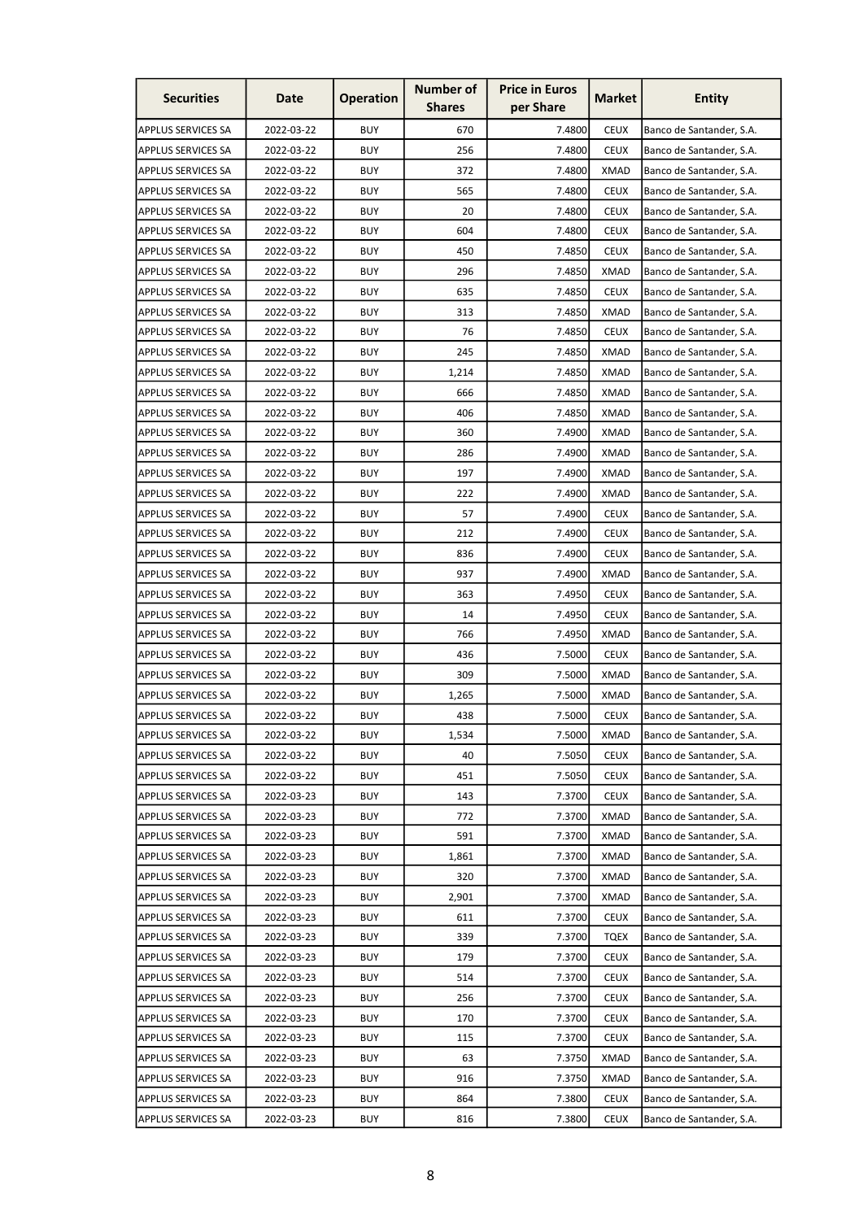| <b>Securities</b>         | Date       | <b>Operation</b> | <b>Number of</b><br><b>Shares</b> | <b>Price in Euros</b><br>per Share | <b>Market</b> | <b>Entity</b>            |
|---------------------------|------------|------------------|-----------------------------------|------------------------------------|---------------|--------------------------|
| APPLUS SERVICES SA        | 2022-03-22 | <b>BUY</b>       | 670                               | 7.4800                             | <b>CEUX</b>   | Banco de Santander, S.A. |
| <b>APPLUS SERVICES SA</b> | 2022-03-22 | <b>BUY</b>       | 256                               | 7.4800                             | <b>CEUX</b>   | Banco de Santander, S.A. |
| <b>APPLUS SERVICES SA</b> | 2022-03-22 | <b>BUY</b>       | 372                               | 7.4800                             | <b>XMAD</b>   | Banco de Santander, S.A. |
| APPLUS SERVICES SA        | 2022-03-22 | <b>BUY</b>       | 565                               | 7.4800                             | <b>CEUX</b>   | Banco de Santander, S.A. |
| <b>APPLUS SERVICES SA</b> | 2022-03-22 | <b>BUY</b>       | 20                                | 7.4800                             | <b>CEUX</b>   | Banco de Santander, S.A. |
| <b>APPLUS SERVICES SA</b> | 2022-03-22 | <b>BUY</b>       | 604                               | 7.4800                             | <b>CEUX</b>   | Banco de Santander, S.A. |
| APPLUS SERVICES SA        | 2022-03-22 | <b>BUY</b>       | 450                               | 7.4850                             | <b>CEUX</b>   | Banco de Santander, S.A. |
| <b>APPLUS SERVICES SA</b> | 2022-03-22 | <b>BUY</b>       | 296                               | 7.4850                             | <b>XMAD</b>   | Banco de Santander, S.A. |
| <b>APPLUS SERVICES SA</b> | 2022-03-22 | <b>BUY</b>       | 635                               | 7.4850                             | <b>CEUX</b>   | Banco de Santander, S.A. |
| <b>APPLUS SERVICES SA</b> | 2022-03-22 | <b>BUY</b>       | 313                               | 7.4850                             | <b>XMAD</b>   | Banco de Santander, S.A. |
| <b>APPLUS SERVICES SA</b> | 2022-03-22 | <b>BUY</b>       | 76                                | 7.4850                             | <b>CEUX</b>   | Banco de Santander, S.A. |
| <b>APPLUS SERVICES SA</b> | 2022-03-22 | <b>BUY</b>       | 245                               | 7.4850                             | <b>XMAD</b>   | Banco de Santander, S.A. |
| <b>APPLUS SERVICES SA</b> | 2022-03-22 | <b>BUY</b>       | 1,214                             | 7.4850                             | <b>XMAD</b>   | Banco de Santander, S.A. |
| <b>APPLUS SERVICES SA</b> | 2022-03-22 | <b>BUY</b>       | 666                               | 7.4850                             | XMAD          | Banco de Santander, S.A. |
| <b>APPLUS SERVICES SA</b> | 2022-03-22 | <b>BUY</b>       | 406                               | 7.4850                             | <b>XMAD</b>   | Banco de Santander, S.A. |
| <b>APPLUS SERVICES SA</b> | 2022-03-22 | <b>BUY</b>       | 360                               | 7.4900                             | <b>XMAD</b>   | Banco de Santander, S.A. |
| <b>APPLUS SERVICES SA</b> | 2022-03-22 | <b>BUY</b>       | 286                               | 7.4900                             | <b>XMAD</b>   | Banco de Santander, S.A. |
| <b>APPLUS SERVICES SA</b> | 2022-03-22 | <b>BUY</b>       | 197                               | 7.4900                             | <b>XMAD</b>   | Banco de Santander, S.A. |
| <b>APPLUS SERVICES SA</b> | 2022-03-22 | <b>BUY</b>       | 222                               | 7.4900                             | <b>XMAD</b>   | Banco de Santander, S.A. |
| <b>APPLUS SERVICES SA</b> | 2022-03-22 | <b>BUY</b>       | 57                                | 7.4900                             | <b>CEUX</b>   | Banco de Santander, S.A. |
| <b>APPLUS SERVICES SA</b> | 2022-03-22 | <b>BUY</b>       | 212                               | 7.4900                             | <b>CEUX</b>   | Banco de Santander, S.A. |
| <b>APPLUS SERVICES SA</b> | 2022-03-22 | <b>BUY</b>       | 836                               | 7.4900                             | <b>CEUX</b>   | Banco de Santander, S.A. |
| <b>APPLUS SERVICES SA</b> | 2022-03-22 | <b>BUY</b>       | 937                               | 7.4900                             | <b>XMAD</b>   | Banco de Santander, S.A. |
| <b>APPLUS SERVICES SA</b> | 2022-03-22 | <b>BUY</b>       | 363                               | 7.4950                             | <b>CEUX</b>   | Banco de Santander, S.A. |
| <b>APPLUS SERVICES SA</b> | 2022-03-22 | <b>BUY</b>       | 14                                | 7.4950                             | <b>CEUX</b>   | Banco de Santander, S.A. |
| <b>APPLUS SERVICES SA</b> | 2022-03-22 | <b>BUY</b>       | 766                               | 7.4950                             | XMAD          | Banco de Santander, S.A. |
| <b>APPLUS SERVICES SA</b> | 2022-03-22 | <b>BUY</b>       | 436                               | 7.5000                             | <b>CEUX</b>   | Banco de Santander, S.A. |
| <b>APPLUS SERVICES SA</b> | 2022-03-22 | <b>BUY</b>       | 309                               | 7.5000                             | <b>XMAD</b>   | Banco de Santander, S.A. |
| APPLUS SERVICES SA        | 2022-03-22 | <b>BUY</b>       | 1,265                             | 7.5000                             | <b>XMAD</b>   | Banco de Santander, S.A. |
| <b>APPLUS SERVICES SA</b> | 2022-03-22 | <b>BUY</b>       | 438                               | 7.5000                             | <b>CEUX</b>   | Banco de Santander, S.A. |
| <b>APPLUS SERVICES SA</b> | 2022-03-22 | <b>BUY</b>       | 1,534                             | 7.5000                             | <b>XMAD</b>   | Banco de Santander, S.A. |
| <b>APPLUS SERVICES SA</b> | 2022-03-22 | <b>BUY</b>       | 40                                | 7.5050                             | <b>CEUX</b>   | Banco de Santander, S.A. |
| <b>APPLUS SERVICES SA</b> | 2022-03-22 | <b>BUY</b>       | 451                               | 7.5050                             | <b>CEUX</b>   | Banco de Santander, S.A. |
| <b>APPLUS SERVICES SA</b> | 2022-03-23 | <b>BUY</b>       | 143                               | 7.3700                             | <b>CEUX</b>   | Banco de Santander, S.A. |
| <b>APPLUS SERVICES SA</b> | 2022-03-23 | <b>BUY</b>       | 772                               | 7.3700                             | <b>XMAD</b>   | Banco de Santander, S.A. |
| <b>APPLUS SERVICES SA</b> | 2022-03-23 | <b>BUY</b>       | 591                               | 7.3700                             | <b>XMAD</b>   | Banco de Santander, S.A. |
| <b>APPLUS SERVICES SA</b> | 2022-03-23 | <b>BUY</b>       | 1,861                             | 7.3700                             | <b>XMAD</b>   | Banco de Santander, S.A. |
| <b>APPLUS SERVICES SA</b> | 2022-03-23 | <b>BUY</b>       | 320                               | 7.3700                             | <b>XMAD</b>   | Banco de Santander, S.A. |
| <b>APPLUS SERVICES SA</b> | 2022-03-23 | <b>BUY</b>       | 2,901                             | 7.3700                             | <b>XMAD</b>   | Banco de Santander, S.A. |
| <b>APPLUS SERVICES SA</b> | 2022-03-23 | <b>BUY</b>       | 611                               | 7.3700                             | <b>CEUX</b>   | Banco de Santander, S.A. |
| <b>APPLUS SERVICES SA</b> | 2022-03-23 | <b>BUY</b>       | 339                               | 7.3700                             | <b>TQEX</b>   | Banco de Santander, S.A. |
| <b>APPLUS SERVICES SA</b> | 2022-03-23 | <b>BUY</b>       | 179                               | 7.3700                             | <b>CEUX</b>   | Banco de Santander, S.A. |
| <b>APPLUS SERVICES SA</b> | 2022-03-23 | <b>BUY</b>       | 514                               | 7.3700                             | <b>CEUX</b>   | Banco de Santander, S.A. |
| <b>APPLUS SERVICES SA</b> | 2022-03-23 | <b>BUY</b>       | 256                               | 7.3700                             | <b>CEUX</b>   | Banco de Santander, S.A. |
| <b>APPLUS SERVICES SA</b> | 2022-03-23 | <b>BUY</b>       | 170                               | 7.3700                             | <b>CEUX</b>   | Banco de Santander, S.A. |
| <b>APPLUS SERVICES SA</b> | 2022-03-23 | <b>BUY</b>       | 115                               | 7.3700                             | <b>CEUX</b>   | Banco de Santander, S.A. |
| <b>APPLUS SERVICES SA</b> | 2022-03-23 | <b>BUY</b>       | 63                                | 7.3750                             | <b>XMAD</b>   | Banco de Santander, S.A. |
| APPLUS SERVICES SA        | 2022-03-23 | <b>BUY</b>       | 916                               | 7.3750                             | <b>XMAD</b>   | Banco de Santander, S.A. |
| <b>APPLUS SERVICES SA</b> | 2022-03-23 | <b>BUY</b>       | 864                               | 7.3800                             | <b>CEUX</b>   | Banco de Santander, S.A. |
| APPLUS SERVICES SA        | 2022-03-23 | <b>BUY</b>       | 816                               | 7.3800                             | <b>CEUX</b>   | Banco de Santander, S.A. |
|                           |            |                  |                                   |                                    |               |                          |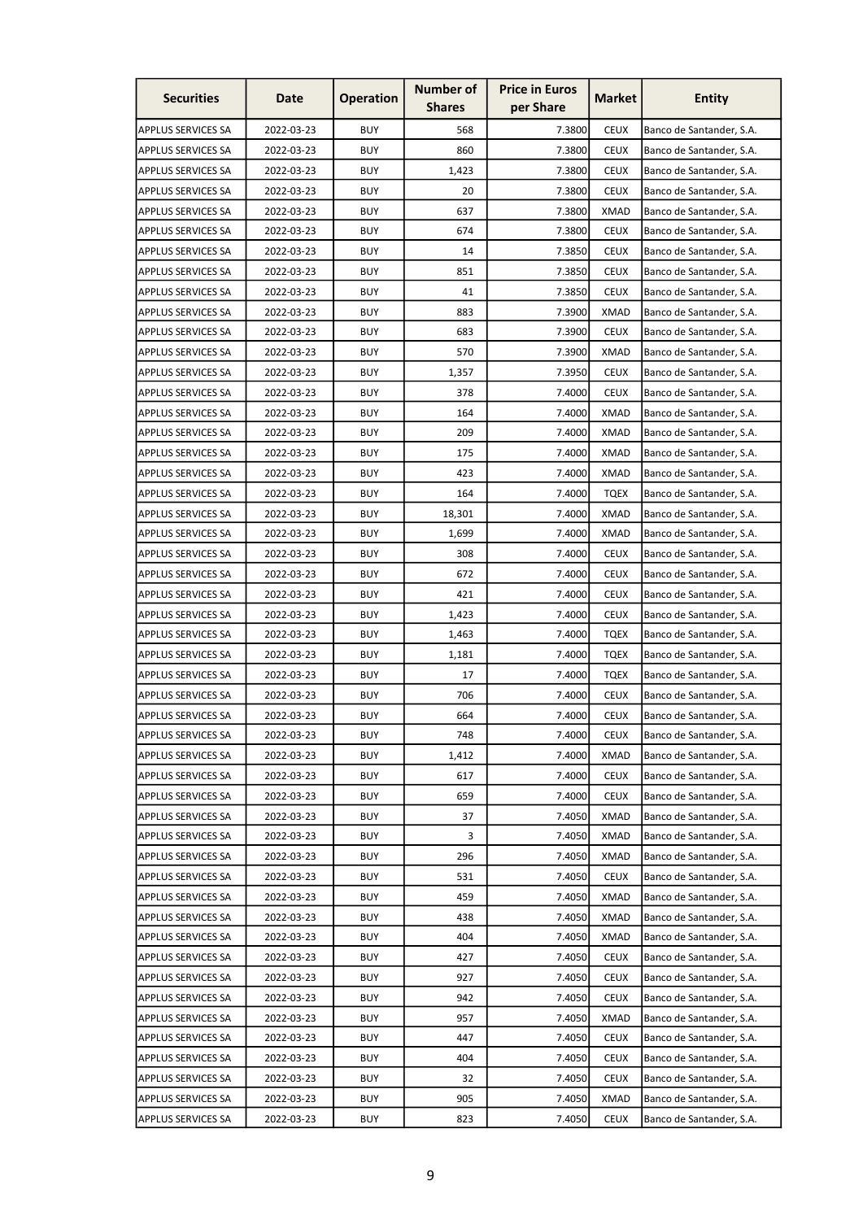| <b>Securities</b>         | Date       | <b>Operation</b> | <b>Number of</b><br><b>Shares</b> | <b>Price in Euros</b><br>per Share | <b>Market</b> | <b>Entity</b>            |
|---------------------------|------------|------------------|-----------------------------------|------------------------------------|---------------|--------------------------|
| APPLUS SERVICES SA        | 2022-03-23 | <b>BUY</b>       | 568                               | 7.3800                             | <b>CEUX</b>   | Banco de Santander, S.A. |
| <b>APPLUS SERVICES SA</b> | 2022-03-23 | <b>BUY</b>       | 860                               | 7.3800                             | <b>CEUX</b>   | Banco de Santander, S.A. |
| <b>APPLUS SERVICES SA</b> | 2022-03-23 | <b>BUY</b>       | 1,423                             | 7.3800                             | <b>CEUX</b>   | Banco de Santander, S.A. |
| APPLUS SERVICES SA        | 2022-03-23 | <b>BUY</b>       | 20                                | 7.3800                             | <b>CEUX</b>   | Banco de Santander, S.A. |
| <b>APPLUS SERVICES SA</b> | 2022-03-23 | <b>BUY</b>       | 637                               | 7.3800                             | <b>XMAD</b>   | Banco de Santander, S.A. |
| <b>APPLUS SERVICES SA</b> | 2022-03-23 | <b>BUY</b>       | 674                               | 7.3800                             | <b>CEUX</b>   | Banco de Santander, S.A. |
| <b>APPLUS SERVICES SA</b> | 2022-03-23 | <b>BUY</b>       | 14                                | 7.3850                             | <b>CEUX</b>   | Banco de Santander, S.A. |
| <b>APPLUS SERVICES SA</b> | 2022-03-23 | <b>BUY</b>       | 851                               | 7.3850                             | <b>CEUX</b>   | Banco de Santander, S.A. |
| <b>APPLUS SERVICES SA</b> | 2022-03-23 | <b>BUY</b>       | 41                                | 7.3850                             | <b>CEUX</b>   | Banco de Santander, S.A. |
| <b>APPLUS SERVICES SA</b> | 2022-03-23 | <b>BUY</b>       | 883                               | 7.3900                             | <b>XMAD</b>   | Banco de Santander, S.A. |
| <b>APPLUS SERVICES SA</b> | 2022-03-23 | <b>BUY</b>       | 683                               | 7.3900                             | <b>CEUX</b>   | Banco de Santander, S.A. |
| <b>APPLUS SERVICES SA</b> | 2022-03-23 | <b>BUY</b>       | 570                               | 7.3900                             | <b>XMAD</b>   | Banco de Santander, S.A. |
| <b>APPLUS SERVICES SA</b> | 2022-03-23 | <b>BUY</b>       | 1,357                             | 7.3950                             | <b>CEUX</b>   | Banco de Santander, S.A. |
| <b>APPLUS SERVICES SA</b> | 2022-03-23 | <b>BUY</b>       | 378                               | 7.4000                             | <b>CEUX</b>   | Banco de Santander, S.A. |
| <b>APPLUS SERVICES SA</b> | 2022-03-23 | <b>BUY</b>       | 164                               | 7.4000                             | <b>XMAD</b>   | Banco de Santander, S.A. |
| <b>APPLUS SERVICES SA</b> | 2022-03-23 | <b>BUY</b>       | 209                               | 7.4000                             | <b>XMAD</b>   | Banco de Santander, S.A. |
| <b>APPLUS SERVICES SA</b> | 2022-03-23 | <b>BUY</b>       | 175                               | 7.4000                             | <b>XMAD</b>   | Banco de Santander, S.A. |
| <b>APPLUS SERVICES SA</b> | 2022-03-23 | <b>BUY</b>       | 423                               | 7.4000                             | <b>XMAD</b>   | Banco de Santander, S.A. |
| <b>APPLUS SERVICES SA</b> | 2022-03-23 | <b>BUY</b>       | 164                               | 7.4000                             | TQEX          | Banco de Santander, S.A. |
| <b>APPLUS SERVICES SA</b> | 2022-03-23 | <b>BUY</b>       | 18,301                            | 7.4000                             | XMAD          | Banco de Santander, S.A. |
| <b>APPLUS SERVICES SA</b> | 2022-03-23 | <b>BUY</b>       | 1,699                             | 7.4000                             | <b>XMAD</b>   | Banco de Santander, S.A. |
| <b>APPLUS SERVICES SA</b> | 2022-03-23 | <b>BUY</b>       | 308                               | 7.4000                             | <b>CEUX</b>   | Banco de Santander, S.A. |
| <b>APPLUS SERVICES SA</b> | 2022-03-23 | <b>BUY</b>       | 672                               | 7.4000                             | <b>CEUX</b>   | Banco de Santander, S.A. |
| <b>APPLUS SERVICES SA</b> | 2022-03-23 | <b>BUY</b>       | 421                               | 7.4000                             | <b>CEUX</b>   | Banco de Santander, S.A. |
| <b>APPLUS SERVICES SA</b> | 2022-03-23 | <b>BUY</b>       | 1,423                             | 7.4000                             | <b>CEUX</b>   | Banco de Santander, S.A. |
| <b>APPLUS SERVICES SA</b> | 2022-03-23 | <b>BUY</b>       | 1,463                             | 7.4000                             | <b>TQEX</b>   | Banco de Santander, S.A. |
| <b>APPLUS SERVICES SA</b> | 2022-03-23 | <b>BUY</b>       | 1,181                             | 7.4000                             | <b>TQEX</b>   | Banco de Santander, S.A. |
| <b>APPLUS SERVICES SA</b> | 2022-03-23 | <b>BUY</b>       | 17                                | 7.4000                             | <b>TQEX</b>   | Banco de Santander, S.A. |
| APPLUS SERVICES SA        | 2022-03-23 | <b>BUY</b>       | 706                               | 7.4000                             | <b>CEUX</b>   | Banco de Santander, S.A. |
| <b>APPLUS SERVICES SA</b> | 2022-03-23 | <b>BUY</b>       | 664                               | 7.4000                             | <b>CEUX</b>   | Banco de Santander, S.A. |
| <b>APPLUS SERVICES SA</b> | 2022-03-23 | <b>BUY</b>       | 748                               | 7.4000                             | <b>CEUX</b>   | Banco de Santander, S.A. |
| <b>APPLUS SERVICES SA</b> | 2022-03-23 | <b>BUY</b>       | 1,412                             | 7.4000                             | XMAD          | Banco de Santander, S.A. |
| <b>APPLUS SERVICES SA</b> | 2022-03-23 | <b>BUY</b>       | 617                               | 7.4000                             | <b>CEUX</b>   | Banco de Santander, S.A. |
| <b>APPLUS SERVICES SA</b> | 2022-03-23 | <b>BUY</b>       | 659                               | 7.4000                             | <b>CEUX</b>   | Banco de Santander, S.A. |
| <b>APPLUS SERVICES SA</b> | 2022-03-23 | <b>BUY</b>       | 37                                | 7.4050                             | <b>XMAD</b>   | Banco de Santander, S.A. |
| <b>APPLUS SERVICES SA</b> | 2022-03-23 | <b>BUY</b>       | 3                                 | 7.4050                             | <b>XMAD</b>   | Banco de Santander, S.A. |
| <b>APPLUS SERVICES SA</b> | 2022-03-23 | <b>BUY</b>       | 296                               | 7.4050                             | <b>XMAD</b>   | Banco de Santander, S.A. |
| <b>APPLUS SERVICES SA</b> | 2022-03-23 | <b>BUY</b>       | 531                               | 7.4050                             | <b>CEUX</b>   | Banco de Santander, S.A. |
| <b>APPLUS SERVICES SA</b> | 2022-03-23 | <b>BUY</b>       | 459                               | 7.4050                             | <b>XMAD</b>   | Banco de Santander, S.A. |
| <b>APPLUS SERVICES SA</b> | 2022-03-23 | <b>BUY</b>       | 438                               | 7.4050                             | <b>XMAD</b>   | Banco de Santander, S.A. |
| <b>APPLUS SERVICES SA</b> | 2022-03-23 | <b>BUY</b>       | 404                               | 7.4050                             | <b>XMAD</b>   | Banco de Santander, S.A. |
| <b>APPLUS SERVICES SA</b> | 2022-03-23 | <b>BUY</b>       | 427                               | 7.4050                             | <b>CEUX</b>   | Banco de Santander, S.A. |
| <b>APPLUS SERVICES SA</b> | 2022-03-23 | <b>BUY</b>       | 927                               | 7.4050                             | <b>CEUX</b>   | Banco de Santander, S.A. |
| <b>APPLUS SERVICES SA</b> | 2022-03-23 | <b>BUY</b>       | 942                               | 7.4050                             | <b>CEUX</b>   | Banco de Santander, S.A. |
| <b>APPLUS SERVICES SA</b> | 2022-03-23 | <b>BUY</b>       | 957                               | 7.4050                             | <b>XMAD</b>   | Banco de Santander, S.A. |
| <b>APPLUS SERVICES SA</b> | 2022-03-23 | <b>BUY</b>       | 447                               | 7.4050                             | <b>CEUX</b>   | Banco de Santander, S.A. |
| <b>APPLUS SERVICES SA</b> | 2022-03-23 | <b>BUY</b>       | 404                               | 7.4050                             | <b>CEUX</b>   | Banco de Santander, S.A. |
| APPLUS SERVICES SA        | 2022-03-23 | <b>BUY</b>       | 32                                | 7.4050                             | <b>CEUX</b>   | Banco de Santander, S.A. |
| APPLUS SERVICES SA        | 2022-03-23 | <b>BUY</b>       | 905                               | 7.4050                             | <b>XMAD</b>   | Banco de Santander, S.A. |
| <b>APPLUS SERVICES SA</b> | 2022-03-23 | <b>BUY</b>       | 823                               | 7.4050                             | <b>CEUX</b>   | Banco de Santander, S.A. |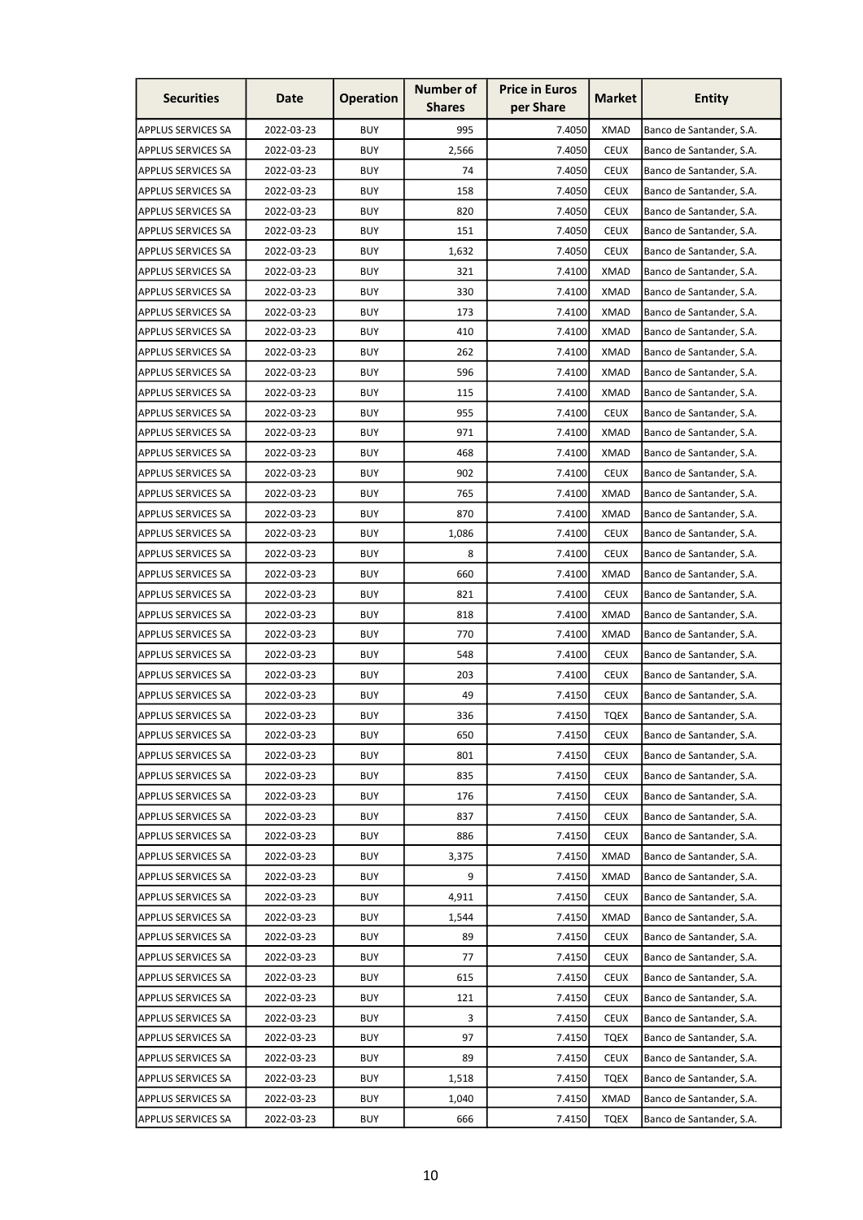| <b>Securities</b>         | Date       | <b>Operation</b> | <b>Number of</b><br><b>Shares</b> | <b>Price in Euros</b><br>per Share | <b>Market</b> | <b>Entity</b>            |
|---------------------------|------------|------------------|-----------------------------------|------------------------------------|---------------|--------------------------|
| <b>APPLUS SERVICES SA</b> | 2022-03-23 | <b>BUY</b>       | 995                               | 7.4050                             | <b>XMAD</b>   | Banco de Santander, S.A. |
| <b>APPLUS SERVICES SA</b> | 2022-03-23 | <b>BUY</b>       | 2,566                             | 7.4050                             | <b>CEUX</b>   | Banco de Santander, S.A. |
| <b>APPLUS SERVICES SA</b> | 2022-03-23 | <b>BUY</b>       | 74                                | 7.4050                             | <b>CEUX</b>   | Banco de Santander, S.A. |
| <b>APPLUS SERVICES SA</b> | 2022-03-23 | <b>BUY</b>       | 158                               | 7.4050                             | <b>CEUX</b>   | Banco de Santander, S.A. |
| <b>APPLUS SERVICES SA</b> | 2022-03-23 | <b>BUY</b>       | 820                               | 7.4050                             | <b>CEUX</b>   | Banco de Santander, S.A. |
| <b>APPLUS SERVICES SA</b> | 2022-03-23 | <b>BUY</b>       | 151                               | 7.4050                             | <b>CEUX</b>   | Banco de Santander, S.A. |
| <b>APPLUS SERVICES SA</b> | 2022-03-23 | <b>BUY</b>       | 1,632                             | 7.4050                             | <b>CEUX</b>   | Banco de Santander, S.A. |
| <b>APPLUS SERVICES SA</b> | 2022-03-23 | <b>BUY</b>       | 321                               | 7.4100                             | <b>XMAD</b>   | Banco de Santander, S.A. |
| <b>APPLUS SERVICES SA</b> | 2022-03-23 | <b>BUY</b>       | 330                               | 7.4100                             | <b>XMAD</b>   | Banco de Santander, S.A. |
| <b>APPLUS SERVICES SA</b> | 2022-03-23 | <b>BUY</b>       | 173                               | 7.4100                             | <b>XMAD</b>   | Banco de Santander, S.A. |
| <b>APPLUS SERVICES SA</b> | 2022-03-23 | <b>BUY</b>       | 410                               | 7.4100                             | <b>XMAD</b>   | Banco de Santander, S.A. |
| <b>APPLUS SERVICES SA</b> | 2022-03-23 | <b>BUY</b>       | 262                               | 7.4100                             | XMAD          | Banco de Santander, S.A. |
| <b>APPLUS SERVICES SA</b> | 2022-03-23 | <b>BUY</b>       | 596                               | 7.4100                             | <b>XMAD</b>   | Banco de Santander, S.A. |
| <b>APPLUS SERVICES SA</b> | 2022-03-23 | <b>BUY</b>       | 115                               | 7.4100                             | XMAD          | Banco de Santander, S.A. |
| <b>APPLUS SERVICES SA</b> | 2022-03-23 | <b>BUY</b>       | 955                               | 7.4100                             | <b>CEUX</b>   | Banco de Santander, S.A. |
| <b>APPLUS SERVICES SA</b> | 2022-03-23 | <b>BUY</b>       | 971                               | 7.4100                             | <b>XMAD</b>   | Banco de Santander, S.A. |
| <b>APPLUS SERVICES SA</b> | 2022-03-23 | <b>BUY</b>       | 468                               | 7.4100                             | <b>XMAD</b>   | Banco de Santander, S.A. |
| <b>APPLUS SERVICES SA</b> | 2022-03-23 | <b>BUY</b>       | 902                               | 7.4100                             | <b>CEUX</b>   | Banco de Santander, S.A. |
| <b>APPLUS SERVICES SA</b> | 2022-03-23 | <b>BUY</b>       | 765                               | 7.4100                             | <b>XMAD</b>   | Banco de Santander, S.A. |
| <b>APPLUS SERVICES SA</b> | 2022-03-23 | <b>BUY</b>       | 870                               | 7.4100                             | XMAD          | Banco de Santander, S.A. |
| <b>APPLUS SERVICES SA</b> | 2022-03-23 | <b>BUY</b>       | 1,086                             | 7.4100                             | <b>CEUX</b>   | Banco de Santander, S.A. |
| <b>APPLUS SERVICES SA</b> | 2022-03-23 | <b>BUY</b>       | 8                                 | 7.4100                             | <b>CEUX</b>   | Banco de Santander, S.A. |
| <b>APPLUS SERVICES SA</b> | 2022-03-23 | <b>BUY</b>       | 660                               | 7.4100                             | <b>XMAD</b>   | Banco de Santander, S.A. |
| <b>APPLUS SERVICES SA</b> | 2022-03-23 | <b>BUY</b>       | 821                               | 7.4100                             | <b>CEUX</b>   | Banco de Santander, S.A. |
| <b>APPLUS SERVICES SA</b> | 2022-03-23 | <b>BUY</b>       | 818                               | 7.4100                             | <b>XMAD</b>   | Banco de Santander, S.A. |
| <b>APPLUS SERVICES SA</b> | 2022-03-23 | <b>BUY</b>       | 770                               | 7.4100                             | XMAD          | Banco de Santander, S.A. |
| <b>APPLUS SERVICES SA</b> | 2022-03-23 | <b>BUY</b>       | 548                               | 7.4100                             | <b>CEUX</b>   | Banco de Santander, S.A. |
| <b>APPLUS SERVICES SA</b> | 2022-03-23 | <b>BUY</b>       | 203                               | 7.4100                             | <b>CEUX</b>   | Banco de Santander, S.A. |
| APPLUS SERVICES SA        | 2022-03-23 | <b>BUY</b>       | 49                                | 7.4150                             | <b>CEUX</b>   | Banco de Santander, S.A. |
| <b>APPLUS SERVICES SA</b> | 2022-03-23 | <b>BUY</b>       | 336                               | 7.4150                             | <b>TQEX</b>   | Banco de Santander, S.A. |
| <b>APPLUS SERVICES SA</b> | 2022-03-23 | <b>BUY</b>       | 650                               | 7.4150                             | <b>CEUX</b>   | Banco de Santander, S.A. |
| <b>APPLUS SERVICES SA</b> | 2022-03-23 | <b>BUY</b>       | 801                               | 7.4150                             | <b>CEUX</b>   | Banco de Santander, S.A. |
| <b>APPLUS SERVICES SA</b> | 2022-03-23 | <b>BUY</b>       | 835                               | 7.4150                             | <b>CEUX</b>   | Banco de Santander, S.A. |
| <b>APPLUS SERVICES SA</b> | 2022-03-23 | <b>BUY</b>       | 176                               | 7.4150                             | <b>CEUX</b>   | Banco de Santander, S.A. |
| <b>APPLUS SERVICES SA</b> | 2022-03-23 | <b>BUY</b>       | 837                               | 7.4150                             | <b>CEUX</b>   | Banco de Santander, S.A. |
| <b>APPLUS SERVICES SA</b> | 2022-03-23 | <b>BUY</b>       | 886                               | 7.4150                             | <b>CEUX</b>   | Banco de Santander, S.A. |
| <b>APPLUS SERVICES SA</b> | 2022-03-23 | <b>BUY</b>       | 3,375                             | 7.4150                             | <b>XMAD</b>   | Banco de Santander, S.A. |
| <b>APPLUS SERVICES SA</b> | 2022-03-23 | <b>BUY</b>       | 9                                 | 7.4150                             | <b>XMAD</b>   | Banco de Santander, S.A. |
| <b>APPLUS SERVICES SA</b> | 2022-03-23 | <b>BUY</b>       | 4,911                             | 7.4150                             | <b>CEUX</b>   | Banco de Santander, S.A. |
| <b>APPLUS SERVICES SA</b> | 2022-03-23 | <b>BUY</b>       | 1,544                             | 7.4150                             | <b>XMAD</b>   | Banco de Santander, S.A. |
| <b>APPLUS SERVICES SA</b> | 2022-03-23 | <b>BUY</b>       | 89                                | 7.4150                             | <b>CEUX</b>   | Banco de Santander, S.A. |
| <b>APPLUS SERVICES SA</b> | 2022-03-23 | <b>BUY</b>       | 77                                | 7.4150                             | <b>CEUX</b>   | Banco de Santander, S.A. |
| <b>APPLUS SERVICES SA</b> | 2022-03-23 | <b>BUY</b>       | 615                               | 7.4150                             | <b>CEUX</b>   | Banco de Santander, S.A. |
| <b>APPLUS SERVICES SA</b> | 2022-03-23 | <b>BUY</b>       | 121                               | 7.4150                             | <b>CEUX</b>   | Banco de Santander, S.A. |
| <b>APPLUS SERVICES SA</b> | 2022-03-23 | <b>BUY</b>       | 3                                 | 7.4150                             | <b>CEUX</b>   | Banco de Santander, S.A. |
| <b>APPLUS SERVICES SA</b> | 2022-03-23 | <b>BUY</b>       | 97                                | 7.4150                             | <b>TQEX</b>   | Banco de Santander, S.A. |
| <b>APPLUS SERVICES SA</b> | 2022-03-23 | <b>BUY</b>       | 89                                | 7.4150                             | <b>CEUX</b>   | Banco de Santander, S.A. |
| APPLUS SERVICES SA        | 2022-03-23 | <b>BUY</b>       | 1,518                             | 7.4150                             | <b>TQEX</b>   | Banco de Santander, S.A. |
| <b>APPLUS SERVICES SA</b> | 2022-03-23 | <b>BUY</b>       | 1,040                             | 7.4150                             | <b>XMAD</b>   | Banco de Santander, S.A. |
| <b>APPLUS SERVICES SA</b> | 2022-03-23 | <b>BUY</b>       | 666                               | 7.4150                             | <b>TQEX</b>   | Banco de Santander, S.A. |
|                           |            |                  |                                   |                                    |               |                          |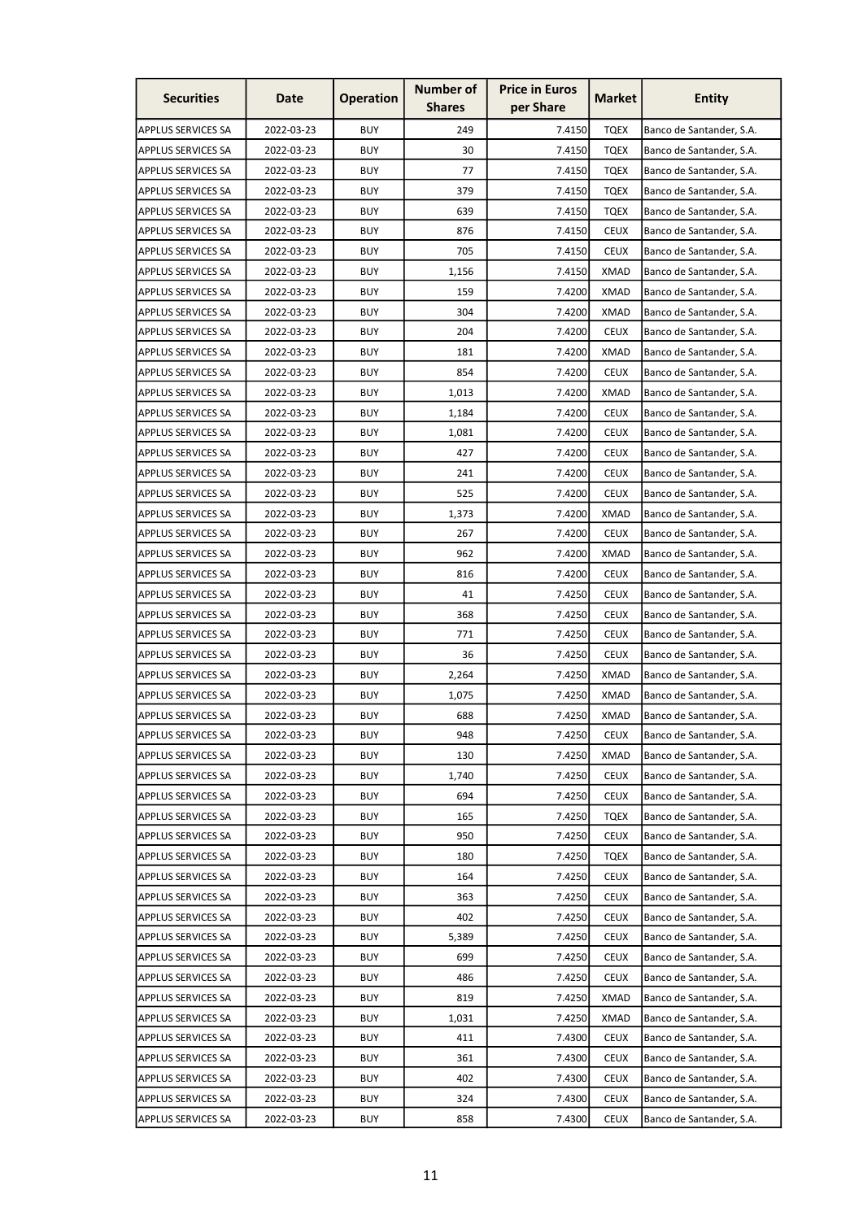| <b>Securities</b>         | Date       | <b>Operation</b> | <b>Number of</b><br><b>Shares</b> | <b>Price in Euros</b><br>per Share | <b>Market</b> | <b>Entity</b>            |
|---------------------------|------------|------------------|-----------------------------------|------------------------------------|---------------|--------------------------|
| <b>APPLUS SERVICES SA</b> | 2022-03-23 | <b>BUY</b>       | 249                               | 7.4150                             | <b>TQEX</b>   | Banco de Santander, S.A. |
| <b>APPLUS SERVICES SA</b> | 2022-03-23 | <b>BUY</b>       | 30                                | 7.4150                             | <b>TQEX</b>   | Banco de Santander, S.A. |
| <b>APPLUS SERVICES SA</b> | 2022-03-23 | <b>BUY</b>       | 77                                | 7.4150                             | <b>TOEX</b>   | Banco de Santander, S.A. |
| <b>APPLUS SERVICES SA</b> | 2022-03-23 | <b>BUY</b>       | 379                               | 7.4150                             | TQEX          | Banco de Santander, S.A. |
| <b>APPLUS SERVICES SA</b> | 2022-03-23 | <b>BUY</b>       | 639                               | 7.4150                             | <b>TQEX</b>   | Banco de Santander, S.A. |
| <b>APPLUS SERVICES SA</b> | 2022-03-23 | <b>BUY</b>       | 876                               | 7.4150                             | <b>CEUX</b>   | Banco de Santander, S.A. |
| <b>APPLUS SERVICES SA</b> | 2022-03-23 | <b>BUY</b>       | 705                               | 7.4150                             | <b>CEUX</b>   | Banco de Santander, S.A. |
| <b>APPLUS SERVICES SA</b> | 2022-03-23 | <b>BUY</b>       | 1,156                             | 7.4150                             | <b>XMAD</b>   | Banco de Santander, S.A. |
| <b>APPLUS SERVICES SA</b> | 2022-03-23 | <b>BUY</b>       | 159                               | 7.4200                             | <b>XMAD</b>   | Banco de Santander, S.A. |
| <b>APPLUS SERVICES SA</b> | 2022-03-23 | <b>BUY</b>       | 304                               | 7.4200                             | <b>XMAD</b>   | Banco de Santander, S.A. |
| <b>APPLUS SERVICES SA</b> | 2022-03-23 | <b>BUY</b>       | 204                               | 7.4200                             | <b>CEUX</b>   | Banco de Santander, S.A. |
| <b>APPLUS SERVICES SA</b> | 2022-03-23 | <b>BUY</b>       | 181                               | 7.4200                             | XMAD          | Banco de Santander, S.A. |
| <b>APPLUS SERVICES SA</b> | 2022-03-23 | <b>BUY</b>       | 854                               | 7.4200                             | <b>CEUX</b>   | Banco de Santander, S.A. |
| <b>APPLUS SERVICES SA</b> | 2022-03-23 | <b>BUY</b>       | 1,013                             | 7.4200                             | XMAD          | Banco de Santander, S.A. |
| <b>APPLUS SERVICES SA</b> | 2022-03-23 | <b>BUY</b>       | 1,184                             | 7.4200                             | <b>CEUX</b>   | Banco de Santander, S.A. |
| <b>APPLUS SERVICES SA</b> | 2022-03-23 | <b>BUY</b>       | 1,081                             | 7.4200                             | <b>CEUX</b>   | Banco de Santander, S.A. |
| <b>APPLUS SERVICES SA</b> | 2022-03-23 | <b>BUY</b>       | 427                               | 7.4200                             | <b>CEUX</b>   | Banco de Santander, S.A. |
| <b>APPLUS SERVICES SA</b> | 2022-03-23 | <b>BUY</b>       | 241                               | 7.4200                             | <b>CEUX</b>   | Banco de Santander, S.A. |
| <b>APPLUS SERVICES SA</b> | 2022-03-23 | <b>BUY</b>       | 525                               | 7.4200                             | <b>CEUX</b>   | Banco de Santander, S.A. |
| <b>APPLUS SERVICES SA</b> | 2022-03-23 | <b>BUY</b>       | 1,373                             | 7.4200                             | XMAD          | Banco de Santander, S.A. |
| <b>APPLUS SERVICES SA</b> | 2022-03-23 | <b>BUY</b>       | 267                               | 7.4200                             | <b>CEUX</b>   | Banco de Santander, S.A. |
| <b>APPLUS SERVICES SA</b> | 2022-03-23 | <b>BUY</b>       | 962                               | 7.4200                             | <b>XMAD</b>   | Banco de Santander, S.A. |
| <b>APPLUS SERVICES SA</b> | 2022-03-23 | <b>BUY</b>       | 816                               | 7.4200                             | <b>CEUX</b>   | Banco de Santander, S.A. |
| <b>APPLUS SERVICES SA</b> | 2022-03-23 | <b>BUY</b>       | 41                                | 7.4250                             | <b>CEUX</b>   | Banco de Santander, S.A. |
| <b>APPLUS SERVICES SA</b> | 2022-03-23 | <b>BUY</b>       | 368                               | 7.4250                             | <b>CEUX</b>   | Banco de Santander, S.A. |
| <b>APPLUS SERVICES SA</b> | 2022-03-23 | <b>BUY</b>       | 771                               | 7.4250                             | <b>CEUX</b>   | Banco de Santander, S.A. |
| <b>APPLUS SERVICES SA</b> | 2022-03-23 | <b>BUY</b>       | 36                                | 7.4250                             | <b>CEUX</b>   | Banco de Santander, S.A. |
| <b>APPLUS SERVICES SA</b> | 2022-03-23 | <b>BUY</b>       | 2,264                             | 7.4250                             | <b>XMAD</b>   | Banco de Santander, S.A. |
| APPLUS SERVICES SA        | 2022-03-23 | <b>BUY</b>       | 1,075                             | 7.4250                             | <b>XMAD</b>   | Banco de Santander, S.A. |
| <b>APPLUS SERVICES SA</b> | 2022-03-23 | <b>BUY</b>       | 688                               | 7.4250                             | <b>XMAD</b>   | Banco de Santander, S.A. |
| <b>APPLUS SERVICES SA</b> | 2022-03-23 | <b>BUY</b>       | 948                               | 7.4250                             | <b>CEUX</b>   | Banco de Santander, S.A. |
| <b>APPLUS SERVICES SA</b> | 2022-03-23 | <b>BUY</b>       | 130                               | 7.4250                             | XMAD          | Banco de Santander, S.A. |
| <b>APPLUS SERVICES SA</b> | 2022-03-23 | <b>BUY</b>       | 1,740                             | 7.4250                             | <b>CEUX</b>   | Banco de Santander, S.A. |
| <b>APPLUS SERVICES SA</b> | 2022-03-23 | <b>BUY</b>       | 694                               | 7.4250                             | <b>CEUX</b>   | Banco de Santander, S.A. |
| <b>APPLUS SERVICES SA</b> | 2022-03-23 | <b>BUY</b>       | 165                               | 7.4250                             | <b>TQEX</b>   | Banco de Santander, S.A. |
| <b>APPLUS SERVICES SA</b> | 2022-03-23 | <b>BUY</b>       | 950                               | 7.4250                             | <b>CEUX</b>   | Banco de Santander, S.A. |
| <b>APPLUS SERVICES SA</b> | 2022-03-23 | <b>BUY</b>       | 180                               | 7.4250                             | <b>TQEX</b>   | Banco de Santander, S.A. |
| <b>APPLUS SERVICES SA</b> | 2022-03-23 | <b>BUY</b>       | 164                               | 7.4250                             | <b>CEUX</b>   | Banco de Santander, S.A. |
| <b>APPLUS SERVICES SA</b> | 2022-03-23 | <b>BUY</b>       | 363                               | 7.4250                             | <b>CEUX</b>   | Banco de Santander, S.A. |
| <b>APPLUS SERVICES SA</b> | 2022-03-23 | <b>BUY</b>       | 402                               | 7.4250                             | <b>CEUX</b>   | Banco de Santander, S.A. |
| <b>APPLUS SERVICES SA</b> | 2022-03-23 | <b>BUY</b>       | 5,389                             | 7.4250                             | <b>CEUX</b>   | Banco de Santander, S.A. |
| <b>APPLUS SERVICES SA</b> | 2022-03-23 | <b>BUY</b>       | 699                               | 7.4250                             | <b>CEUX</b>   | Banco de Santander, S.A. |
| <b>APPLUS SERVICES SA</b> | 2022-03-23 | <b>BUY</b>       | 486                               | 7.4250                             | <b>CEUX</b>   | Banco de Santander, S.A. |
| <b>APPLUS SERVICES SA</b> | 2022-03-23 | <b>BUY</b>       | 819                               | 7.4250                             | <b>XMAD</b>   | Banco de Santander, S.A. |
| <b>APPLUS SERVICES SA</b> | 2022-03-23 | <b>BUY</b>       | 1,031                             | 7.4250                             | <b>XMAD</b>   | Banco de Santander, S.A. |
| <b>APPLUS SERVICES SA</b> | 2022-03-23 | <b>BUY</b>       | 411                               | 7.4300                             | <b>CEUX</b>   | Banco de Santander, S.A. |
| <b>APPLUS SERVICES SA</b> | 2022-03-23 | <b>BUY</b>       | 361                               | 7.4300                             | <b>CEUX</b>   | Banco de Santander, S.A. |
| APPLUS SERVICES SA        | 2022-03-23 | <b>BUY</b>       | 402                               | 7.4300                             | <b>CEUX</b>   | Banco de Santander, S.A. |
| <b>APPLUS SERVICES SA</b> | 2022-03-23 | <b>BUY</b>       | 324                               | 7.4300                             | <b>CEUX</b>   | Banco de Santander, S.A. |
| <b>APPLUS SERVICES SA</b> | 2022-03-23 | <b>BUY</b>       | 858                               | 7.4300                             | <b>CEUX</b>   | Banco de Santander, S.A. |
|                           |            |                  |                                   |                                    |               |                          |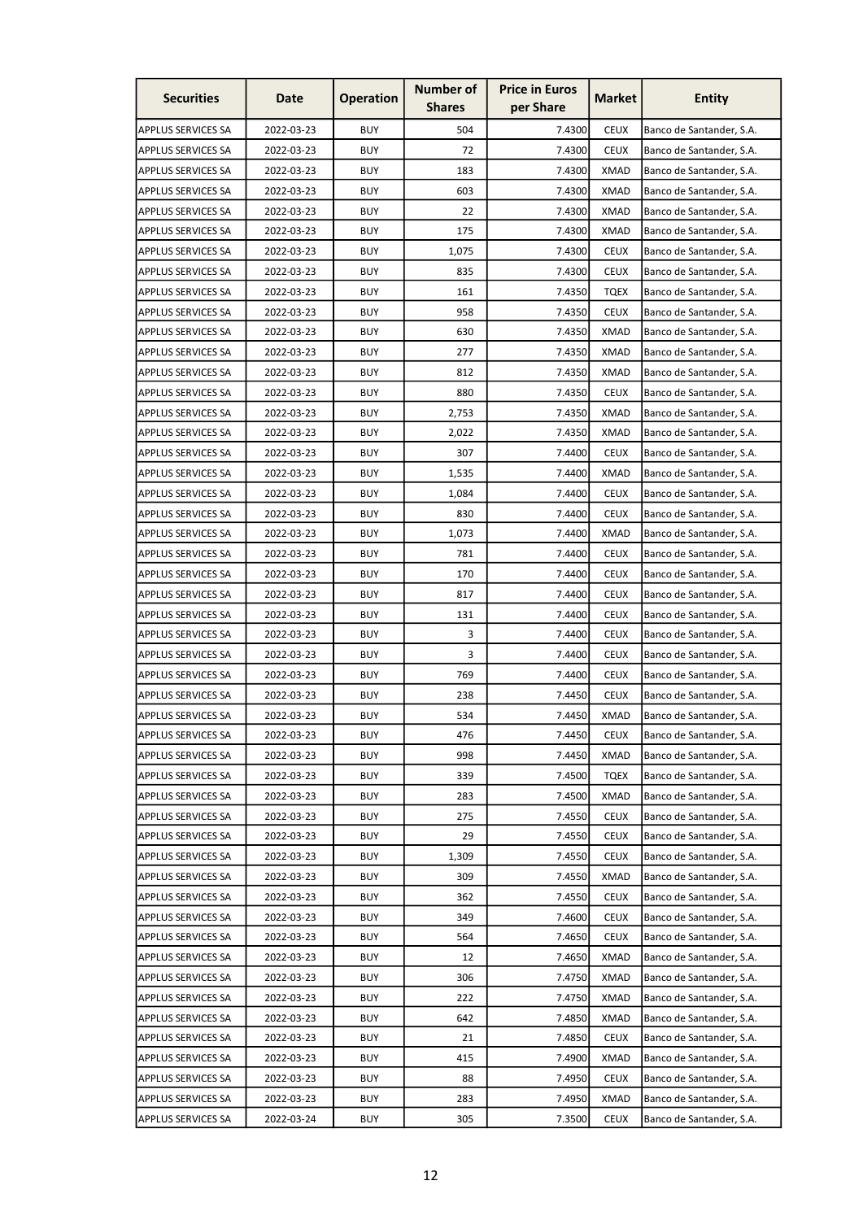| <b>Securities</b>         | Date       | <b>Operation</b> | <b>Number of</b><br><b>Shares</b> | <b>Price in Euros</b><br>per Share | <b>Market</b> | <b>Entity</b>            |
|---------------------------|------------|------------------|-----------------------------------|------------------------------------|---------------|--------------------------|
| <b>APPLUS SERVICES SA</b> | 2022-03-23 | <b>BUY</b>       | 504                               | 7.4300                             | <b>CEUX</b>   | Banco de Santander, S.A. |
| <b>APPLUS SERVICES SA</b> | 2022-03-23 | <b>BUY</b>       | 72                                | 7.4300                             | <b>CEUX</b>   | Banco de Santander, S.A. |
| <b>APPLUS SERVICES SA</b> | 2022-03-23 | <b>BUY</b>       | 183                               | 7.4300                             | <b>XMAD</b>   | Banco de Santander, S.A. |
| <b>APPLUS SERVICES SA</b> | 2022-03-23 | <b>BUY</b>       | 603                               | 7.4300                             | <b>XMAD</b>   | Banco de Santander, S.A. |
| <b>APPLUS SERVICES SA</b> | 2022-03-23 | <b>BUY</b>       | 22                                | 7.4300                             | <b>XMAD</b>   | Banco de Santander, S.A. |
| <b>APPLUS SERVICES SA</b> | 2022-03-23 | <b>BUY</b>       | 175                               | 7.4300                             | <b>XMAD</b>   | Banco de Santander, S.A. |
| <b>APPLUS SERVICES SA</b> | 2022-03-23 | <b>BUY</b>       | 1,075                             | 7.4300                             | <b>CEUX</b>   | Banco de Santander, S.A. |
| <b>APPLUS SERVICES SA</b> | 2022-03-23 | <b>BUY</b>       | 835                               | 7.4300                             | <b>CEUX</b>   | Banco de Santander, S.A. |
| <b>APPLUS SERVICES SA</b> | 2022-03-23 | <b>BUY</b>       | 161                               | 7.4350                             | <b>TQEX</b>   | Banco de Santander, S.A. |
| <b>APPLUS SERVICES SA</b> | 2022-03-23 | <b>BUY</b>       | 958                               | 7.4350                             | <b>CEUX</b>   | Banco de Santander, S.A. |
| <b>APPLUS SERVICES SA</b> | 2022-03-23 | <b>BUY</b>       | 630                               | 7.4350                             | <b>XMAD</b>   | Banco de Santander, S.A. |
| <b>APPLUS SERVICES SA</b> | 2022-03-23 | <b>BUY</b>       | 277                               | 7.4350                             | <b>XMAD</b>   | Banco de Santander, S.A. |
| <b>APPLUS SERVICES SA</b> | 2022-03-23 | <b>BUY</b>       | 812                               | 7.4350                             | <b>XMAD</b>   | Banco de Santander, S.A. |
| <b>APPLUS SERVICES SA</b> | 2022-03-23 | <b>BUY</b>       | 880                               | 7.4350                             | <b>CEUX</b>   | Banco de Santander, S.A. |
| <b>APPLUS SERVICES SA</b> | 2022-03-23 | <b>BUY</b>       | 2,753                             | 7.4350                             | <b>XMAD</b>   | Banco de Santander, S.A. |
| <b>APPLUS SERVICES SA</b> | 2022-03-23 | <b>BUY</b>       | 2,022                             | 7.4350                             | <b>XMAD</b>   | Banco de Santander, S.A. |
| <b>APPLUS SERVICES SA</b> | 2022-03-23 | <b>BUY</b>       | 307                               | 7.4400                             | <b>CEUX</b>   | Banco de Santander, S.A. |
| <b>APPLUS SERVICES SA</b> | 2022-03-23 | <b>BUY</b>       | 1,535                             | 7.4400                             | <b>XMAD</b>   | Banco de Santander, S.A. |
| <b>APPLUS SERVICES SA</b> | 2022-03-23 | <b>BUY</b>       | 1,084                             | 7.4400                             | <b>CEUX</b>   | Banco de Santander, S.A. |
| <b>APPLUS SERVICES SA</b> | 2022-03-23 | <b>BUY</b>       | 830                               | 7.4400                             | <b>CEUX</b>   | Banco de Santander, S.A. |
| <b>APPLUS SERVICES SA</b> | 2022-03-23 | <b>BUY</b>       | 1,073                             | 7.4400                             | <b>XMAD</b>   | Banco de Santander, S.A. |
| <b>APPLUS SERVICES SA</b> | 2022-03-23 | <b>BUY</b>       | 781                               | 7.4400                             | <b>CEUX</b>   | Banco de Santander, S.A. |
| <b>APPLUS SERVICES SA</b> | 2022-03-23 | <b>BUY</b>       | 170                               | 7.4400                             | <b>CEUX</b>   | Banco de Santander, S.A. |
| <b>APPLUS SERVICES SA</b> | 2022-03-23 | <b>BUY</b>       | 817                               | 7.4400                             | <b>CEUX</b>   | Banco de Santander, S.A. |
| <b>APPLUS SERVICES SA</b> | 2022-03-23 | <b>BUY</b>       | 131                               | 7.4400                             | <b>CEUX</b>   | Banco de Santander, S.A. |
| <b>APPLUS SERVICES SA</b> | 2022-03-23 | <b>BUY</b>       | 3                                 | 7.4400                             | <b>CEUX</b>   | Banco de Santander, S.A. |
| <b>APPLUS SERVICES SA</b> | 2022-03-23 | <b>BUY</b>       | 3                                 | 7.4400                             | <b>CEUX</b>   | Banco de Santander, S.A. |
| <b>APPLUS SERVICES SA</b> | 2022-03-23 | <b>BUY</b>       | 769                               | 7.4400                             | <b>CEUX</b>   | Banco de Santander, S.A. |
| APPLUS SERVICES SA        | 2022-03-23 | <b>BUY</b>       | 238                               | 7.4450                             | <b>CEUX</b>   | Banco de Santander, S.A. |
| <b>APPLUS SERVICES SA</b> | 2022-03-23 | <b>BUY</b>       | 534                               | 7.4450                             | <b>XMAD</b>   | Banco de Santander, S.A. |
| <b>APPLUS SERVICES SA</b> | 2022-03-23 | <b>BUY</b>       | 476                               | 7.4450                             | <b>CEUX</b>   | Banco de Santander, S.A. |
| <b>APPLUS SERVICES SA</b> | 2022-03-23 | <b>BUY</b>       | 998                               | 7.4450                             | <b>XMAD</b>   | Banco de Santander, S.A. |
| <b>APPLUS SERVICES SA</b> | 2022-03-23 | <b>BUY</b>       | 339                               | 7.4500                             | <b>TQEX</b>   | Banco de Santander, S.A. |
| <b>APPLUS SERVICES SA</b> | 2022-03-23 | <b>BUY</b>       | 283                               | 7.4500                             | <b>XMAD</b>   | Banco de Santander, S.A. |
| <b>APPLUS SERVICES SA</b> | 2022-03-23 | <b>BUY</b>       | 275                               | 7.4550                             | <b>CEUX</b>   | Banco de Santander, S.A. |
| <b>APPLUS SERVICES SA</b> | 2022-03-23 | <b>BUY</b>       | 29                                | 7.4550                             | <b>CEUX</b>   | Banco de Santander, S.A. |
| <b>APPLUS SERVICES SA</b> | 2022-03-23 | <b>BUY</b>       | 1,309                             | 7.4550                             | <b>CEUX</b>   | Banco de Santander, S.A. |
| <b>APPLUS SERVICES SA</b> | 2022-03-23 | <b>BUY</b>       | 309                               | 7.4550                             | XMAD          | Banco de Santander, S.A. |
| <b>APPLUS SERVICES SA</b> | 2022-03-23 | <b>BUY</b>       | 362                               | 7.4550                             | <b>CEUX</b>   | Banco de Santander, S.A. |
| <b>APPLUS SERVICES SA</b> | 2022-03-23 | <b>BUY</b>       | 349                               | 7.4600                             | <b>CEUX</b>   | Banco de Santander, S.A. |
| <b>APPLUS SERVICES SA</b> | 2022-03-23 | <b>BUY</b>       | 564                               | 7.4650                             | <b>CEUX</b>   | Banco de Santander, S.A. |
| <b>APPLUS SERVICES SA</b> | 2022-03-23 | <b>BUY</b>       | 12                                | 7.4650                             | <b>XMAD</b>   | Banco de Santander, S.A. |
| <b>APPLUS SERVICES SA</b> | 2022-03-23 | <b>BUY</b>       | 306                               | 7.4750                             | <b>XMAD</b>   | Banco de Santander, S.A. |
| <b>APPLUS SERVICES SA</b> | 2022-03-23 | <b>BUY</b>       | 222                               | 7.4750                             | <b>XMAD</b>   | Banco de Santander, S.A. |
| <b>APPLUS SERVICES SA</b> | 2022-03-23 | <b>BUY</b>       | 642                               | 7.4850                             | <b>XMAD</b>   | Banco de Santander, S.A. |
| <b>APPLUS SERVICES SA</b> | 2022-03-23 | <b>BUY</b>       | 21                                | 7.4850                             | <b>CEUX</b>   | Banco de Santander, S.A. |
| <b>APPLUS SERVICES SA</b> | 2022-03-23 | <b>BUY</b>       | 415                               | 7.4900                             | <b>XMAD</b>   | Banco de Santander, S.A. |
| APPLUS SERVICES SA        | 2022-03-23 | <b>BUY</b>       | 88                                | 7.4950                             | <b>CEUX</b>   | Banco de Santander, S.A. |
| <b>APPLUS SERVICES SA</b> | 2022-03-23 | <b>BUY</b>       | 283                               | 7.4950                             | <b>XMAD</b>   | Banco de Santander, S.A. |
| <b>APPLUS SERVICES SA</b> | 2022-03-24 | <b>BUY</b>       | 305                               | 7.3500                             | <b>CEUX</b>   | Banco de Santander, S.A. |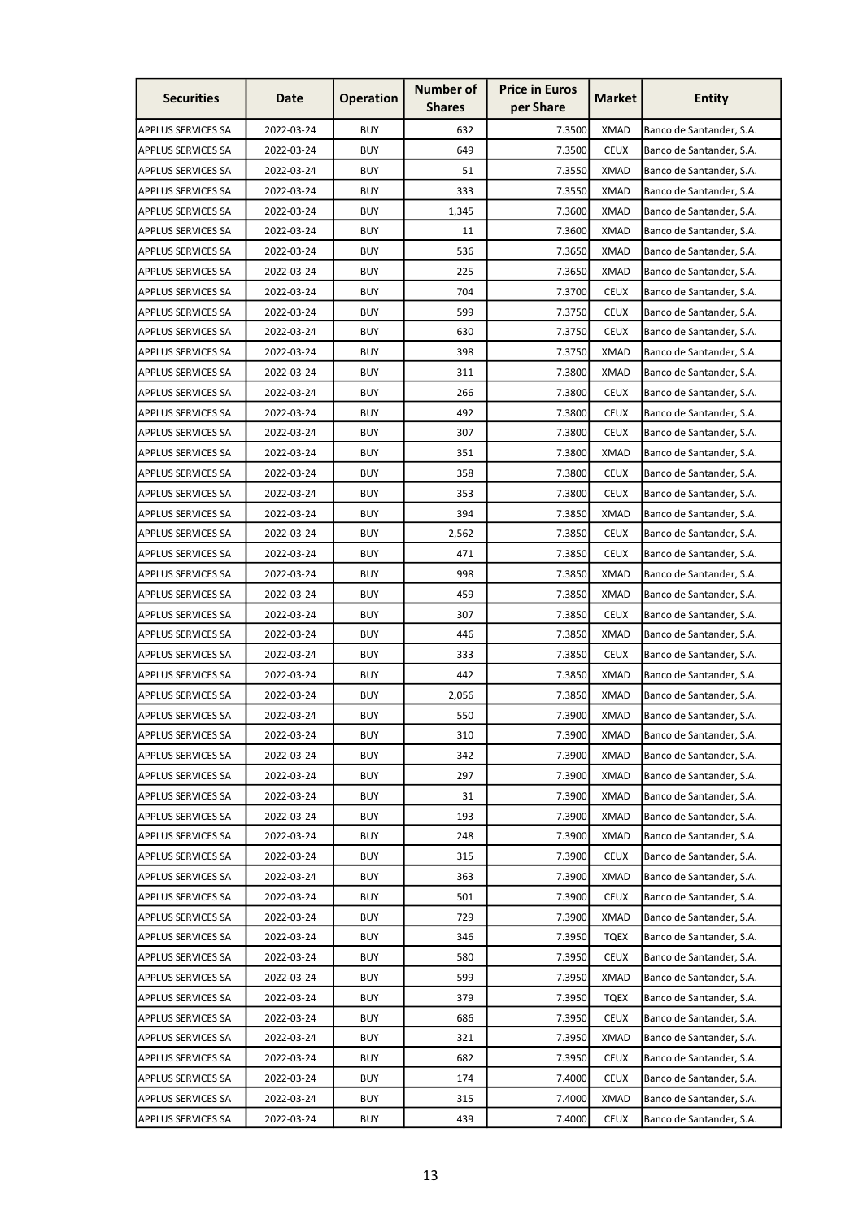| <b>Securities</b>         | Date       | <b>Operation</b> | <b>Number of</b><br><b>Shares</b> | <b>Price in Euros</b><br>per Share | <b>Market</b> | <b>Entity</b>            |
|---------------------------|------------|------------------|-----------------------------------|------------------------------------|---------------|--------------------------|
| <b>APPLUS SERVICES SA</b> | 2022-03-24 | <b>BUY</b>       | 632                               | 7.3500                             | <b>XMAD</b>   | Banco de Santander, S.A. |
| <b>APPLUS SERVICES SA</b> | 2022-03-24 | <b>BUY</b>       | 649                               | 7.3500                             | <b>CEUX</b>   | Banco de Santander, S.A. |
| <b>APPLUS SERVICES SA</b> | 2022-03-24 | <b>BUY</b>       | 51                                | 7.3550                             | <b>XMAD</b>   | Banco de Santander, S.A. |
| <b>APPLUS SERVICES SA</b> | 2022-03-24 | <b>BUY</b>       | 333                               | 7.3550                             | <b>XMAD</b>   | Banco de Santander, S.A. |
| <b>APPLUS SERVICES SA</b> | 2022-03-24 | <b>BUY</b>       | 1,345                             | 7.3600                             | <b>XMAD</b>   | Banco de Santander, S.A. |
| <b>APPLUS SERVICES SA</b> | 2022-03-24 | <b>BUY</b>       | 11                                | 7.3600                             | <b>XMAD</b>   | Banco de Santander, S.A. |
| <b>APPLUS SERVICES SA</b> | 2022-03-24 | <b>BUY</b>       | 536                               | 7.3650                             | XMAD          | Banco de Santander, S.A. |
| <b>APPLUS SERVICES SA</b> | 2022-03-24 | <b>BUY</b>       | 225                               | 7.3650                             | <b>XMAD</b>   | Banco de Santander, S.A. |
| <b>APPLUS SERVICES SA</b> | 2022-03-24 | <b>BUY</b>       | 704                               | 7.3700                             | <b>CEUX</b>   | Banco de Santander, S.A. |
| <b>APPLUS SERVICES SA</b> | 2022-03-24 | <b>BUY</b>       | 599                               | 7.3750                             | <b>CEUX</b>   | Banco de Santander, S.A. |
| <b>APPLUS SERVICES SA</b> | 2022-03-24 | <b>BUY</b>       | 630                               | 7.3750                             | <b>CEUX</b>   | Banco de Santander, S.A. |
| <b>APPLUS SERVICES SA</b> | 2022-03-24 | <b>BUY</b>       | 398                               | 7.3750                             | <b>XMAD</b>   | Banco de Santander, S.A. |
| <b>APPLUS SERVICES SA</b> | 2022-03-24 | <b>BUY</b>       | 311                               | 7.3800                             | <b>XMAD</b>   | Banco de Santander, S.A. |
| <b>APPLUS SERVICES SA</b> | 2022-03-24 | <b>BUY</b>       | 266                               | 7.3800                             | <b>CEUX</b>   | Banco de Santander, S.A. |
| <b>APPLUS SERVICES SA</b> | 2022-03-24 | <b>BUY</b>       | 492                               | 7.3800                             | <b>CEUX</b>   | Banco de Santander, S.A. |
| <b>APPLUS SERVICES SA</b> | 2022-03-24 | <b>BUY</b>       | 307                               | 7.3800                             | <b>CEUX</b>   | Banco de Santander, S.A. |
| <b>APPLUS SERVICES SA</b> | 2022-03-24 | <b>BUY</b>       | 351                               | 7.3800                             | <b>XMAD</b>   | Banco de Santander, S.A. |
| <b>APPLUS SERVICES SA</b> | 2022-03-24 | <b>BUY</b>       | 358                               | 7.3800                             | <b>CEUX</b>   | Banco de Santander, S.A. |
| <b>APPLUS SERVICES SA</b> | 2022-03-24 | <b>BUY</b>       | 353                               | 7.3800                             | <b>CEUX</b>   | Banco de Santander, S.A. |
| <b>APPLUS SERVICES SA</b> | 2022-03-24 | <b>BUY</b>       | 394                               | 7.3850                             | <b>XMAD</b>   | Banco de Santander, S.A. |
| <b>APPLUS SERVICES SA</b> | 2022-03-24 | <b>BUY</b>       | 2,562                             | 7.3850                             | <b>CEUX</b>   | Banco de Santander, S.A. |
| <b>APPLUS SERVICES SA</b> | 2022-03-24 | <b>BUY</b>       | 471                               | 7.3850                             | <b>CEUX</b>   | Banco de Santander, S.A. |
| <b>APPLUS SERVICES SA</b> | 2022-03-24 | <b>BUY</b>       | 998                               | 7.3850                             | <b>XMAD</b>   | Banco de Santander, S.A. |
| <b>APPLUS SERVICES SA</b> | 2022-03-24 | <b>BUY</b>       | 459                               | 7.3850                             | <b>XMAD</b>   | Banco de Santander, S.A. |
| <b>APPLUS SERVICES SA</b> | 2022-03-24 | <b>BUY</b>       | 307                               | 7.3850                             | <b>CEUX</b>   | Banco de Santander, S.A. |
| <b>APPLUS SERVICES SA</b> | 2022-03-24 | <b>BUY</b>       | 446                               | 7.3850                             | XMAD          | Banco de Santander, S.A. |
| <b>APPLUS SERVICES SA</b> | 2022-03-24 | <b>BUY</b>       | 333                               | 7.3850                             | <b>CEUX</b>   | Banco de Santander, S.A. |
| <b>APPLUS SERVICES SA</b> | 2022-03-24 | <b>BUY</b>       | 442                               | 7.3850                             | <b>XMAD</b>   | Banco de Santander, S.A. |
| <b>APPLUS SERVICES SA</b> | 2022-03-24 | <b>BUY</b>       | 2,056                             | 7.3850                             | <b>XMAD</b>   | Banco de Santander, S.A. |
| <b>APPLUS SERVICES SA</b> | 2022-03-24 | <b>BUY</b>       | 550                               | 7.3900                             | <b>XMAD</b>   | Banco de Santander, S.A. |
| <b>APPLUS SERVICES SA</b> | 2022-03-24 | <b>BUY</b>       | 310                               | 7.3900                             | <b>XMAD</b>   | Banco de Santander, S.A. |
| <b>APPLUS SERVICES SA</b> | 2022-03-24 | <b>BUY</b>       | 342                               | 7.3900                             | <b>XMAD</b>   | Banco de Santander, S.A. |
| <b>APPLUS SERVICES SA</b> | 2022-03-24 | <b>BUY</b>       | 297                               | 7.3900                             | <b>XMAD</b>   | Banco de Santander, S.A. |
| <b>APPLUS SERVICES SA</b> | 2022-03-24 | <b>BUY</b>       | 31                                | 7.3900                             | <b>XMAD</b>   | Banco de Santander, S.A. |
| <b>APPLUS SERVICES SA</b> | 2022-03-24 | <b>BUY</b>       | 193                               | 7.3900                             | <b>XMAD</b>   | Banco de Santander, S.A. |
| <b>APPLUS SERVICES SA</b> | 2022-03-24 | <b>BUY</b>       | 248                               | 7.3900                             | <b>XMAD</b>   | Banco de Santander, S.A. |
| <b>APPLUS SERVICES SA</b> | 2022-03-24 | <b>BUY</b>       | 315                               | 7.3900                             | <b>CEUX</b>   | Banco de Santander, S.A. |
| <b>APPLUS SERVICES SA</b> | 2022-03-24 | <b>BUY</b>       | 363                               | 7.3900                             | <b>XMAD</b>   | Banco de Santander, S.A. |
| <b>APPLUS SERVICES SA</b> | 2022-03-24 | <b>BUY</b>       | 501                               | 7.3900                             | <b>CEUX</b>   | Banco de Santander, S.A. |
| <b>APPLUS SERVICES SA</b> | 2022-03-24 | <b>BUY</b>       | 729                               | 7.3900                             | <b>XMAD</b>   | Banco de Santander, S.A. |
| <b>APPLUS SERVICES SA</b> | 2022-03-24 | <b>BUY</b>       | 346                               | 7.3950                             | <b>TQEX</b>   | Banco de Santander, S.A. |
| <b>APPLUS SERVICES SA</b> | 2022-03-24 | <b>BUY</b>       | 580                               | 7.3950                             | <b>CEUX</b>   | Banco de Santander, S.A. |
| <b>APPLUS SERVICES SA</b> | 2022-03-24 | <b>BUY</b>       | 599                               | 7.3950                             | <b>XMAD</b>   | Banco de Santander, S.A. |
| <b>APPLUS SERVICES SA</b> | 2022-03-24 | <b>BUY</b>       | 379                               | 7.3950                             | <b>TQEX</b>   | Banco de Santander, S.A. |
| <b>APPLUS SERVICES SA</b> | 2022-03-24 | <b>BUY</b>       | 686                               | 7.3950                             | <b>CEUX</b>   | Banco de Santander, S.A. |
| <b>APPLUS SERVICES SA</b> | 2022-03-24 | <b>BUY</b>       | 321                               | 7.3950                             | <b>XMAD</b>   | Banco de Santander, S.A. |
| <b>APPLUS SERVICES SA</b> | 2022-03-24 | <b>BUY</b>       | 682                               | 7.3950                             | <b>CEUX</b>   | Banco de Santander, S.A. |
| <b>APPLUS SERVICES SA</b> | 2022-03-24 | <b>BUY</b>       | 174                               | 7.4000                             | <b>CEUX</b>   | Banco de Santander, S.A. |
| <b>APPLUS SERVICES SA</b> | 2022-03-24 | <b>BUY</b>       | 315                               | 7.4000                             | <b>XMAD</b>   | Banco de Santander, S.A. |
| <b>APPLUS SERVICES SA</b> | 2022-03-24 | <b>BUY</b>       | 439                               | 7.4000                             | <b>CEUX</b>   | Banco de Santander, S.A. |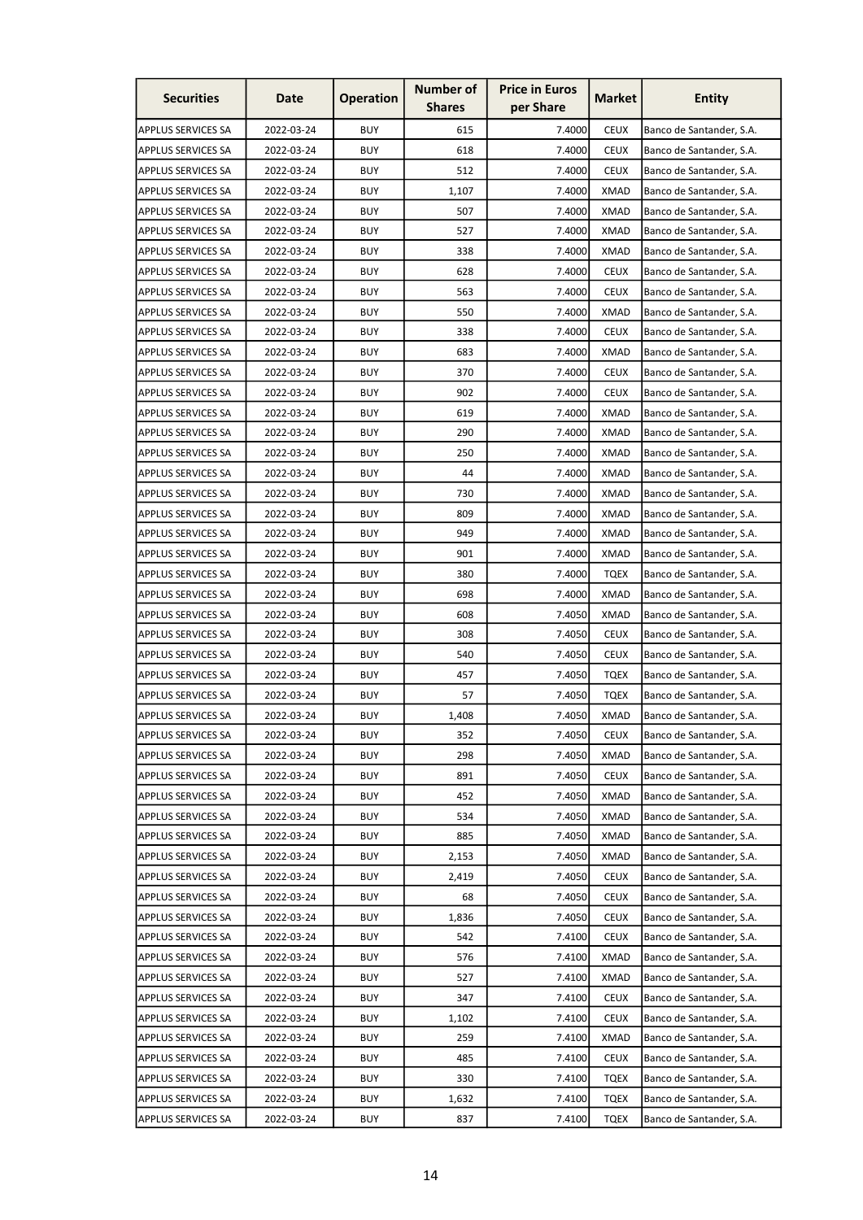| <b>Securities</b>         | Date       | <b>Operation</b> | <b>Number of</b><br><b>Shares</b> | <b>Price in Euros</b><br>per Share | <b>Market</b> | <b>Entity</b>            |
|---------------------------|------------|------------------|-----------------------------------|------------------------------------|---------------|--------------------------|
| APPLUS SERVICES SA        | 2022-03-24 | <b>BUY</b>       | 615                               | 7.4000                             | <b>CEUX</b>   | Banco de Santander, S.A. |
| <b>APPLUS SERVICES SA</b> | 2022-03-24 | <b>BUY</b>       | 618                               | 7.4000                             | <b>CEUX</b>   | Banco de Santander, S.A. |
| <b>APPLUS SERVICES SA</b> | 2022-03-24 | <b>BUY</b>       | 512                               | 7.4000                             | <b>CEUX</b>   | Banco de Santander, S.A. |
| APPLUS SERVICES SA        | 2022-03-24 | <b>BUY</b>       | 1,107                             | 7.4000                             | <b>XMAD</b>   | Banco de Santander, S.A. |
| <b>APPLUS SERVICES SA</b> | 2022-03-24 | <b>BUY</b>       | 507                               | 7.4000                             | <b>XMAD</b>   | Banco de Santander, S.A. |
| <b>APPLUS SERVICES SA</b> | 2022-03-24 | <b>BUY</b>       | 527                               | 7.4000                             | <b>XMAD</b>   | Banco de Santander, S.A. |
| APPLUS SERVICES SA        | 2022-03-24 | <b>BUY</b>       | 338                               | 7.4000                             | XMAD          | Banco de Santander, S.A. |
| <b>APPLUS SERVICES SA</b> | 2022-03-24 | <b>BUY</b>       | 628                               | 7.4000                             | <b>CEUX</b>   | Banco de Santander, S.A. |
| <b>APPLUS SERVICES SA</b> | 2022-03-24 | <b>BUY</b>       | 563                               | 7.4000                             | <b>CEUX</b>   | Banco de Santander, S.A. |
| <b>APPLUS SERVICES SA</b> | 2022-03-24 | <b>BUY</b>       | 550                               | 7.4000                             | <b>XMAD</b>   | Banco de Santander, S.A. |
| <b>APPLUS SERVICES SA</b> | 2022-03-24 | <b>BUY</b>       | 338                               | 7.4000                             | <b>CEUX</b>   | Banco de Santander, S.A. |
| <b>APPLUS SERVICES SA</b> | 2022-03-24 | <b>BUY</b>       | 683                               | 7.4000                             | <b>XMAD</b>   | Banco de Santander, S.A. |
| <b>APPLUS SERVICES SA</b> | 2022-03-24 | <b>BUY</b>       | 370                               | 7.4000                             | <b>CEUX</b>   | Banco de Santander, S.A. |
| <b>APPLUS SERVICES SA</b> | 2022-03-24 | <b>BUY</b>       | 902                               | 7.4000                             | <b>CEUX</b>   | Banco de Santander, S.A. |
| <b>APPLUS SERVICES SA</b> | 2022-03-24 | <b>BUY</b>       | 619                               | 7.4000                             | <b>XMAD</b>   | Banco de Santander, S.A. |
| <b>APPLUS SERVICES SA</b> | 2022-03-24 | <b>BUY</b>       | 290                               | 7.4000                             | <b>XMAD</b>   | Banco de Santander, S.A. |
| <b>APPLUS SERVICES SA</b> | 2022-03-24 | <b>BUY</b>       | 250                               | 7.4000                             | <b>XMAD</b>   | Banco de Santander, S.A. |
| <b>APPLUS SERVICES SA</b> | 2022-03-24 | <b>BUY</b>       | 44                                | 7.4000                             | <b>XMAD</b>   | Banco de Santander, S.A. |
| <b>APPLUS SERVICES SA</b> | 2022-03-24 | <b>BUY</b>       | 730                               | 7.4000                             | XMAD          | Banco de Santander, S.A. |
| <b>APPLUS SERVICES SA</b> | 2022-03-24 | <b>BUY</b>       | 809                               | 7.4000                             | XMAD          | Banco de Santander, S.A. |
| <b>APPLUS SERVICES SA</b> | 2022-03-24 | <b>BUY</b>       | 949                               | 7.4000                             | <b>XMAD</b>   | Banco de Santander, S.A. |
| <b>APPLUS SERVICES SA</b> | 2022-03-24 | <b>BUY</b>       | 901                               | 7.4000                             | <b>XMAD</b>   | Banco de Santander, S.A. |
| <b>APPLUS SERVICES SA</b> | 2022-03-24 | <b>BUY</b>       | 380                               | 7.4000                             | <b>TQEX</b>   | Banco de Santander, S.A. |
| <b>APPLUS SERVICES SA</b> | 2022-03-24 | <b>BUY</b>       | 698                               | 7.4000                             | <b>XMAD</b>   | Banco de Santander, S.A. |
| <b>APPLUS SERVICES SA</b> | 2022-03-24 | <b>BUY</b>       | 608                               | 7.4050                             | <b>XMAD</b>   | Banco de Santander, S.A. |
| <b>APPLUS SERVICES SA</b> | 2022-03-24 | <b>BUY</b>       | 308                               | 7.4050                             | <b>CEUX</b>   | Banco de Santander, S.A. |
| <b>APPLUS SERVICES SA</b> | 2022-03-24 | <b>BUY</b>       | 540                               | 7.4050                             | <b>CEUX</b>   | Banco de Santander, S.A. |
| <b>APPLUS SERVICES SA</b> | 2022-03-24 | <b>BUY</b>       | 457                               | 7.4050                             | <b>TQEX</b>   | Banco de Santander, S.A. |
| APPLUS SERVICES SA        | 2022-03-24 | <b>BUY</b>       | 57                                | 7.4050                             | <b>TQEX</b>   | Banco de Santander, S.A. |
| <b>APPLUS SERVICES SA</b> | 2022-03-24 | <b>BUY</b>       | 1,408                             | 7.4050                             | <b>XMAD</b>   | Banco de Santander, S.A. |
| <b>APPLUS SERVICES SA</b> | 2022-03-24 | <b>BUY</b>       | 352                               | 7.4050                             | <b>CEUX</b>   | Banco de Santander, S.A. |
| <b>APPLUS SERVICES SA</b> | 2022-03-24 | <b>BUY</b>       | 298                               | 7.4050                             | XMAD          | Banco de Santander, S.A. |
| <b>APPLUS SERVICES SA</b> | 2022-03-24 | <b>BUY</b>       | 891                               | 7.4050                             | <b>CEUX</b>   | Banco de Santander, S.A. |
| <b>APPLUS SERVICES SA</b> | 2022-03-24 | <b>BUY</b>       | 452                               | 7.4050                             | <b>XMAD</b>   | Banco de Santander, S.A. |
| <b>APPLUS SERVICES SA</b> | 2022-03-24 | <b>BUY</b>       | 534                               | 7.4050                             | <b>XMAD</b>   | Banco de Santander, S.A. |
| <b>APPLUS SERVICES SA</b> | 2022-03-24 | <b>BUY</b>       | 885                               | 7.4050                             | <b>XMAD</b>   | Banco de Santander, S.A. |
| <b>APPLUS SERVICES SA</b> | 2022-03-24 | <b>BUY</b>       | 2,153                             | 7.4050                             | <b>XMAD</b>   | Banco de Santander, S.A. |
| <b>APPLUS SERVICES SA</b> | 2022-03-24 | <b>BUY</b>       | 2,419                             | 7.4050                             | <b>CEUX</b>   | Banco de Santander, S.A. |
| APPLUS SERVICES SA        | 2022-03-24 | <b>BUY</b>       | 68                                | 7.4050                             | <b>CEUX</b>   | Banco de Santander, S.A. |
| <b>APPLUS SERVICES SA</b> | 2022-03-24 | <b>BUY</b>       | 1,836                             | 7.4050                             | <b>CEUX</b>   | Banco de Santander, S.A. |
| <b>APPLUS SERVICES SA</b> | 2022-03-24 | <b>BUY</b>       | 542                               | 7.4100                             | <b>CEUX</b>   | Banco de Santander, S.A. |
| <b>APPLUS SERVICES SA</b> | 2022-03-24 | <b>BUY</b>       | 576                               | 7.4100                             | <b>XMAD</b>   | Banco de Santander, S.A. |
| <b>APPLUS SERVICES SA</b> | 2022-03-24 | <b>BUY</b>       | 527                               | 7.4100                             | <b>XMAD</b>   | Banco de Santander, S.A. |
| <b>APPLUS SERVICES SA</b> | 2022-03-24 | <b>BUY</b>       | 347                               | 7.4100                             | <b>CEUX</b>   | Banco de Santander, S.A. |
| <b>APPLUS SERVICES SA</b> | 2022-03-24 | <b>BUY</b>       | 1,102                             | 7.4100                             | <b>CEUX</b>   | Banco de Santander, S.A. |
| <b>APPLUS SERVICES SA</b> | 2022-03-24 | <b>BUY</b>       | 259                               | 7.4100                             | <b>XMAD</b>   | Banco de Santander, S.A. |
| <b>APPLUS SERVICES SA</b> | 2022-03-24 | <b>BUY</b>       | 485                               | 7.4100                             | <b>CEUX</b>   | Banco de Santander, S.A. |
| APPLUS SERVICES SA        | 2022-03-24 | <b>BUY</b>       | 330                               | 7.4100                             | <b>TQEX</b>   | Banco de Santander, S.A. |
| APPLUS SERVICES SA        | 2022-03-24 | <b>BUY</b>       | 1,632                             | 7.4100                             | <b>TQEX</b>   | Banco de Santander, S.A. |
| <b>APPLUS SERVICES SA</b> | 2022-03-24 | <b>BUY</b>       | 837                               | 7.4100                             | <b>TQEX</b>   | Banco de Santander, S.A. |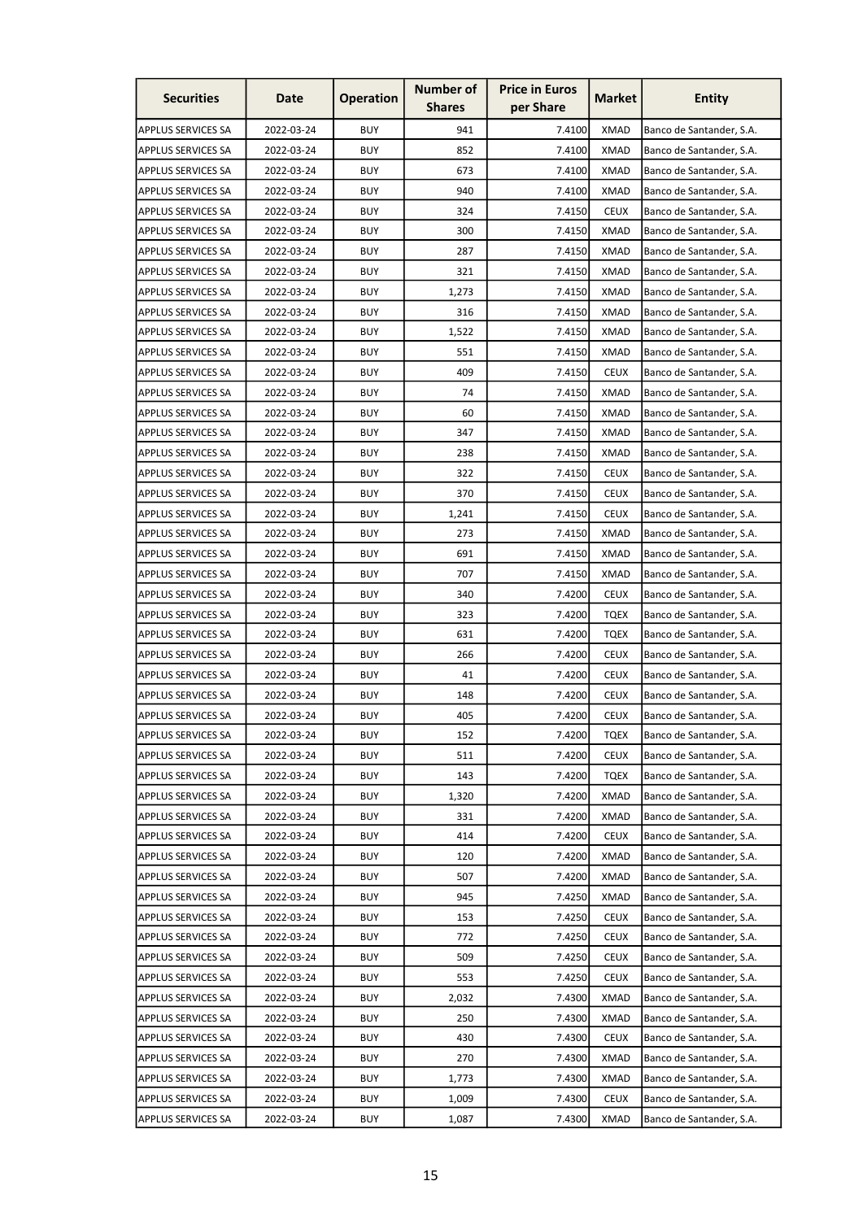| <b>Securities</b>         | Date       | <b>Operation</b> | <b>Number of</b><br><b>Shares</b> | <b>Price in Euros</b><br>per Share | <b>Market</b> | <b>Entity</b>            |
|---------------------------|------------|------------------|-----------------------------------|------------------------------------|---------------|--------------------------|
| <b>APPLUS SERVICES SA</b> | 2022-03-24 | <b>BUY</b>       | 941                               | 7.4100                             | <b>XMAD</b>   | Banco de Santander, S.A. |
| <b>APPLUS SERVICES SA</b> | 2022-03-24 | <b>BUY</b>       | 852                               | 7.4100                             | <b>XMAD</b>   | Banco de Santander, S.A. |
| <b>APPLUS SERVICES SA</b> | 2022-03-24 | <b>BUY</b>       | 673                               | 7.4100                             | <b>XMAD</b>   | Banco de Santander, S.A. |
| <b>APPLUS SERVICES SA</b> | 2022-03-24 | <b>BUY</b>       | 940                               | 7.4100                             | <b>XMAD</b>   | Banco de Santander, S.A. |
| <b>APPLUS SERVICES SA</b> | 2022-03-24 | <b>BUY</b>       | 324                               | 7.4150                             | <b>CEUX</b>   | Banco de Santander, S.A. |
| <b>APPLUS SERVICES SA</b> | 2022-03-24 | <b>BUY</b>       | 300                               | 7.4150                             | <b>XMAD</b>   | Banco de Santander, S.A. |
| <b>APPLUS SERVICES SA</b> | 2022-03-24 | <b>BUY</b>       | 287                               | 7.4150                             | XMAD          | Banco de Santander, S.A. |
| <b>APPLUS SERVICES SA</b> | 2022-03-24 | <b>BUY</b>       | 321                               | 7.4150                             | <b>XMAD</b>   | Banco de Santander, S.A. |
| <b>APPLUS SERVICES SA</b> | 2022-03-24 | <b>BUY</b>       | 1,273                             | 7.4150                             | <b>XMAD</b>   | Banco de Santander, S.A. |
| <b>APPLUS SERVICES SA</b> | 2022-03-24 | <b>BUY</b>       | 316                               | 7.4150                             | <b>XMAD</b>   | Banco de Santander, S.A. |
| <b>APPLUS SERVICES SA</b> | 2022-03-24 | <b>BUY</b>       | 1,522                             | 7.4150                             | <b>XMAD</b>   | Banco de Santander, S.A. |
| <b>APPLUS SERVICES SA</b> | 2022-03-24 | <b>BUY</b>       | 551                               | 7.4150                             | XMAD          | Banco de Santander, S.A. |
| <b>APPLUS SERVICES SA</b> | 2022-03-24 | <b>BUY</b>       | 409                               | 7.4150                             | <b>CEUX</b>   | Banco de Santander, S.A. |
| <b>APPLUS SERVICES SA</b> | 2022-03-24 | <b>BUY</b>       | 74                                | 7.4150                             | XMAD          | Banco de Santander, S.A. |
| <b>APPLUS SERVICES SA</b> | 2022-03-24 | <b>BUY</b>       | 60                                | 7.4150                             | <b>XMAD</b>   | Banco de Santander, S.A. |
| <b>APPLUS SERVICES SA</b> | 2022-03-24 | <b>BUY</b>       | 347                               | 7.4150                             | <b>XMAD</b>   | Banco de Santander, S.A. |
|                           |            | <b>BUY</b>       | 238                               |                                    | <b>XMAD</b>   |                          |
| <b>APPLUS SERVICES SA</b> | 2022-03-24 |                  |                                   | 7.4150                             |               | Banco de Santander, S.A. |
| <b>APPLUS SERVICES SA</b> | 2022-03-24 | <b>BUY</b>       | 322                               | 7.4150                             | <b>CEUX</b>   | Banco de Santander, S.A. |
| <b>APPLUS SERVICES SA</b> | 2022-03-24 | <b>BUY</b>       | 370                               | 7.4150                             | <b>CEUX</b>   | Banco de Santander, S.A. |
| <b>APPLUS SERVICES SA</b> | 2022-03-24 | <b>BUY</b>       | 1,241                             | 7.4150                             | <b>CEUX</b>   | Banco de Santander, S.A. |
| <b>APPLUS SERVICES SA</b> | 2022-03-24 | <b>BUY</b>       | 273                               | 7.4150                             | <b>XMAD</b>   | Banco de Santander, S.A. |
| <b>APPLUS SERVICES SA</b> | 2022-03-24 | <b>BUY</b>       | 691                               | 7.4150                             | <b>XMAD</b>   | Banco de Santander, S.A. |
| <b>APPLUS SERVICES SA</b> | 2022-03-24 | <b>BUY</b>       | 707                               | 7.4150                             | <b>XMAD</b>   | Banco de Santander, S.A. |
| <b>APPLUS SERVICES SA</b> | 2022-03-24 | <b>BUY</b>       | 340                               | 7.4200                             | <b>CEUX</b>   | Banco de Santander, S.A. |
| <b>APPLUS SERVICES SA</b> | 2022-03-24 | <b>BUY</b>       | 323                               | 7.4200                             | TQEX          | Banco de Santander, S.A. |
| <b>APPLUS SERVICES SA</b> | 2022-03-24 | <b>BUY</b>       | 631                               | 7.4200                             | <b>TQEX</b>   | Banco de Santander, S.A. |
| <b>APPLUS SERVICES SA</b> | 2022-03-24 | <b>BUY</b>       | 266                               | 7.4200                             | <b>CEUX</b>   | Banco de Santander, S.A. |
| <b>APPLUS SERVICES SA</b> | 2022-03-24 | <b>BUY</b>       | 41                                | 7.4200                             | <b>CEUX</b>   | Banco de Santander, S.A. |
| APPLUS SERVICES SA        | 2022-03-24 | <b>BUY</b>       | 148                               | 7.4200                             | <b>CEUX</b>   | Banco de Santander, S.A. |
| <b>APPLUS SERVICES SA</b> | 2022-03-24 | <b>BUY</b>       | 405                               | 7.4200                             | <b>CEUX</b>   | Banco de Santander, S.A. |
| <b>APPLUS SERVICES SA</b> | 2022-03-24 | <b>BUY</b>       | 152                               | 7.4200                             | <b>TQEX</b>   | Banco de Santander, S.A. |
| <b>APPLUS SERVICES SA</b> | 2022-03-24 | <b>BUY</b>       | 511                               | 7.4200                             | <b>CEUX</b>   | Banco de Santander, S.A. |
| <b>APPLUS SERVICES SA</b> | 2022-03-24 | <b>BUY</b>       | 143                               | 7.4200                             | <b>TQEX</b>   | Banco de Santander, S.A. |
| <b>APPLUS SERVICES SA</b> | 2022-03-24 | <b>BUY</b>       | 1,320                             | 7.4200                             | <b>XMAD</b>   | Banco de Santander, S.A. |
| <b>APPLUS SERVICES SA</b> | 2022-03-24 | <b>BUY</b>       | 331                               | 7.4200                             | <b>XMAD</b>   | Banco de Santander, S.A. |
| <b>APPLUS SERVICES SA</b> | 2022-03-24 | <b>BUY</b>       | 414                               | 7.4200                             | <b>CEUX</b>   | Banco de Santander, S.A. |
| <b>APPLUS SERVICES SA</b> | 2022-03-24 | <b>BUY</b>       | 120                               | 7.4200                             | <b>XMAD</b>   | Banco de Santander, S.A. |
| <b>APPLUS SERVICES SA</b> | 2022-03-24 | <b>BUY</b>       | 507                               | 7.4200                             | <b>XMAD</b>   | Banco de Santander, S.A. |
| APPLUS SERVICES SA        | 2022-03-24 | <b>BUY</b>       | 945                               | 7.4250                             | <b>XMAD</b>   | Banco de Santander, S.A. |
| <b>APPLUS SERVICES SA</b> | 2022-03-24 | <b>BUY</b>       | 153                               | 7.4250                             | <b>CEUX</b>   | Banco de Santander, S.A. |
| <b>APPLUS SERVICES SA</b> | 2022-03-24 | <b>BUY</b>       | 772                               | 7.4250                             | <b>CEUX</b>   | Banco de Santander, S.A. |
| <b>APPLUS SERVICES SA</b> | 2022-03-24 | <b>BUY</b>       | 509                               | 7.4250                             | <b>CEUX</b>   | Banco de Santander, S.A. |
| <b>APPLUS SERVICES SA</b> | 2022-03-24 | <b>BUY</b>       | 553                               | 7.4250                             | <b>CEUX</b>   | Banco de Santander, S.A. |
| <b>APPLUS SERVICES SA</b> | 2022-03-24 | <b>BUY</b>       | 2,032                             | 7.4300                             | <b>XMAD</b>   | Banco de Santander, S.A. |
| <b>APPLUS SERVICES SA</b> | 2022-03-24 | <b>BUY</b>       | 250                               | 7.4300                             | <b>XMAD</b>   | Banco de Santander, S.A. |
| <b>APPLUS SERVICES SA</b> | 2022-03-24 | <b>BUY</b>       | 430                               | 7.4300                             | <b>CEUX</b>   | Banco de Santander, S.A. |
| <b>APPLUS SERVICES SA</b> | 2022-03-24 | <b>BUY</b>       | 270                               | 7.4300                             | <b>XMAD</b>   | Banco de Santander, S.A. |
| APPLUS SERVICES SA        | 2022-03-24 | <b>BUY</b>       | 1,773                             | 7.4300                             | <b>XMAD</b>   | Banco de Santander, S.A. |
| APPLUS SERVICES SA        | 2022-03-24 | <b>BUY</b>       | 1,009                             | 7.4300                             | <b>CEUX</b>   | Banco de Santander, S.A. |
| <b>APPLUS SERVICES SA</b> | 2022-03-24 | <b>BUY</b>       | 1,087                             | 7.4300                             | <b>XMAD</b>   | Banco de Santander, S.A. |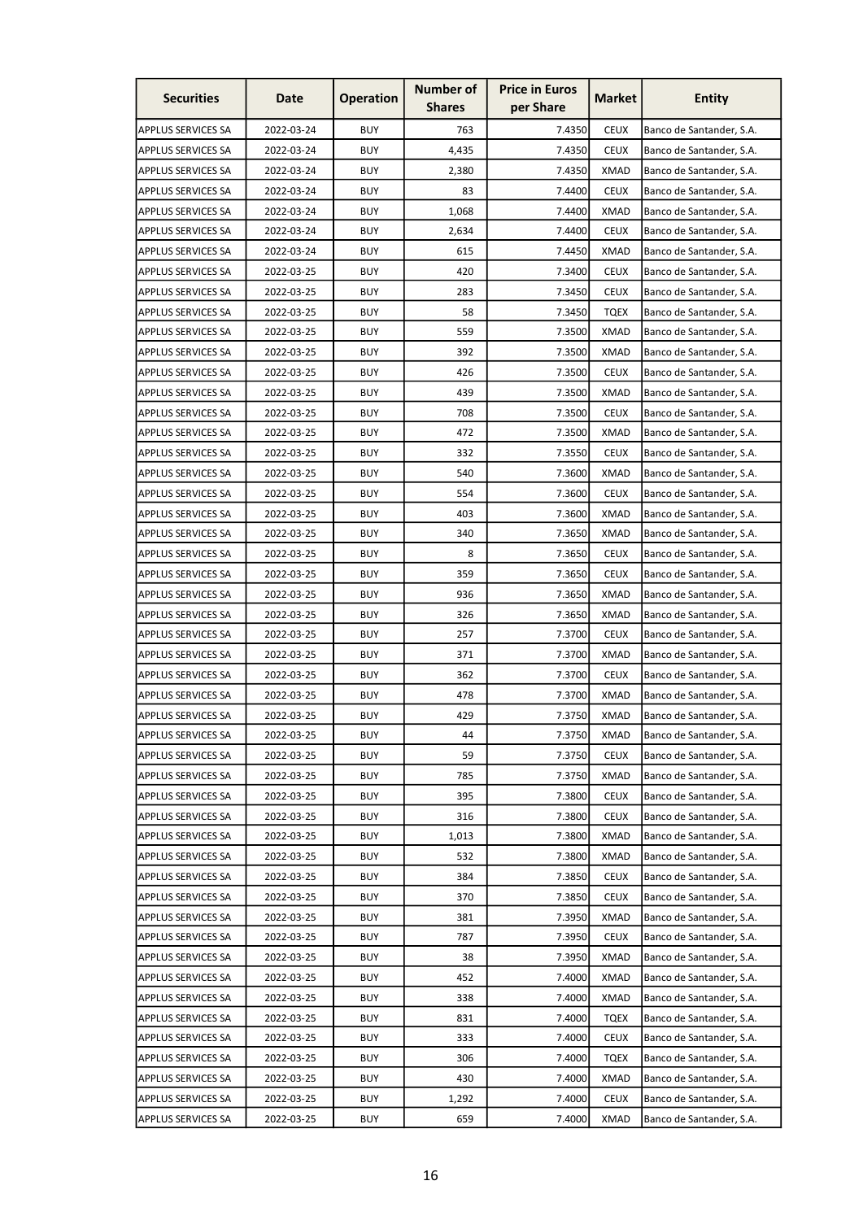| <b>Securities</b>         | Date       | <b>Operation</b> | <b>Number of</b><br><b>Shares</b> | <b>Price in Euros</b><br>per Share | <b>Market</b> | <b>Entity</b>            |
|---------------------------|------------|------------------|-----------------------------------|------------------------------------|---------------|--------------------------|
| <b>APPLUS SERVICES SA</b> | 2022-03-24 | <b>BUY</b>       | 763                               | 7.4350                             | <b>CEUX</b>   | Banco de Santander, S.A. |
| <b>APPLUS SERVICES SA</b> | 2022-03-24 | <b>BUY</b>       | 4,435                             | 7.4350                             | <b>CEUX</b>   | Banco de Santander, S.A. |
| <b>APPLUS SERVICES SA</b> | 2022-03-24 | <b>BUY</b>       | 2,380                             | 7.4350                             | <b>XMAD</b>   | Banco de Santander, S.A. |
| <b>APPLUS SERVICES SA</b> | 2022-03-24 | <b>BUY</b>       | 83                                | 7.4400                             | <b>CEUX</b>   | Banco de Santander, S.A. |
| <b>APPLUS SERVICES SA</b> | 2022-03-24 | <b>BUY</b>       | 1,068                             | 7.4400                             | <b>XMAD</b>   | Banco de Santander, S.A. |
| <b>APPLUS SERVICES SA</b> | 2022-03-24 | <b>BUY</b>       | 2,634                             | 7.4400                             | <b>CEUX</b>   | Banco de Santander, S.A. |
| APPLUS SERVICES SA        | 2022-03-24 | <b>BUY</b>       | 615                               | 7.4450                             | XMAD          | Banco de Santander, S.A. |
| <b>APPLUS SERVICES SA</b> | 2022-03-25 | <b>BUY</b>       | 420                               | 7.3400                             | <b>CEUX</b>   | Banco de Santander, S.A. |
| <b>APPLUS SERVICES SA</b> | 2022-03-25 | <b>BUY</b>       | 283                               | 7.3450                             | <b>CEUX</b>   | Banco de Santander, S.A. |
| <b>APPLUS SERVICES SA</b> | 2022-03-25 | <b>BUY</b>       | 58                                | 7.3450                             | <b>TQEX</b>   | Banco de Santander, S.A. |
| <b>APPLUS SERVICES SA</b> | 2022-03-25 | <b>BUY</b>       | 559                               | 7.3500                             | <b>XMAD</b>   | Banco de Santander, S.A. |
| <b>APPLUS SERVICES SA</b> | 2022-03-25 | <b>BUY</b>       | 392                               | 7.3500                             | XMAD          | Banco de Santander, S.A. |
| <b>APPLUS SERVICES SA</b> | 2022-03-25 | <b>BUY</b>       | 426                               | 7.3500                             | <b>CEUX</b>   | Banco de Santander, S.A. |
| <b>APPLUS SERVICES SA</b> | 2022-03-25 | <b>BUY</b>       | 439                               | 7.3500                             | XMAD          | Banco de Santander, S.A. |
| <b>APPLUS SERVICES SA</b> | 2022-03-25 | <b>BUY</b>       | 708                               | 7.3500                             | <b>CEUX</b>   | Banco de Santander, S.A. |
| <b>APPLUS SERVICES SA</b> | 2022-03-25 | <b>BUY</b>       | 472                               | 7.3500                             | <b>XMAD</b>   | Banco de Santander, S.A. |
| <b>APPLUS SERVICES SA</b> | 2022-03-25 | <b>BUY</b>       | 332                               | 7.3550                             | <b>CEUX</b>   | Banco de Santander, S.A. |
| <b>APPLUS SERVICES SA</b> | 2022-03-25 | <b>BUY</b>       | 540                               | 7.3600                             | <b>XMAD</b>   | Banco de Santander, S.A. |
| <b>APPLUS SERVICES SA</b> | 2022-03-25 | <b>BUY</b>       | 554                               | 7.3600                             | <b>CEUX</b>   | Banco de Santander, S.A. |
| <b>APPLUS SERVICES SA</b> | 2022-03-25 | <b>BUY</b>       | 403                               | 7.3600                             | XMAD          | Banco de Santander, S.A. |
| <b>APPLUS SERVICES SA</b> | 2022-03-25 | <b>BUY</b>       | 340                               | 7.3650                             | <b>XMAD</b>   | Banco de Santander, S.A. |
| <b>APPLUS SERVICES SA</b> | 2022-03-25 | <b>BUY</b>       | 8                                 | 7.3650                             | <b>CEUX</b>   | Banco de Santander, S.A. |
| <b>APPLUS SERVICES SA</b> | 2022-03-25 | <b>BUY</b>       | 359                               | 7.3650                             | <b>CEUX</b>   | Banco de Santander, S.A. |
| <b>APPLUS SERVICES SA</b> | 2022-03-25 | <b>BUY</b>       | 936                               | 7.3650                             | <b>XMAD</b>   | Banco de Santander, S.A. |
| <b>APPLUS SERVICES SA</b> | 2022-03-25 | <b>BUY</b>       | 326                               | 7.3650                             | <b>XMAD</b>   | Banco de Santander, S.A. |
| <b>APPLUS SERVICES SA</b> | 2022-03-25 | <b>BUY</b>       | 257                               | 7.3700                             | <b>CEUX</b>   | Banco de Santander, S.A. |
| <b>APPLUS SERVICES SA</b> | 2022-03-25 | <b>BUY</b>       | 371                               | 7.3700                             | <b>XMAD</b>   | Banco de Santander, S.A. |
| <b>APPLUS SERVICES SA</b> | 2022-03-25 | <b>BUY</b>       | 362                               | 7.3700                             | <b>CEUX</b>   | Banco de Santander, S.A. |
| APPLUS SERVICES SA        | 2022-03-25 | <b>BUY</b>       | 478                               | 7.3700                             | <b>XMAD</b>   | Banco de Santander, S.A. |
| <b>APPLUS SERVICES SA</b> | 2022-03-25 | <b>BUY</b>       | 429                               | 7.3750                             | <b>XMAD</b>   | Banco de Santander, S.A. |
| <b>APPLUS SERVICES SA</b> | 2022-03-25 | <b>BUY</b>       | 44                                | 7.3750                             | <b>XMAD</b>   | Banco de Santander, S.A. |
| <b>APPLUS SERVICES SA</b> | 2022-03-25 | <b>BUY</b>       | 59                                | 7.3750                             | <b>CEUX</b>   | Banco de Santander, S.A. |
| <b>APPLUS SERVICES SA</b> | 2022-03-25 | <b>BUY</b>       | 785                               | 7.3750                             | <b>XMAD</b>   | Banco de Santander, S.A. |
| <b>APPLUS SERVICES SA</b> | 2022-03-25 | <b>BUY</b>       | 395                               | 7.3800                             | <b>CEUX</b>   | Banco de Santander, S.A. |
| <b>APPLUS SERVICES SA</b> | 2022-03-25 | <b>BUY</b>       | 316                               | 7.3800                             | <b>CEUX</b>   | Banco de Santander, S.A. |
| <b>APPLUS SERVICES SA</b> | 2022-03-25 | <b>BUY</b>       | 1,013                             | 7.3800                             | <b>XMAD</b>   | Banco de Santander, S.A. |
| <b>APPLUS SERVICES SA</b> | 2022-03-25 | <b>BUY</b>       | 532                               | 7.3800                             | <b>XMAD</b>   | Banco de Santander, S.A. |
| <b>APPLUS SERVICES SA</b> | 2022-03-25 | <b>BUY</b>       | 384                               | 7.3850                             | <b>CEUX</b>   | Banco de Santander, S.A. |
| <b>APPLUS SERVICES SA</b> | 2022-03-25 | <b>BUY</b>       | 370                               | 7.3850                             | <b>CEUX</b>   | Banco de Santander, S.A. |
| <b>APPLUS SERVICES SA</b> | 2022-03-25 | <b>BUY</b>       | 381                               | 7.3950                             | <b>XMAD</b>   | Banco de Santander, S.A. |
| <b>APPLUS SERVICES SA</b> | 2022-03-25 | <b>BUY</b>       | 787                               | 7.3950                             | <b>CEUX</b>   | Banco de Santander, S.A. |
| <b>APPLUS SERVICES SA</b> | 2022-03-25 | <b>BUY</b>       | 38                                | 7.3950                             | <b>XMAD</b>   | Banco de Santander, S.A. |
| <b>APPLUS SERVICES SA</b> | 2022-03-25 | <b>BUY</b>       | 452                               | 7.4000                             | <b>XMAD</b>   | Banco de Santander, S.A. |
| <b>APPLUS SERVICES SA</b> | 2022-03-25 | <b>BUY</b>       | 338                               | 7.4000                             | <b>XMAD</b>   | Banco de Santander, S.A. |
| <b>APPLUS SERVICES SA</b> | 2022-03-25 | <b>BUY</b>       | 831                               | 7.4000                             | <b>TQEX</b>   | Banco de Santander, S.A. |
| <b>APPLUS SERVICES SA</b> | 2022-03-25 | <b>BUY</b>       | 333                               | 7.4000                             | <b>CEUX</b>   | Banco de Santander, S.A. |
| <b>APPLUS SERVICES SA</b> | 2022-03-25 | <b>BUY</b>       | 306                               | 7.4000                             | <b>TQEX</b>   | Banco de Santander, S.A. |
| APPLUS SERVICES SA        | 2022-03-25 | <b>BUY</b>       | 430                               | 7.4000                             | <b>XMAD</b>   | Banco de Santander, S.A. |
| <b>APPLUS SERVICES SA</b> | 2022-03-25 | <b>BUY</b>       | 1,292                             | 7.4000                             | <b>CEUX</b>   | Banco de Santander, S.A. |
| <b>APPLUS SERVICES SA</b> | 2022-03-25 | <b>BUY</b>       | 659                               | 7.4000                             | <b>XMAD</b>   | Banco de Santander, S.A. |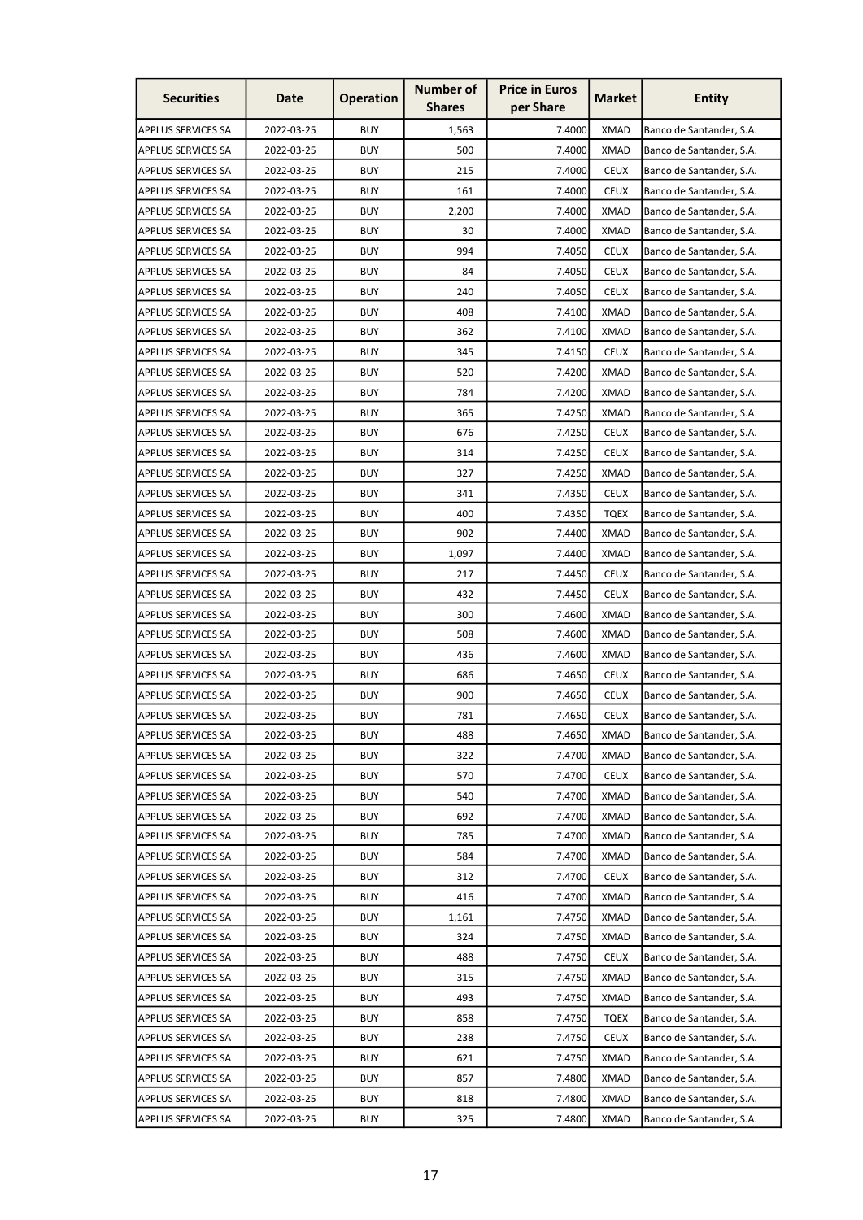| <b>Securities</b>         | Date       | <b>Operation</b> | <b>Number of</b><br><b>Shares</b> | <b>Price in Euros</b><br>per Share | <b>Market</b> | <b>Entity</b>            |
|---------------------------|------------|------------------|-----------------------------------|------------------------------------|---------------|--------------------------|
| <b>APPLUS SERVICES SA</b> | 2022-03-25 | <b>BUY</b>       | 1,563                             | 7.4000                             | <b>XMAD</b>   | Banco de Santander, S.A. |
| <b>APPLUS SERVICES SA</b> | 2022-03-25 | <b>BUY</b>       | 500                               | 7.4000                             | <b>XMAD</b>   | Banco de Santander, S.A. |
| <b>APPLUS SERVICES SA</b> | 2022-03-25 | <b>BUY</b>       | 215                               | 7.4000                             | <b>CEUX</b>   | Banco de Santander, S.A. |
| <b>APPLUS SERVICES SA</b> | 2022-03-25 | <b>BUY</b>       | 161                               | 7.4000                             | <b>CEUX</b>   | Banco de Santander, S.A. |
| <b>APPLUS SERVICES SA</b> | 2022-03-25 | <b>BUY</b>       | 2,200                             | 7.4000                             | <b>XMAD</b>   | Banco de Santander, S.A. |
| <b>APPLUS SERVICES SA</b> | 2022-03-25 | <b>BUY</b>       | 30                                | 7.4000                             | <b>XMAD</b>   | Banco de Santander, S.A. |
| <b>APPLUS SERVICES SA</b> | 2022-03-25 | <b>BUY</b>       | 994                               | 7.4050                             | <b>CEUX</b>   | Banco de Santander, S.A. |
| <b>APPLUS SERVICES SA</b> | 2022-03-25 | <b>BUY</b>       | 84                                | 7.4050                             | <b>CEUX</b>   | Banco de Santander, S.A. |
| <b>APPLUS SERVICES SA</b> | 2022-03-25 | <b>BUY</b>       | 240                               | 7.4050                             | <b>CEUX</b>   | Banco de Santander, S.A. |
| <b>APPLUS SERVICES SA</b> | 2022-03-25 | <b>BUY</b>       | 408                               | 7.4100                             | <b>XMAD</b>   | Banco de Santander, S.A. |
| <b>APPLUS SERVICES SA</b> | 2022-03-25 | <b>BUY</b>       | 362                               | 7.4100                             | <b>XMAD</b>   | Banco de Santander, S.A. |
| <b>APPLUS SERVICES SA</b> | 2022-03-25 | <b>BUY</b>       | 345                               | 7.4150                             | <b>CEUX</b>   | Banco de Santander, S.A. |
| <b>APPLUS SERVICES SA</b> | 2022-03-25 | <b>BUY</b>       | 520                               | 7.4200                             | <b>XMAD</b>   | Banco de Santander, S.A. |
| <b>APPLUS SERVICES SA</b> | 2022-03-25 | <b>BUY</b>       | 784                               | 7.4200                             | <b>XMAD</b>   | Banco de Santander, S.A. |
| <b>APPLUS SERVICES SA</b> | 2022-03-25 | <b>BUY</b>       | 365                               | 7.4250                             | <b>XMAD</b>   | Banco de Santander, S.A. |
| <b>APPLUS SERVICES SA</b> | 2022-03-25 | <b>BUY</b>       | 676                               | 7.4250                             | <b>CEUX</b>   | Banco de Santander, S.A. |
| <b>APPLUS SERVICES SA</b> | 2022-03-25 | <b>BUY</b>       | 314                               | 7.4250                             | <b>CEUX</b>   | Banco de Santander, S.A. |
| <b>APPLUS SERVICES SA</b> | 2022-03-25 | <b>BUY</b>       | 327                               | 7.4250                             | <b>XMAD</b>   | Banco de Santander, S.A. |
| <b>APPLUS SERVICES SA</b> | 2022-03-25 | <b>BUY</b>       | 341                               | 7.4350                             | <b>CEUX</b>   | Banco de Santander, S.A. |
| <b>APPLUS SERVICES SA</b> | 2022-03-25 | <b>BUY</b>       | 400                               | 7.4350                             | TQEX          | Banco de Santander, S.A. |
| <b>APPLUS SERVICES SA</b> | 2022-03-25 | <b>BUY</b>       | 902                               | 7.4400                             | <b>XMAD</b>   | Banco de Santander, S.A. |
| <b>APPLUS SERVICES SA</b> | 2022-03-25 | <b>BUY</b>       | 1,097                             | 7.4400                             | <b>XMAD</b>   | Banco de Santander, S.A. |
| <b>APPLUS SERVICES SA</b> | 2022-03-25 | <b>BUY</b>       | 217                               | 7.4450                             | <b>CEUX</b>   | Banco de Santander, S.A. |
| <b>APPLUS SERVICES SA</b> | 2022-03-25 | <b>BUY</b>       | 432                               | 7.4450                             | <b>CEUX</b>   | Banco de Santander, S.A. |
| <b>APPLUS SERVICES SA</b> | 2022-03-25 | <b>BUY</b>       | 300                               | 7.4600                             | <b>XMAD</b>   | Banco de Santander, S.A. |
| <b>APPLUS SERVICES SA</b> | 2022-03-25 | <b>BUY</b>       | 508                               | 7.4600                             | XMAD          | Banco de Santander, S.A. |
| <b>APPLUS SERVICES SA</b> | 2022-03-25 | <b>BUY</b>       | 436                               | 7.4600                             | <b>XMAD</b>   | Banco de Santander, S.A. |
| <b>APPLUS SERVICES SA</b> | 2022-03-25 | <b>BUY</b>       | 686                               | 7.4650                             | <b>CEUX</b>   | Banco de Santander, S.A. |
| <b>APPLUS SERVICES SA</b> | 2022-03-25 | <b>BUY</b>       | 900                               | 7.4650                             | <b>CEUX</b>   | Banco de Santander, S.A. |
| <b>APPLUS SERVICES SA</b> | 2022-03-25 | <b>BUY</b>       | 781                               | 7.4650                             | <b>CEUX</b>   | Banco de Santander, S.A. |
| <b>APPLUS SERVICES SA</b> | 2022-03-25 | <b>BUY</b>       | 488                               | 7.4650                             | <b>XMAD</b>   | Banco de Santander, S.A. |
| <b>APPLUS SERVICES SA</b> | 2022-03-25 | <b>BUY</b>       | 322                               | 7.4700                             | XMAD          | Banco de Santander, S.A. |
| <b>APPLUS SERVICES SA</b> | 2022-03-25 | <b>BUY</b>       | 570                               | 7.4700                             | <b>CEUX</b>   | Banco de Santander, S.A. |
| <b>APPLUS SERVICES SA</b> | 2022-03-25 | <b>BUY</b>       | 540                               | 7.4700                             | <b>XMAD</b>   | Banco de Santander, S.A. |
| <b>APPLUS SERVICES SA</b> | 2022-03-25 | <b>BUY</b>       | 692                               | 7.4700                             | <b>XMAD</b>   | Banco de Santander, S.A. |
| <b>APPLUS SERVICES SA</b> | 2022-03-25 | <b>BUY</b>       | 785                               | 7.4700                             | <b>XMAD</b>   | Banco de Santander, S.A. |
| <b>APPLUS SERVICES SA</b> | 2022-03-25 | <b>BUY</b>       | 584                               | 7.4700                             | <b>XMAD</b>   | Banco de Santander, S.A. |
| <b>APPLUS SERVICES SA</b> | 2022-03-25 | <b>BUY</b>       | 312                               | 7.4700                             | <b>CEUX</b>   | Banco de Santander, S.A. |
| <b>APPLUS SERVICES SA</b> | 2022-03-25 | <b>BUY</b>       | 416                               | 7.4700                             | <b>XMAD</b>   | Banco de Santander, S.A. |
| <b>APPLUS SERVICES SA</b> | 2022-03-25 | <b>BUY</b>       | 1,161                             | 7.4750                             | <b>XMAD</b>   | Banco de Santander, S.A. |
| <b>APPLUS SERVICES SA</b> | 2022-03-25 | <b>BUY</b>       | 324                               | 7.4750                             | <b>XMAD</b>   | Banco de Santander, S.A. |
| <b>APPLUS SERVICES SA</b> | 2022-03-25 | <b>BUY</b>       | 488                               | 7.4750                             | <b>CEUX</b>   | Banco de Santander, S.A. |
| <b>APPLUS SERVICES SA</b> | 2022-03-25 | <b>BUY</b>       | 315                               | 7.4750                             | <b>XMAD</b>   | Banco de Santander, S.A. |
| <b>APPLUS SERVICES SA</b> | 2022-03-25 | <b>BUY</b>       | 493                               | 7.4750                             | <b>XMAD</b>   | Banco de Santander, S.A. |
| <b>APPLUS SERVICES SA</b> | 2022-03-25 | <b>BUY</b>       | 858                               | 7.4750                             | <b>TQEX</b>   | Banco de Santander, S.A. |
| <b>APPLUS SERVICES SA</b> | 2022-03-25 | <b>BUY</b>       | 238                               | 7.4750                             | <b>CEUX</b>   | Banco de Santander, S.A. |
| <b>APPLUS SERVICES SA</b> | 2022-03-25 | <b>BUY</b>       | 621                               | 7.4750                             | <b>XMAD</b>   | Banco de Santander, S.A. |
| <b>APPLUS SERVICES SA</b> | 2022-03-25 | <b>BUY</b>       | 857                               | 7.4800                             | <b>XMAD</b>   | Banco de Santander, S.A. |
| <b>APPLUS SERVICES SA</b> | 2022-03-25 | <b>BUY</b>       | 818                               | 7.4800                             | <b>XMAD</b>   | Banco de Santander, S.A. |
| <b>APPLUS SERVICES SA</b> | 2022-03-25 | <b>BUY</b>       | 325                               | 7.4800                             | <b>XMAD</b>   | Banco de Santander, S.A. |